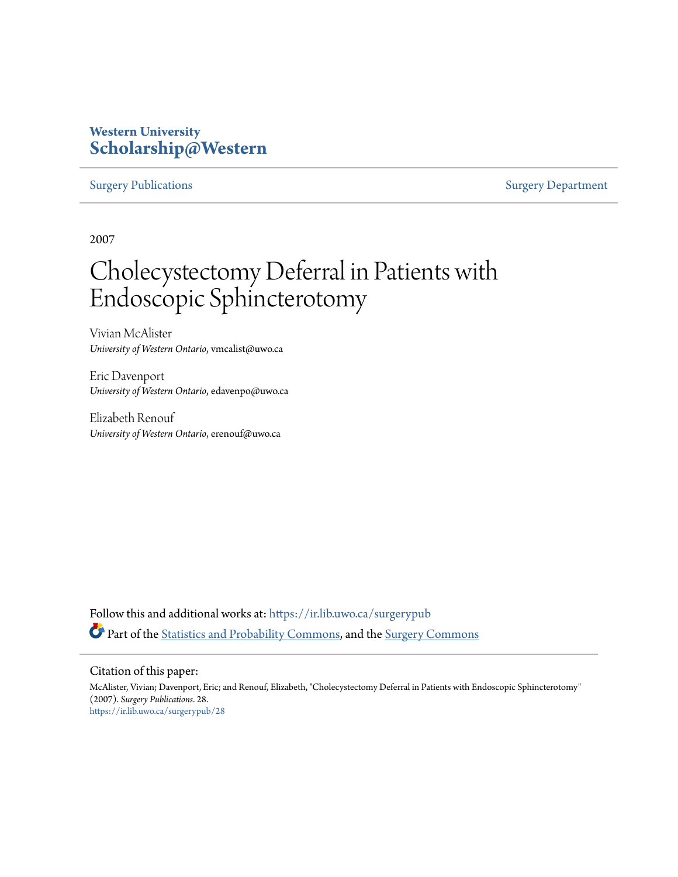# **Western University [Scholarship@Western](https://ir.lib.uwo.ca?utm_source=ir.lib.uwo.ca%2Fsurgerypub%2F28&utm_medium=PDF&utm_campaign=PDFCoverPages)**

# [Surgery Publications](https://ir.lib.uwo.ca/surgerypub?utm_source=ir.lib.uwo.ca%2Fsurgerypub%2F28&utm_medium=PDF&utm_campaign=PDFCoverPages) [Surgery Department](https://ir.lib.uwo.ca/surgery?utm_source=ir.lib.uwo.ca%2Fsurgerypub%2F28&utm_medium=PDF&utm_campaign=PDFCoverPages)

2007

# Cholecystectomy Deferral in Patients with Endoscopic Sphincterotomy

Vivian McAlister *University of Western Ontario*, vmcalist@uwo.ca

Eric Davenport *University of Western Ontario*, edavenpo@uwo.ca

Elizabeth Renouf *University of Western Ontario*, erenouf@uwo.ca

Follow this and additional works at: [https://ir.lib.uwo.ca/surgerypub](https://ir.lib.uwo.ca/surgerypub?utm_source=ir.lib.uwo.ca%2Fsurgerypub%2F28&utm_medium=PDF&utm_campaign=PDFCoverPages) Part of the **[Statistics and Probability Commons](http://network.bepress.com/hgg/discipline/208?utm_source=ir.lib.uwo.ca%2Fsurgerypub%2F28&utm_medium=PDF&utm_campaign=PDFCoverPages)**, and the **[Surgery Commons](http://network.bepress.com/hgg/discipline/706?utm_source=ir.lib.uwo.ca%2Fsurgerypub%2F28&utm_medium=PDF&utm_campaign=PDFCoverPages)** 

### Citation of this paper:

McAlister, Vivian; Davenport, Eric; and Renouf, Elizabeth, "Cholecystectomy Deferral in Patients with Endoscopic Sphincterotomy" (2007). *Surgery Publications*. 28. [https://ir.lib.uwo.ca/surgerypub/28](https://ir.lib.uwo.ca/surgerypub/28?utm_source=ir.lib.uwo.ca%2Fsurgerypub%2F28&utm_medium=PDF&utm_campaign=PDFCoverPages)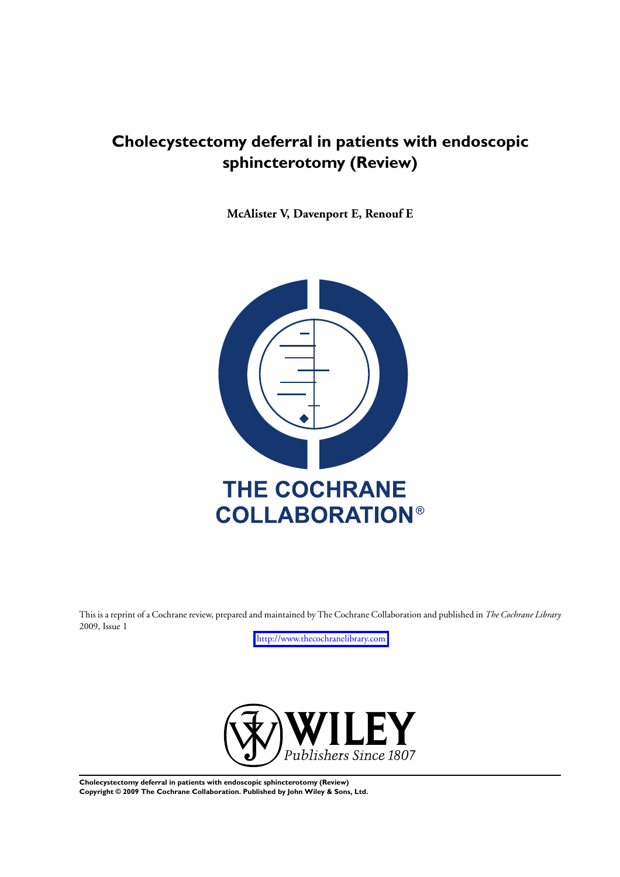# **Cholecystectomy deferral in patients with endoscopic sphincterotomy (Review)**

**McAlister V, Davenport E, Renouf E**



This is a reprint of a Cochrane review, prepared and maintained by The Cochrane Collaboration and published in *The Cochrane Library* 2009, Issue 1

<http://www.thecochranelibrary.com>



**Cholecystectomy deferral in patients with endoscopic sphincterotomy (Review) Copyright © 2009 The Cochrane Collaboration. Published by John Wiley & Sons, Ltd.**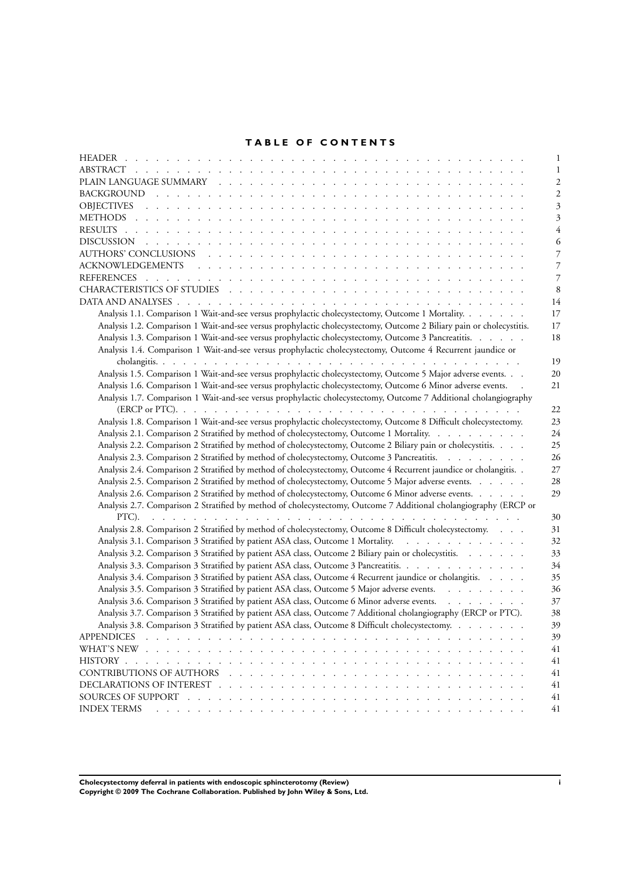# **TABLE OF CONTENTS**

| 1                                                                                                                                              |
|------------------------------------------------------------------------------------------------------------------------------------------------|
| $\overline{2}$                                                                                                                                 |
| $\overline{2}$                                                                                                                                 |
| 3                                                                                                                                              |
| 3                                                                                                                                              |
|                                                                                                                                                |
| 6                                                                                                                                              |
| 7                                                                                                                                              |
| 7                                                                                                                                              |
| 7                                                                                                                                              |
| 8                                                                                                                                              |
| 14                                                                                                                                             |
| Analysis 1.1. Comparison 1 Wait-and-see versus prophylactic cholecystectomy, Outcome 1 Mortality.<br>17                                        |
| Analysis 1.2. Comparison 1 Wait-and-see versus prophylactic cholecystectomy, Outcome 2 Biliary pain or cholecystitis.<br>17                    |
| Analysis 1.3. Comparison 1 Wait-and-see versus prophylactic cholecystectomy, Outcome 3 Pancreatitis.<br>18                                     |
| Analysis 1.4. Comparison 1 Wait-and-see versus prophylactic cholecystectomy, Outcome 4 Recurrent jaundice or                                   |
| 19                                                                                                                                             |
| Analysis 1.5. Comparison 1 Wait-and-see versus prophylactic cholecystectomy, Outcome 5 Major adverse events.<br>20                             |
| Analysis 1.6. Comparison 1 Wait-and-see versus prophylactic cholecystectomy, Outcome 6 Minor adverse events. .<br>21                           |
| Analysis 1.7. Comparison 1 Wait-and-see versus prophylactic cholecystectomy, Outcome 7 Additional cholangiography                              |
| 22                                                                                                                                             |
| Analysis 1.8. Comparison 1 Wait-and-see versus prophylactic cholecystectomy, Outcome 8 Difficult cholecystectomy.<br>23                        |
| Analysis 2.1. Comparison 2 Stratified by method of cholecystectomy, Outcome 1 Mortality.<br>24                                                 |
| Analysis 2.2. Comparison 2 Stratified by method of cholecystectomy, Outcome 2 Biliary pain or cholecystitis.<br>25                             |
| Analysis 2.3. Comparison 2 Stratified by method of cholecystectomy, Outcome 3 Pancreatitis.<br>26                                              |
| Analysis 2.4. Comparison 2 Stratified by method of cholecystectomy, Outcome 4 Recurrent jaundice or cholangitis. .<br>27                       |
| Analysis 2.5. Comparison 2 Stratified by method of cholecystectomy, Outcome 5 Major adverse events.<br>28                                      |
| Analysis 2.6. Comparison 2 Stratified by method of cholecystectomy, Outcome 6 Minor adverse events.<br>29                                      |
| Analysis 2.7. Comparison 2 Stratified by method of cholecystectomy, Outcome 7 Additional cholangiography (ERCP or                              |
| 30                                                                                                                                             |
| Analysis 2.8. Comparison 2 Stratified by method of cholecystectomy, Outcome 8 Difficult cholecystectomy.<br>31                                 |
| Analysis 3.1. Comparison 3 Stratified by patient ASA class, Outcome 1 Mortality.<br>32                                                         |
| Analysis 3.2. Comparison 3 Stratified by patient ASA class, Outcome 2 Biliary pain or cholecystitis.<br>33                                     |
| Analysis 3.3. Comparison 3 Stratified by patient ASA class, Outcome 3 Pancreatitis.<br>34                                                      |
| Analysis 3.4. Comparison 3 Stratified by patient ASA class, Outcome 4 Recurrent jaundice or cholangitis.<br>35                                 |
| Analysis 3.5. Comparison 3 Stratified by patient ASA class, Outcome 5 Major adverse events.<br>36                                              |
| Analysis 3.6. Comparison 3 Stratified by patient ASA class, Outcome 6 Minor adverse events.<br>37                                              |
| Analysis 3.7. Comparison 3 Stratified by patient ASA class, Outcome 7 Additional cholangiography (ERCP or PTC).<br>38                          |
| Analysis 3.8. Comparison 3 Stratified by patient ASA class, Outcome 8 Difficult cholecystectomy.<br>39                                         |
| <b>APPENDICES</b><br>39<br>and the company of the company of the company of the company of the company of the company of the company of the    |
| WHAT'S NEW<br>41                                                                                                                               |
| HISTORY<br>41                                                                                                                                  |
| 41                                                                                                                                             |
| 41                                                                                                                                             |
| 41                                                                                                                                             |
| <b>INDEX TERMS</b><br>41<br>a constitution of the constitution of the constitution of the constitution of the constitution of the constitution |

**Cholecystectomy deferral in patients with endoscopic sphincterotomy (Review) i Copyright © 2009 The Cochrane Collaboration. Published by John Wiley & Sons, Ltd.**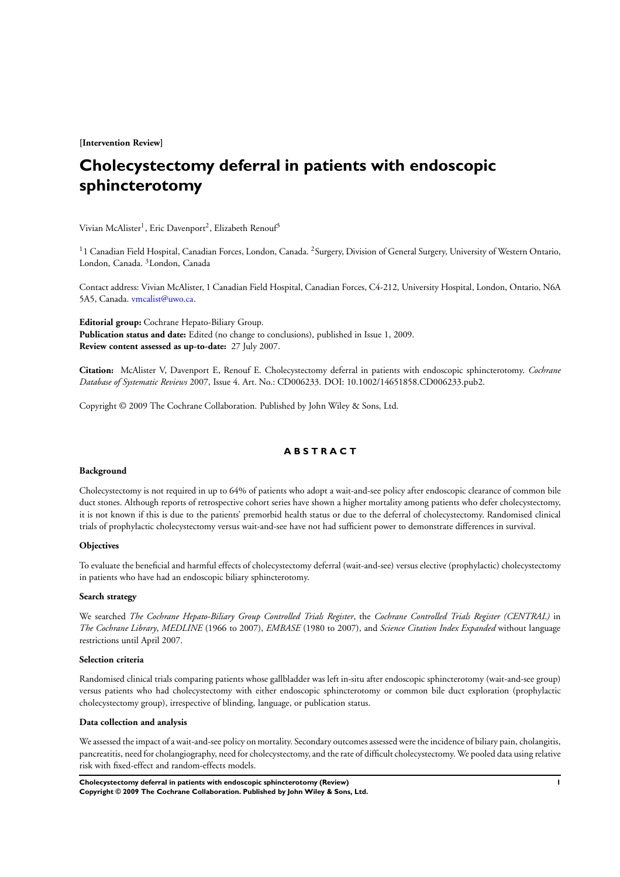**[Intervention Review]**

# **Cholecystectomy deferral in patients with endoscopic sphincterotomy**

Vivian McAlister $^1$ , Eric Davenport $^2$ , Elizabeth Renouf $^3$ 

<sup>1</sup>1 Canadian Field Hospital, Canadian Forces, London, Canada. <sup>2</sup>Surgery, Division of General Surgery, University of Western Ontario, London, Canada. <sup>3</sup>London, Canada

Contact address: Vivian McAlister, 1 Canadian Field Hospital, Canadian Forces, C4-212, University Hospital, London, Ontario, N6A 5A5, Canada. [vmcalist@uwo.ca.](mailto:vmcalist@uwo.ca)

**Editorial group:** Cochrane Hepato-Biliary Group. **Publication status and date:** Edited (no change to conclusions), published in Issue 1, 2009. **Review content assessed as up-to-date:** 27 July 2007.

**Citation:** McAlister V, Davenport E, Renouf E. Cholecystectomy deferral in patients with endoscopic sphincterotomy. *Cochrane Database of Systematic Reviews* 2007, Issue 4. Art. No.: CD006233. DOI: 10.1002/14651858.CD006233.pub2.

Copyright © 2009 The Cochrane Collaboration. Published by John Wiley & Sons, Ltd.

### **A B S T R A C T**

### **Background**

Cholecystectomy is not required in up to 64% of patients who adopt a wait-and-see policy after endoscopic clearance of common bile duct stones. Although reports of retrospective cohort series have shown a higher mortality among patients who defer cholecystectomy, it is not known if this is due to the patients' premorbid health status or due to the deferral of cholecystectomy. Randomised clinical trials of prophylactic cholecystectomy versus wait-and-see have not had sufficient power to demonstrate differences in survival.

### **Objectives**

To evaluate the beneficial and harmful effects of cholecystectomy deferral (wait-and-see) versus elective (prophylactic) cholecystectomy in patients who have had an endoscopic biliary sphincterotomy.

### **Search strategy**

We searched *The Cochrane Hepato-Biliary Group Controlled Trials Register*, the *Cochrane Controlled Trials Register (CENTRAL)* in *The Cochrane Library*, *MEDLINE* (1966 to 2007), *EMBASE* (1980 to 2007), and *Science Citation Index Expanded* without language restrictions until April 2007.

#### **Selection criteria**

Randomised clinical trials comparing patients whose gallbladder was left in-situ after endoscopic sphincterotomy (wait-and-see group) versus patients who had cholecystectomy with either endoscopic sphincterotomy or common bile duct exploration (prophylactic cholecystectomy group), irrespective of blinding, language, or publication status.

### **Data collection and analysis**

We assessed the impact of a wait-and-see policy on mortality. Secondary outcomes assessed were the incidence of biliary pain, cholangitis, pancreatitis, need for cholangiography, need for cholecystectomy, and the rate of difficult cholecystectomy. We pooled data using relative risk with fixed-effect and random-effects models.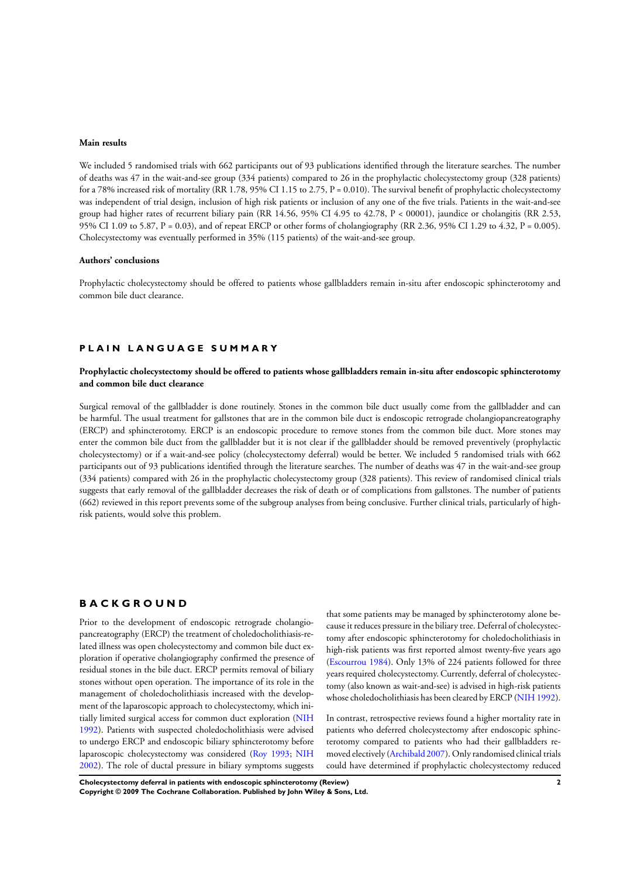### **Main results**

We included 5 randomised trials with 662 participants out of 93 publications identified through the literature searches. The number of deaths was 47 in the wait-and-see group (334 patients) compared to 26 in the prophylactic cholecystectomy group (328 patients) for a 78% increased risk of mortality (RR 1.78, 95% CI 1.15 to 2.75,  $P = 0.010$ ). The survival benefit of prophylactic cholecystectomy was independent of trial design, inclusion of high risk patients or inclusion of any one of the five trials. Patients in the wait-and-see group had higher rates of recurrent biliary pain (RR 14.56, 95% CI 4.95 to 42.78, P < 00001), jaundice or cholangitis (RR 2.53, 95% CI 1.09 to 5.87, P = 0.03), and of repeat ERCP or other forms of cholangiography (RR 2.36, 95% CI 1.29 to 4.32, P = 0.005). Cholecystectomy was eventually performed in 35% (115 patients) of the wait-and-see group.

### **Authors' conclusions**

Prophylactic cholecystectomy should be offered to patients whose gallbladders remain in-situ after endoscopic sphincterotomy and common bile duct clearance.

### **P L A I N L A N G U A G E S U M M A R Y**

### **Prophylactic cholecystectomy should be offered to patients whose gallbladders remain in-situ after endoscopic sphincterotomy and common bile duct clearance**

Surgical removal of the gallbladder is done routinely. Stones in the common bile duct usually come from the gallbladder and can be harmful. The usual treatment for gallstones that are in the common bile duct is endoscopic retrograde cholangiopancreatography (ERCP) and sphincterotomy. ERCP is an endoscopic procedure to remove stones from the common bile duct. More stones may enter the common bile duct from the gallbladder but it is not clear if the gallbladder should be removed preventively (prophylactic cholecystectomy) or if a wait-and-see policy (cholecystectomy deferral) would be better. We included 5 randomised trials with 662 participants out of 93 publications identified through the literature searches. The number of deaths was 47 in the wait-and-see group (334 patients) compared with 26 in the prophylactic cholecystectomy group (328 patients). This review of randomised clinical trials suggests that early removal of the gallbladder decreases the risk of death or of complications from gallstones. The number of patients (662) reviewed in this report prevents some of the subgroup analyses from being conclusive. Further clinical trials, particularly of highrisk patients, would solve this problem.

### **B A C K G R O U N D**

Prior to the development of endoscopic retrograde cholangiopancreatography (ERCP) the treatment of choledocholithiasis-related illness was open cholecystectomy and common bile duct exploration if operative cholangiography confirmed the presence of residual stones in the bile duct. ERCP permits removal of biliary stones without open operation. The importance of its role in the management of choledocholithiasis increased with the development of the laparoscopic approach to cholecystectomy, which initially limited surgical access for common duct exploration ([NIH](#page-9-0) [1992](#page-9-0)). Patients with suspected choledocholithiasis were advised to undergo ERCP and endoscopic biliary sphincterotomy before laparoscopic cholecystectomy was considered ([Roy 1993](#page-9-0); [NIH](#page-9-0) [2002](#page-9-0)). The role of ductal pressure in biliary symptoms suggests

that some patients may be managed by sphincterotomy alone because it reduces pressure in the biliary tree. Deferral of cholecystectomy after endoscopic sphincterotomy for choledocholithiasis in high-risk patients was first reported almost twenty-five years ago [\(Escourrou 1984](#page-9-0)). Only 13% of 224 patients followed for three years required cholecystectomy. Currently, deferral of cholecystectomy (also known as wait-and-see) is advised in high-risk patients whose choledocholithiasis has been cleared by ERCP [\(NIH 1992](#page-9-0)).

In contrast, retrospective reviews found a higher mortality rate in patients who deferred cholecystectomy after endoscopic sphincterotomy compared to patients who had their gallbladders removed electively [\(Archibald 2007](#page-9-0)). Only randomised clinical trials could have determined if prophylactic cholecystectomy reduced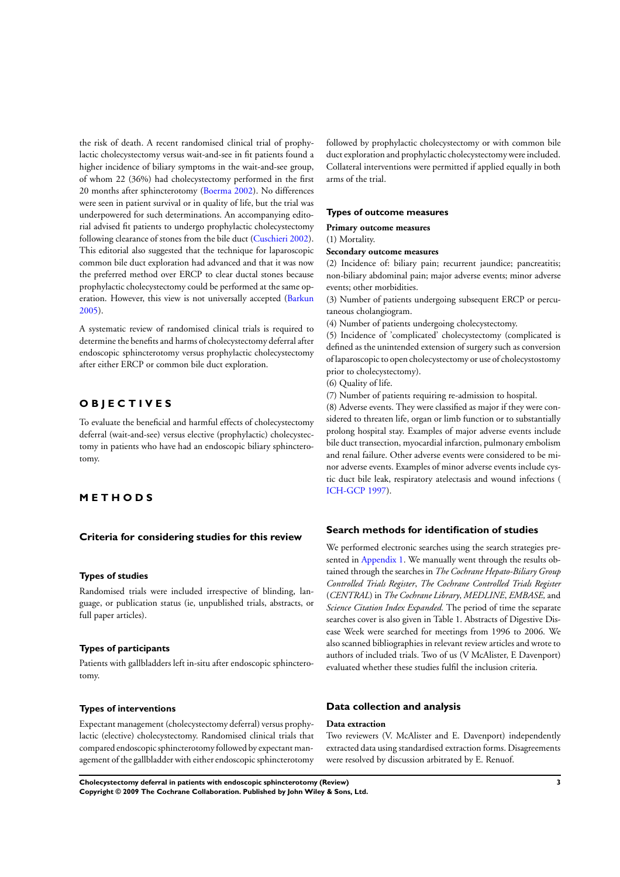the risk of death. A recent randomised clinical trial of prophylactic cholecystectomy versus wait-and-see in fit patients found a higher incidence of biliary symptoms in the wait-and-see group, of whom 22 (36%) had cholecystectomy performed in the first 20 months after sphincterotomy [\(Boerma 2002\)](#page-9-0). No differences were seen in patient survival or in quality of life, but the trial was underpowered for such determinations. An accompanying editorial advised fit patients to undergo prophylactic cholecystectomy following clearance of stones from the bile duct [\(Cuschieri 2002](#page-9-0)). This editorial also suggested that the technique for laparoscopic common bile duct exploration had advanced and that it was now the preferred method over ERCP to clear ductal stones because prophylactic cholecystectomy could be performed at the same operation. However, this view is not universally accepted ([Barkun](#page-9-0) [2005](#page-9-0)).

A systematic review of randomised clinical trials is required to determine the benefits and harms of cholecystectomy deferral after endoscopic sphincterotomy versus prophylactic cholecystectomy after either ERCP or common bile duct exploration.

# **O B J E C T I V E S**

To evaluate the beneficial and harmful effects of cholecystectomy deferral (wait-and-see) versus elective (prophylactic) cholecystectomy in patients who have had an endoscopic biliary sphincterotomy.

# **M E T H O D S**

#### **Criteria for considering studies for this review**

### **Types of studies**

Randomised trials were included irrespective of blinding, language, or publication status (ie, unpublished trials, abstracts, or full paper articles).

#### **Types of participants**

Patients with gallbladders left in-situ after endoscopic sphincterotomy.

#### **Types of interventions**

Expectant management (cholecystectomy deferral) versus prophylactic (elective) cholecystectomy. Randomised clinical trials that compared endoscopic sphincterotomy followed by expectant management of the gallbladder with either endoscopic sphincterotomy followed by prophylactic cholecystectomy or with common bile duct exploration and prophylactic cholecystectomy were included. Collateral interventions were permitted if applied equally in both arms of the trial.

### **Types of outcome measures**

#### **Primary outcome measures**

(1) Mortality.

### **Secondary outcome measures**

(2) Incidence of: biliary pain; recurrent jaundice; pancreatitis; non-biliary abdominal pain; major adverse events; minor adverse events; other morbidities.

(3) Number of patients undergoing subsequent ERCP or percutaneous cholangiogram.

(4) Number of patients undergoing cholecystectomy.

(5) Incidence of 'complicated' cholecystectomy (complicated is defined as the unintended extension of surgery such as conversion of laparoscopic to open cholecystectomy or use of cholecystostomy prior to cholecystectomy).

(6) Quality of life.

(7) Number of patients requiring re-admission to hospital.

(8) Adverse events. They were classified as major if they were considered to threaten life, organ or limb function or to substantially prolong hospital stay. Examples of major adverse events include bile duct transection, myocardial infarction, pulmonary embolism and renal failure. Other adverse events were considered to be minor adverse events. Examples of minor adverse events include cystic duct bile leak, respiratory atelectasis and wound infections ( [ICH-GCP 1997\)](#page-9-0).

### **Search methods for identification of studies**

We performed electronic searches using the search strategies presented in [Appendix 1](#page-41-0). We manually went through the results obtained through the searches in *The Cochrane Hepato-Biliary Group Controlled Trials Register*, *The Cochrane Controlled Trials Register* (*CENTRAL*) in *The Cochrane Library*, *MEDLINE*, *EMBASE,* and *Science Citation Index Expanded.* The period of time the separate searches cover is also given in Table 1. Abstracts of Digestive Disease Week were searched for meetings from 1996 to 2006. We also scanned bibliographies in relevant review articles and wrote to authors of included trials. Two of us (V McAlister, E Davenport) evaluated whether these studies fulfil the inclusion criteria.

#### **Data collection and analysis**

#### **Data extraction**

Two reviewers (V. McAlister and E. Davenport) independently extracted data using standardised extraction forms. Disagreements were resolved by discussion arbitrated by E. Renuof.

**Cholecystectomy deferral in patients with endoscopic sphincterotomy (Review) 3 Copyright © 2009 The Cochrane Collaboration. Published by John Wiley & Sons, Ltd.**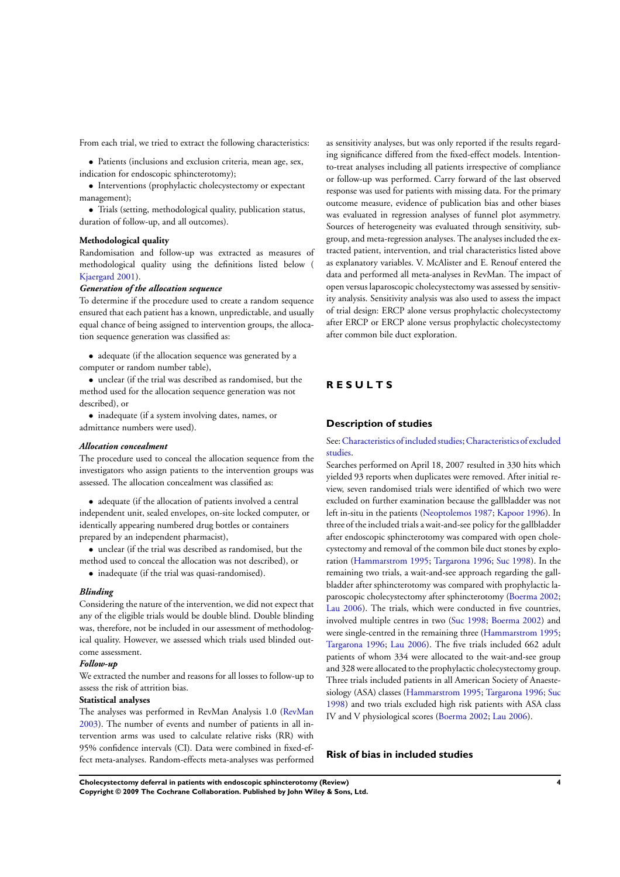From each trial, we tried to extract the following characteristics:

• Patients (inclusions and exclusion criteria, mean age, sex, indication for endoscopic sphincterotomy);

• Interventions (prophylactic cholecystectomy or expectant management);

• Trials (setting, methodological quality, publication status, duration of follow-up, and all outcomes).

# **Methodological quality**

Randomisation and follow-up was extracted as measures of methodological quality using the definitions listed below ( [Kjaergard 2001](#page-9-0)).

#### *Generation of the allocation sequence*

To determine if the procedure used to create a random sequence ensured that each patient has a known, unpredictable, and usually equal chance of being assigned to intervention groups, the allocation sequence generation was classified as:

• adequate (if the allocation sequence was generated by a computer or random number table),

• unclear (if the trial was described as randomised, but the method used for the allocation sequence generation was not described), or

• inadequate (if a system involving dates, names, or admittance numbers were used).

#### *Allocation concealment*

The procedure used to conceal the allocation sequence from the investigators who assign patients to the intervention groups was assessed. The allocation concealment was classified as:

• adequate (if the allocation of patients involved a central independent unit, sealed envelopes, on-site locked computer, or identically appearing numbered drug bottles or containers prepared by an independent pharmacist),

• unclear (if the trial was described as randomised, but the method used to conceal the allocation was not described), or

• inadequate (if the trial was quasi-randomised).

#### *Blinding*

Considering the nature of the intervention, we did not expect that any of the eligible trials would be double blind. Double blinding was, therefore, not be included in our assessment of methodological quality. However, we assessed which trials used blinded outcome assessment.

#### *Follow-up*

We extracted the number and reasons for all losses to follow-up to assess the risk of attrition bias.

### **Statistical analyses**

The analyses was performed in RevMan Analysis 1.0 ([RevMan](#page-9-0) [2003](#page-9-0)). The number of events and number of patients in all intervention arms was used to calculate relative risks (RR) with 95% confidence intervals (CI). Data were combined in fixed-effect meta-analyses. Random-effects meta-analyses was performed as sensitivity analyses, but was only reported if the results regarding significance differed from the fixed-effect models. Intentionto-treat analyses including all patients irrespective of compliance or follow-up was performed. Carry forward of the last observed response was used for patients with missing data. For the primary outcome measure, evidence of publication bias and other biases was evaluated in regression analyses of funnel plot asymmetry. Sources of heterogeneity was evaluated through sensitivity, subgroup, and meta-regression analyses. The analyses included the extracted patient, intervention, and trial characteristics listed above as explanatory variables. V. McAlister and E. Renouf entered the data and performed all meta-analyses in RevMan. The impact of open versus laparoscopic cholecystectomy was assessed by sensitivity analysis. Sensitivity analysis was also used to assess the impact of trial design: ERCP alone versus prophylactic cholecystectomy after ERCP or ERCP alone versus prophylactic cholecystectomy after common bile duct exploration.

# **R E S U L T S**

### **Description of studies**

### See:[Characteristics of included studies;](#page-11-0)[Characteristics of excluded](#page-15-0) [studies.](#page-15-0)

Searches performed on April 18, 2007 resulted in 330 hits which yielded 93 reports when duplicates were removed. After initial review, seven randomised trials were identified of which two were excluded on further examination because the gallbladder was not left in-situ in the patients ([Neoptolemos 1987;](#page-9-0) [Kapoor 1996](#page-9-0)). In three of the included trials a wait-and-see policy for the gallbladder after endoscopic sphincterotomy was compared with open cholecystectomy and removal of the common bile duct stones by exploration [\(Hammarstrom 1995;](#page-9-0) [Targarona 1996;](#page-9-0) [Suc 1998](#page-9-0)). In the remaining two trials, a wait-and-see approach regarding the gallbladder after sphincterotomy was compared with prophylactic laparoscopic cholecystectomy after sphincterotomy ([Boerma 2002;](#page-9-0) [Lau 2006\)](#page-9-0). The trials, which were conducted in five countries, involved multiple centres in two [\(Suc 1998](#page-9-0); [Boerma 2002](#page-9-0)) and were single-centred in the remaining three [\(Hammarstrom 1995;](#page-9-0) [Targarona 1996](#page-9-0); [Lau 2006](#page-9-0)). The five trials included 662 adult patients of whom 334 were allocated to the wait-and-see group and 328 were allocated to the prophylactic cholecystectomy group. Three trials included patients in all American Society of Anaestesiology (ASA) classes ([Hammarstrom 1995;](#page-9-0) [Targarona 1996](#page-9-0); [Suc](#page-9-0) [1998](#page-9-0)) and two trials excluded high risk patients with ASA class IV and V physiological scores ([Boerma 2002](#page-9-0); [Lau 2006](#page-9-0)).

### **Risk of bias in included studies**

**Cholecystectomy deferral in patients with endoscopic sphincterotomy (Review) 4 Copyright © 2009 The Cochrane Collaboration. Published by John Wiley & Sons, Ltd.**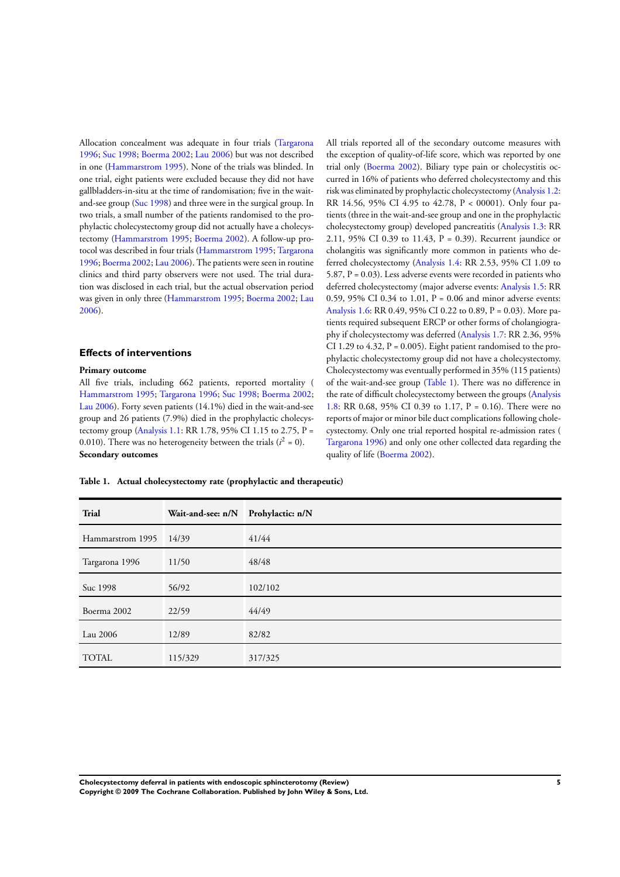<span id="page-7-0"></span>Allocation concealment was adequate in four trials [\(Targarona](#page-9-0) [1996](#page-9-0); [Suc 1998](#page-9-0); [Boerma 2002;](#page-9-0) [Lau 2006\)](#page-9-0) but was not described in one ([Hammarstrom 1995\)](#page-9-0). None of the trials was blinded. In one trial, eight patients were excluded because they did not have gallbladders-in-situ at the time of randomisation; five in the waitand-see group [\(Suc 1998\)](#page-9-0) and three were in the surgical group. In two trials, a small number of the patients randomised to the prophylactic cholecystectomy group did not actually have a cholecystectomy ([Hammarstrom 1995;](#page-9-0) [Boerma 2002](#page-9-0)). A follow-up protocol was described in four trials ([Hammarstrom 1995](#page-9-0); [Targarona](#page-9-0) [1996](#page-9-0); [Boerma 2002;](#page-9-0) [Lau 2006\)](#page-9-0). The patients were seen in routine clinics and third party observers were not used. The trial duration was disclosed in each trial, but the actual observation period was given in only three [\(Hammarstrom 1995](#page-9-0); [Boerma 2002;](#page-9-0) [Lau](#page-9-0) [2006](#page-9-0)).

#### **Effects of interventions**

#### **Primary outcome**

All five trials, including 662 patients, reported mortality ( [Hammarstrom 1995](#page-9-0); [Targarona 1996;](#page-9-0) [Suc 1998](#page-9-0); [Boerma 2002;](#page-9-0) [Lau 2006](#page-9-0)). Forty seven patients (14.1%) died in the wait-and-see group and 26 patients (7.9%) died in the prophylactic cholecys-tectomy group [\(Analysis 1.1:](#page-19-0) RR 1.78, 95% CI 1.15 to 2.75,  $P =$ 0.010). There was no heterogeneity between the trials  $(i^2 = 0)$ . **Secondary outcomes**

All trials reported all of the secondary outcome measures with the exception of quality-of-life score, which was reported by one trial only ([Boerma 2002](#page-9-0)). Biliary type pain or cholecystitis occurred in 16% of patients who deferred cholecystectomy and this risk was eliminated by prophylactic cholecystectomy ([Analysis 1.2:](#page-19-0) RR 14.56, 95% CI 4.95 to 42.78, P < 00001). Only four patients (three in the wait-and-see group and one in the prophylactic cholecystectomy group) developed pancreatitis [\(Analysis 1.3](#page-20-0): RR 2.11, 95% CI 0.39 to 11.43, P = 0.39). Recurrent jaundice or cholangitis was significantly more common in patients who deferred cholecystectomy ([Analysis 1.4](#page-21-0): RR 2.53, 95% CI 1.09 to 5.87, P = 0.03). Less adverse events were recorded in patients who deferred cholecystectomy (major adverse events: [Analysis 1.5](#page-22-0): RR 0.59, 95% CI 0.34 to 1.01, P = 0.06 and minor adverse events: [Analysis 1.6:](#page-23-0) RR 0.49, 95% CI 0.22 to 0.89, P = 0.03). More patients required subsequent ERCP or other forms of cholangiography if cholecystectomy was deferred [\(Analysis 1.7:](#page-24-0) RR 2.36, 95% CI 1.29 to 4.32,  $P = 0.005$ ). Eight patient randomised to the prophylactic cholecystectomy group did not have a cholecystectomy. Cholecystectomy was eventually performed in 35% (115 patients) of the wait-and-see group (Table 1). There was no difference in the rate of difficult cholecystectomy between the groups ([Analysis](#page-25-0) [1.8](#page-25-0): RR 0.68, 95% CI 0.39 to 1.17, P = 0.16). There were no reports of major or minor bile duct complications following cholecystectomy. Only one trial reported hospital re-admission rates ( [Targarona 1996\)](#page-9-0) and only one other collected data regarding the quality of life [\(Boerma 2002\)](#page-9-0).

**Table 1. Actual cholecystectomy rate (prophylactic and therapeutic)**

| <b>Trial</b>           | Wait-and-see: n/N Prohylactic: n/N |         |
|------------------------|------------------------------------|---------|
| Hammarstrom 1995 14/39 |                                    | 41/44   |
| Targarona 1996         | 11/50                              | 48/48   |
| Suc 1998               | 56/92                              | 102/102 |
| Boerma 2002            | 22/59                              | 44/49   |
| Lau 2006               | 12/89                              | 82/82   |
| <b>TOTAL</b>           | 115/329                            | 317/325 |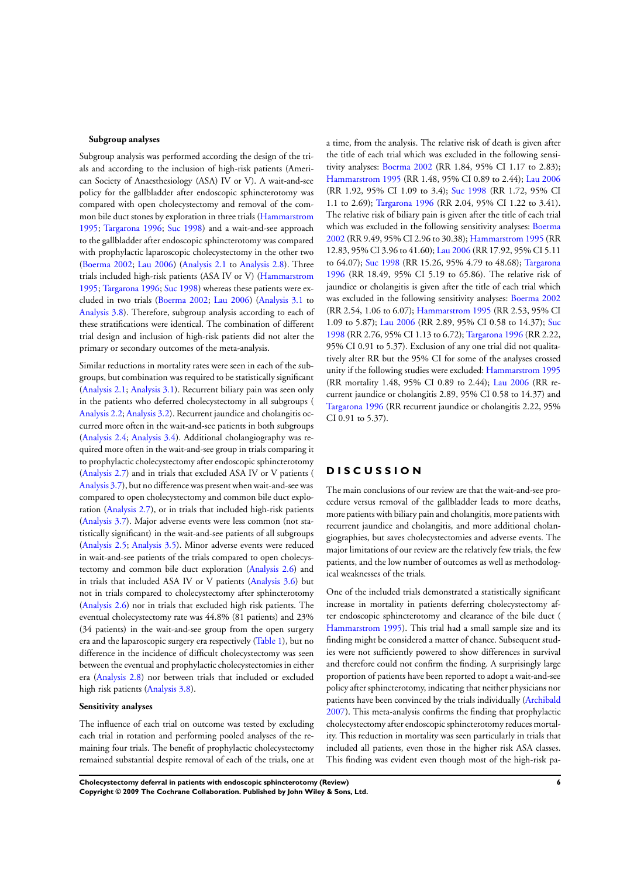#### **Subgroup analyses**

Subgroup analysis was performed according the design of the trials and according to the inclusion of high-risk patients (American Society of Anaesthesiology (ASA) IV or V). A wait-and-see policy for the gallbladder after endoscopic sphincterotomy was compared with open cholecystectomy and removal of the common bile duct stones by exploration in three trials [\(Hammarstrom](#page-9-0) [1995](#page-9-0); [Targarona 1996](#page-9-0); [Suc 1998](#page-9-0)) and a wait-and-see approach to the gallbladder after endoscopic sphincterotomy was compared with prophylactic laparoscopic cholecystectomy in the other two [\(Boerma 2002](#page-9-0); [Lau 2006](#page-9-0)) ([Analysis 2.1](#page-26-0) to [Analysis 2.8\)](#page-33-0). Three trials included high-risk patients (ASA IV or V) [\(Hammarstrom](#page-9-0) [1995](#page-9-0); [Targarona 1996](#page-9-0); [Suc 1998](#page-9-0)) whereas these patients were excluded in two trials ([Boerma 2002;](#page-9-0) [Lau 2006\)](#page-9-0) [\(Analysis 3.1](#page-34-0) to [Analysis 3.8](#page-41-0)). Therefore, subgroup analysis according to each of these stratifications were identical. The combination of different trial design and inclusion of high-risk patients did not alter the primary or secondary outcomes of the meta-analysis.

Similar reductions in mortality rates were seen in each of the subgroups, but combination was required to be statistically significant [\(Analysis 2.1;](#page-26-0) [Analysis 3.1](#page-34-0)). Recurrent biliary pain was seen only in the patients who deferred cholecystectomy in all subgroups ( [Analysis 2.2](#page-27-0); [Analysis 3.2\)](#page-35-0). Recurrent jaundice and cholangitis occurred more often in the wait-and-see patients in both subgroups [\(Analysis 2.4](#page-29-0); [Analysis 3.4\)](#page-37-0). Additional cholangiography was required more often in the wait-and-see group in trials comparing it to prophylactic cholecystectomy after endoscopic sphincterotomy [\(Analysis 2.7](#page-32-0)) and in trials that excluded ASA IV or V patients ( [Analysis 3.7](#page-40-0)), but no difference was present when wait-and-see was compared to open cholecystectomy and common bile duct exploration [\(Analysis 2.7\)](#page-32-0), or in trials that included high-risk patients [\(Analysis 3.7](#page-40-0)). Major adverse events were less common (not statistically significant) in the wait-and-see patients of all subgroups [\(Analysis 2.5;](#page-30-0) [Analysis 3.5](#page-38-0)). Minor adverse events were reduced in wait-and-see patients of the trials compared to open cholecystectomy and common bile duct exploration [\(Analysis 2.6](#page-31-0)) and in trials that included ASA IV or V patients ([Analysis 3.6](#page-39-0)) but not in trials compared to cholecystectomy after sphincterotomy [\(Analysis 2.6](#page-31-0)) nor in trials that excluded high risk patients. The eventual cholecystectomy rate was 44.8% (81 patients) and 23% (34 patients) in the wait-and-see group from the open surgery era and the laparoscopic surgery era respectively ([Table 1\)](#page-7-0), but no difference in the incidence of difficult cholecystectomy was seen between the eventual and prophylactic cholecystectomies in either era ([Analysis 2.8](#page-33-0)) nor between trials that included or excluded high risk patients [\(Analysis 3.8](#page-41-0)).

#### **Sensitivity analyses**

The influence of each trial on outcome was tested by excluding each trial in rotation and performing pooled analyses of the remaining four trials. The benefit of prophylactic cholecystectomy remained substantial despite removal of each of the trials, one at a time, from the analysis. The relative risk of death is given after the title of each trial which was excluded in the following sensitivity analyses: [Boerma 2002](#page-9-0) (RR 1.84, 95% CI 1.17 to 2.83); [Hammarstrom 1995](#page-9-0) (RR 1.48, 95% CI 0.89 to 2.44); [Lau 2006](#page-9-0) (RR 1.92, 95% CI 1.09 to 3.4); [Suc 1998](#page-9-0) (RR 1.72, 95% CI 1.1 to 2.69); [Targarona 1996](#page-9-0) (RR 2.04, 95% CI 1.22 to 3.41). The relative risk of biliary pain is given after the title of each trial which was excluded in the following sensitivity analyses: [Boerma](#page-9-0) [2002](#page-9-0) (RR 9.49, 95% CI 2.96 to 30.38); [Hammarstrom 1995](#page-9-0) (RR 12.83, 95% CI 3.96 to 41.60); [Lau 2006](#page-9-0) (RR 17.92, 95% CI 5.11 to 64.07); [Suc 1998](#page-9-0) (RR 15.26, 95% 4.79 to 48.68); [Targarona](#page-9-0) [1996](#page-9-0) (RR 18.49, 95% CI 5.19 to 65.86). The relative risk of jaundice or cholangitis is given after the title of each trial which was excluded in the following sensitivity analyses: [Boerma 2002](#page-9-0) (RR 2.54, 1.06 to 6.07); [Hammarstrom 1995](#page-9-0) (RR 2.53, 95% CI 1.09 to 5.87); [Lau 2006](#page-9-0) (RR 2.89, 95% CI 0.58 to 14.37); [Suc](#page-9-0) [1998](#page-9-0) (RR 2.76, 95% CI 1.13 to 6.72); [Targarona 1996](#page-9-0) (RR 2.22, 95% CI 0.91 to 5.37). Exclusion of any one trial did not qualitatively alter RR but the 95% CI for some of the analyses crossed unity if the following studies were excluded: [Hammarstrom 1995](#page-9-0) (RR mortality 1.48, 95% CI 0.89 to 2.44); [Lau 2006](#page-9-0) (RR recurrent jaundice or cholangitis 2.89, 95% CI 0.58 to 14.37) and [Targarona 1996](#page-9-0) (RR recurrent jaundice or cholangitis 2.22, 95% CI 0.91 to 5.37).

# **D I S C U S S I O N**

The main conclusions of our review are that the wait-and-see procedure versus removal of the gallbladder leads to more deaths, more patients with biliary pain and cholangitis, more patients with recurrent jaundice and cholangitis, and more additional cholangiographies, but saves cholecystectomies and adverse events. The major limitations of our review are the relatively few trials, the few patients, and the low number of outcomes as well as methodological weaknesses of the trials.

One of the included trials demonstrated a statistically significant increase in mortality in patients deferring cholecystectomy after endoscopic sphincterotomy and clearance of the bile duct ( [Hammarstrom 1995\)](#page-9-0). This trial had a small sample size and its finding might be considered a matter of chance. Subsequent studies were not sufficiently powered to show differences in survival and therefore could not confirm the finding. A surprisingly large proportion of patients have been reported to adopt a wait-and-see policy after sphincterotomy, indicating that neither physicians nor patients have been convinced by the trials individually [\(Archibald](#page-9-0) [2007](#page-9-0)). This meta-analysis confirms the finding that prophylactic cholecystectomy after endoscopic sphincterotomy reduces mortality. This reduction in mortality was seen particularly in trials that included all patients, even those in the higher risk ASA classes. This finding was evident even though most of the high-risk pa-

**Cholecystectomy deferral in patients with endoscopic sphincterotomy (Review) 6 Copyright © 2009 The Cochrane Collaboration. Published by John Wiley & Sons, Ltd.**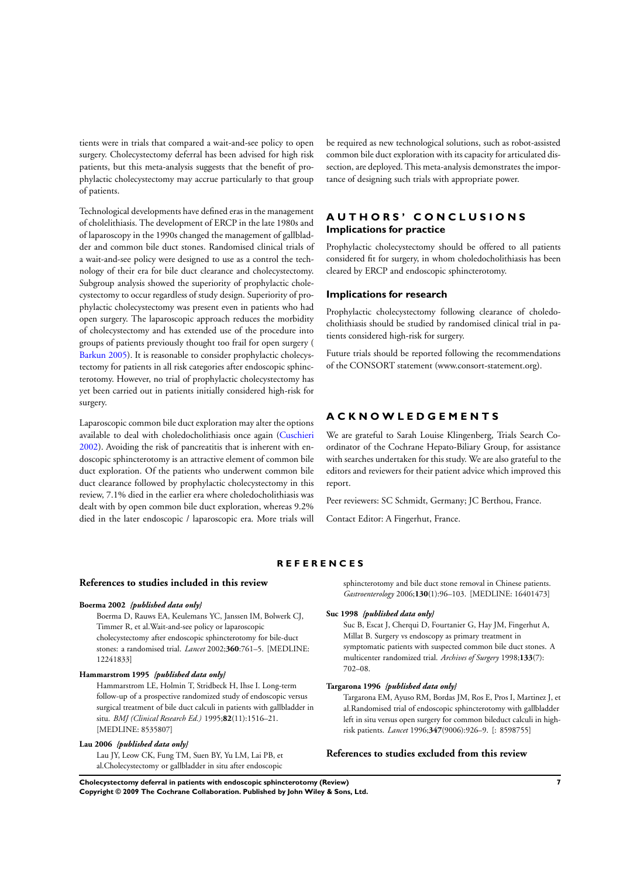<span id="page-9-0"></span>tients were in trials that compared a wait-and-see policy to open surgery. Cholecystectomy deferral has been advised for high risk patients, but this meta-analysis suggests that the benefit of prophylactic cholecystectomy may accrue particularly to that group of patients.

Technological developments have defined eras in the management of cholelithiasis. The development of ERCP in the late 1980s and of laparoscopy in the 1990s changed the management of gallbladder and common bile duct stones. Randomised clinical trials of a wait-and-see policy were designed to use as a control the technology of their era for bile duct clearance and cholecystectomy. Subgroup analysis showed the superiority of prophylactic cholecystectomy to occur regardless of study design. Superiority of prophylactic cholecystectomy was present even in patients who had open surgery. The laparoscopic approach reduces the morbidity of cholecystectomy and has extended use of the procedure into groups of patients previously thought too frail for open surgery ( Barkun 2005). It is reasonable to consider prophylactic cholecystectomy for patients in all risk categories after endoscopic sphincterotomy. However, no trial of prophylactic cholecystectomy has yet been carried out in patients initially considered high-risk for surgery.

Laparoscopic common bile duct exploration may alter the options available to deal with choledocholithiasis once again (Cuschieri 2002). Avoiding the risk of pancreatitis that is inherent with endoscopic sphincterotomy is an attractive element of common bile duct exploration. Of the patients who underwent common bile duct clearance followed by prophylactic cholecystectomy in this review, 7.1% died in the earlier era where choledocholithiasis was dealt with by open common bile duct exploration, whereas 9.2% died in the later endoscopic / laparoscopic era. More trials will

be required as new technological solutions, such as robot-assisted common bile duct exploration with its capacity for articulated dissection, are deployed. This meta-analysis demonstrates the importance of designing such trials with appropriate power.

# **A U T H O R S ' C O N C L U S I O N S Implications for practice**

Prophylactic cholecystectomy should be offered to all patients considered fit for surgery, in whom choledocholithiasis has been cleared by ERCP and endoscopic sphincterotomy.

### **Implications for research**

Prophylactic cholecystectomy following clearance of choledocholithiasis should be studied by randomised clinical trial in patients considered high-risk for surgery.

Future trials should be reported following the recommendations of the CONSORT statement (www.consort-statement.org).

# **A C K N O W L E D G E M E N T S**

We are grateful to Sarah Louise Klingenberg, Trials Search Coordinator of the Cochrane Hepato-Biliary Group, for assistance with searches undertaken for this study. We are also grateful to the editors and reviewers for their patient advice which improved this report.

Peer reviewers: SC Schmidt, Germany; JC Berthou, France.

Contact Editor: A Fingerhut, France.

### **R E F E R E N C E S**

#### **References to studies included in this review**

#### **Boerma 2002** *{published data only}*

Boerma D, Rauws EA, Keulemans YC, Janssen IM, Bolwerk CJ, Timmer R, et al.Wait-and-see policy or laparoscopic cholecystectomy after endoscopic sphincterotomy for bile-duct stones: a randomised trial. *Lancet* 2002;**360**:761–5. [MEDLINE: 12241833]

#### **Hammarstrom 1995** *{published data only}*

Hammarstrom LE, Holmin T, Stridbeck H, Ihse I. Long-term follow-up of a prospective randomized study of endoscopic versus surgical treatment of bile duct calculi in patients with gallbladder in situ. *BMJ (Clinical Research Ed.)* 1995;**82**(11):1516–21. [MEDLINE: 8535807]

#### **Lau 2006** *{published data only}*

Lau JY, Leow CK, Fung TM, Suen BY, Yu LM, Lai PB, et al.Cholecystectomy or gallbladder in situ after endoscopic

sphincterotomy and bile duct stone removal in Chinese patients. *Gastroenterology* 2006;**130**(1):96–103. [MEDLINE: 16401473]

#### **Suc 1998** *{published data only}*

Suc B, Escat J, Cherqui D, Fourtanier G, Hay JM, Fingerhut A, Millat B. Surgery vs endoscopy as primary treatment in symptomatic patients with suspected common bile duct stones. A multicenter randomized trial. *Archives of Surgery* 1998;**133**(7): 702–08.

#### **Targarona 1996** *{published data only}*

Targarona EM, Ayuso RM, Bordas JM, Ros E, Pros I, Martinez J, et al.Randomised trial of endoscopic sphincterotomy with gallbladder left in situ versus open surgery for common bileduct calculi in highrisk patients. *Lancet* 1996;**347**(9006):926–9. [: 8598755]

### **References to studies excluded from this review**

**Cholecystectomy deferral in patients with endoscopic sphincterotomy (Review) 7 Copyright © 2009 The Cochrane Collaboration. Published by John Wiley & Sons, Ltd.**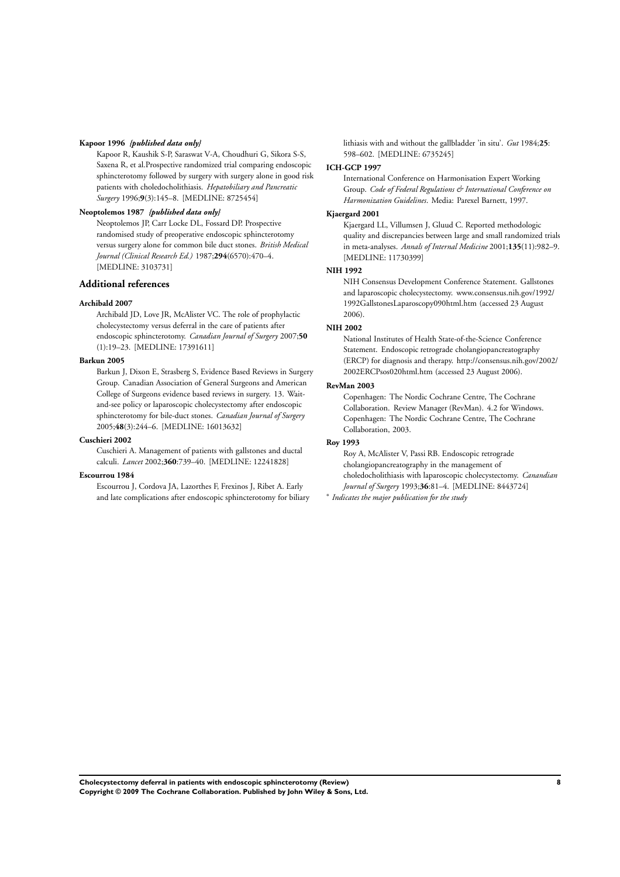### **Kapoor 1996** *{published data only}*

Kapoor R, Kaushik S-P, Saraswat V-A, Choudhuri G, Sikora S-S, Saxena R, et al.Prospective randomized trial comparing endoscopic sphincterotomy followed by surgery with surgery alone in good risk patients with choledocholithiasis. *Hepatobiliary and Pancreatic Surgery* 1996;**9**(3):145–8. [MEDLINE: 8725454]

### **Neoptolemos 1987** *{published data only}*

Neoptolemos JP, Carr Locke DL, Fossard DP. Prospective randomised study of preoperative endoscopic sphincterotomy versus surgery alone for common bile duct stones. *British Medical Journal (Clinical Research Ed.)* 1987;**294**(6570):470–4. [MEDLINE: 3103731]

#### **Additional references**

#### **Archibald 2007**

Archibald JD, Love JR, McAlister VC. The role of prophylactic cholecystectomy versus deferral in the care of patients after endoscopic sphincterotomy. *Canadian Journal of Surgery* 2007;**50** (1):19–23. [MEDLINE: 17391611]

#### **Barkun 2005**

Barkun J, Dixon E, Strasberg S, Evidence Based Reviews in Surgery Group. Canadian Association of General Surgeons and American College of Surgeons evidence based reviews in surgery. 13. Waitand-see policy or laparoscopic cholecystectomy after endoscopic sphincterotomy for bile-duct stones. *Canadian Journal of Surgery* 2005;**48**(3):244–6. [MEDLINE: 16013632]

### **Cuschieri 2002**

Cuschieri A. Management of patients with gallstones and ductal calculi. *Lancet* 2002;**360**:739–40. [MEDLINE: 12241828]

#### **Escourrou 1984**

Escourrou J, Cordova JA, Lazorthes F, Frexinos J, Ribet A. Early and late complications after endoscopic sphincterotomy for biliary lithiasis with and without the gallbladder 'in situ'. *Gut* 1984;**25**: 598–602. [MEDLINE: 6735245]

### **ICH-GCP 1997**

International Conference on Harmonisation Expert Working Group. *Code of Federal Regulations & International Conference on Harmonization Guidelines*. Media: Parexel Barnett, 1997.

### **Kjaergard 2001**

Kjaergard LL, Villumsen J, Gluud C. Reported methodologic quality and discrepancies between large and small randomized trials in meta-analyses. *Annals of Internal Medicine* 2001;**135**(11):982–9. [MEDLINE: 11730399]

#### **NIH 1992**

NIH Consensus Development Conference Statement. Gallstones and laparoscopic cholecystectomy. www.consensus.nih.gov/1992/ 1992GallstonesLaparoscopy090html.htm (accessed 23 August 2006).

### **NIH 2002**

National Institutes of Health State-of-the-Science Conference Statement. Endoscopic retrograde cholangiopancreatography (ERCP) for diagnosis and therapy. http://consensus.nih.gov/2002/ 2002ERCPsos020html.htm (accessed 23 August 2006).

#### **RevMan 2003**

Copenhagen: The Nordic Cochrane Centre, The Cochrane Collaboration. Review Manager (RevMan). 4.2 for Windows. Copenhagen: The Nordic Cochrane Centre, The Cochrane Collaboration, 2003.

### **Roy 1993**

Roy A, McAlister V, Passi RB. Endoscopic retrograde cholangiopancreatography in the management of choledocholithiasis with laparoscopic cholecystectomy. *Canandian Journal of Surgery* 1993;**36**:81–4. [MEDLINE: 8443724]

∗ *Indicates the major publication for the study*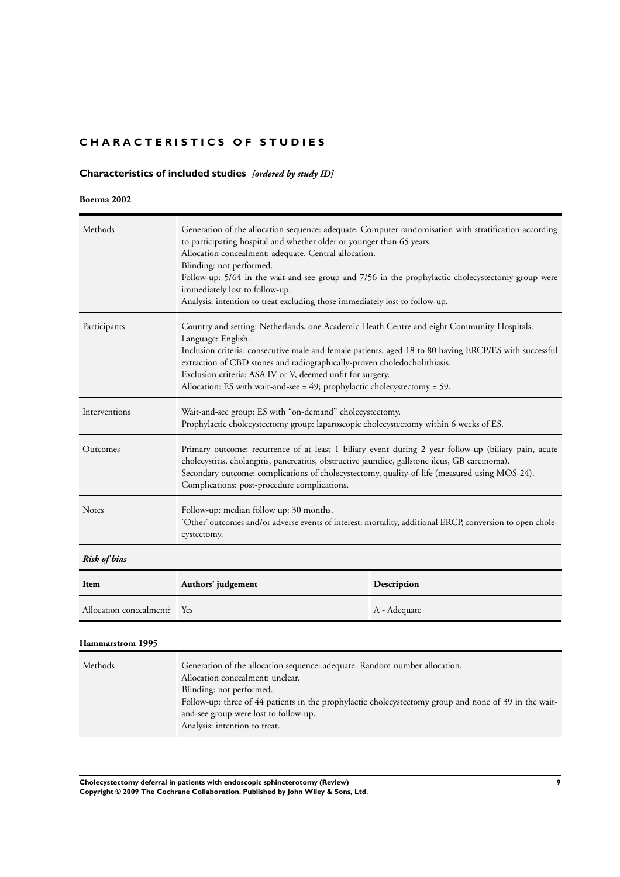# <span id="page-11-0"></span>**CHARACTERISTICS OF STUDIES**

# **Characteristics of included studies** *[ordered by study ID]*

**Boerma 2002**

| Methods                 | Generation of the allocation sequence: adequate. Computer randomisation with stratification according<br>to participating hospital and whether older or younger than 65 years.<br>Allocation concealment: adequate. Central allocation.<br>Blinding: not performed.<br>Follow-up: 5/64 in the wait-and-see group and 7/56 in the prophylactic cholecystectomy group were<br>immediately lost to follow-up.<br>Analysis: intention to treat excluding those immediately lost to follow-up. |                                                                                                                                                    |  |  |  |  |
|-------------------------|-------------------------------------------------------------------------------------------------------------------------------------------------------------------------------------------------------------------------------------------------------------------------------------------------------------------------------------------------------------------------------------------------------------------------------------------------------------------------------------------|----------------------------------------------------------------------------------------------------------------------------------------------------|--|--|--|--|
| Participants            | Country and setting: Netherlands, one Academic Heath Centre and eight Community Hospitals.<br>Language: English.<br>Inclusion criteria: consecutive male and female patients, aged 18 to 80 having ERCP/ES with successful<br>extraction of CBD stones and radiographically-proven choledocholithiasis.<br>Exclusion criteria: ASA IV or V, deemed unfit for surgery.<br>Allocation: ES with wait-and-see = 49; prophylactic cholecystectomy = 59.                                        |                                                                                                                                                    |  |  |  |  |
| Interventions           |                                                                                                                                                                                                                                                                                                                                                                                                                                                                                           | Wait-and-see group: ES with "on-demand" cholecystectomy.<br>Prophylactic cholecystectomy group: laparoscopic cholecystectomy within 6 weeks of ES. |  |  |  |  |
| Outcomes                | Primary outcome: recurrence of at least 1 biliary event during 2 year follow-up (biliary pain, acute<br>cholecystitis, cholangitis, pancreatitis, obstructive jaundice, gallstone ileus, GB carcinoma).<br>Secondary outcome: complications of cholecystectomy, quality-of-life (measured using MOS-24).<br>Complications: post-procedure complications.                                                                                                                                  |                                                                                                                                                    |  |  |  |  |
| Notes                   | Follow-up: median follow up: 30 months.<br>'Other' outcomes and/or adverse events of interest: mortality, additional ERCP, conversion to open chole-<br>cystectomy.                                                                                                                                                                                                                                                                                                                       |                                                                                                                                                    |  |  |  |  |
| <b>Risk of bias</b>     |                                                                                                                                                                                                                                                                                                                                                                                                                                                                                           |                                                                                                                                                    |  |  |  |  |
| Item                    | Authors' judgement                                                                                                                                                                                                                                                                                                                                                                                                                                                                        | Description                                                                                                                                        |  |  |  |  |
| Allocation concealment? | Yes<br>A - Adequate                                                                                                                                                                                                                                                                                                                                                                                                                                                                       |                                                                                                                                                    |  |  |  |  |
| <b>Hammarstrom 1995</b> |                                                                                                                                                                                                                                                                                                                                                                                                                                                                                           |                                                                                                                                                    |  |  |  |  |
| Methods                 | Generation of the allocation sequence: adequate. Random number allocation.<br>Allocation concealment: unclear.<br>Blinding: not performed.<br>Follow-up: three of 44 patients in the prophylactic cholecystectomy group and none of 39 in the wait-                                                                                                                                                                                                                                       |                                                                                                                                                    |  |  |  |  |

**Cholecystectomy deferral in patients with endoscopic sphincterotomy (Review) 9 Copyright © 2009 The Cochrane Collaboration. Published by John Wiley & Sons, Ltd.**

and-see group were lost to follow-up.

Analysis: intention to treat.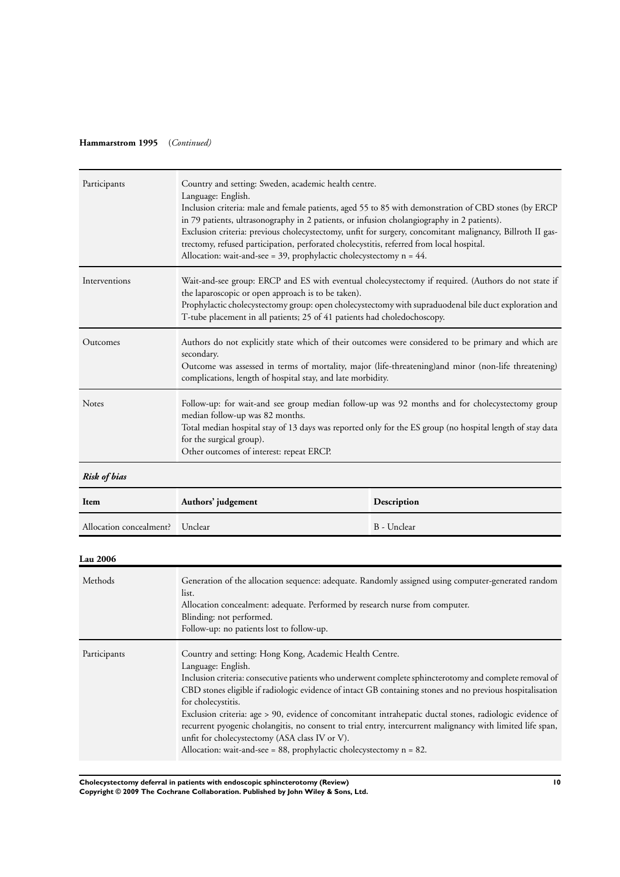# **Hammarstrom 1995** (*Continued)*

| Participants            | Country and setting: Sweden, academic health centre.<br>Language: English.<br>Inclusion criteria: male and female patients, aged 55 to 85 with demonstration of CBD stones (by ERCP<br>in 79 patients, ultrasonography in 2 patients, or infusion cholangiography in 2 patients).<br>Exclusion criteria: previous cholecystectomy, unfit for surgery, concomitant malignancy, Billroth II gas-<br>trectomy, refused participation, perforated cholecystitis, referred from local hospital.<br>Allocation: wait-and-see = 39, prophylactic cholecystectomy $n = 44$ .                                                                                                                                                             |                                                                                                                                                                                                                                                                                          |  |  |  |  |
|-------------------------|----------------------------------------------------------------------------------------------------------------------------------------------------------------------------------------------------------------------------------------------------------------------------------------------------------------------------------------------------------------------------------------------------------------------------------------------------------------------------------------------------------------------------------------------------------------------------------------------------------------------------------------------------------------------------------------------------------------------------------|------------------------------------------------------------------------------------------------------------------------------------------------------------------------------------------------------------------------------------------------------------------------------------------|--|--|--|--|
| Interventions           | the laparoscopic or open approach is to be taken).                                                                                                                                                                                                                                                                                                                                                                                                                                                                                                                                                                                                                                                                               | Wait-and-see group: ERCP and ES with eventual cholecystectomy if required. (Authors do not state if<br>Prophylactic cholecystectomy group: open cholecystectomy with supraduodenal bile duct exploration and<br>T-tube placement in all patients; 25 of 41 patients had choledochoscopy. |  |  |  |  |
| Outcomes                | secondary.                                                                                                                                                                                                                                                                                                                                                                                                                                                                                                                                                                                                                                                                                                                       | Authors do not explicitly state which of their outcomes were considered to be primary and which are<br>Outcome was assessed in terms of mortality, major (life-threatening)and minor (non-life threatening)<br>complications, length of hospital stay, and late morbidity.               |  |  |  |  |
| Notes                   | Follow-up: for wait-and see group median follow-up was 92 months and for cholecystectomy group<br>median follow-up was 82 months.<br>Total median hospital stay of 13 days was reported only for the ES group (no hospital length of stay data<br>for the surgical group).<br>Other outcomes of interest: repeat ERCP.                                                                                                                                                                                                                                                                                                                                                                                                           |                                                                                                                                                                                                                                                                                          |  |  |  |  |
| <b>Risk of bias</b>     |                                                                                                                                                                                                                                                                                                                                                                                                                                                                                                                                                                                                                                                                                                                                  |                                                                                                                                                                                                                                                                                          |  |  |  |  |
| Item                    | Authors' judgement                                                                                                                                                                                                                                                                                                                                                                                                                                                                                                                                                                                                                                                                                                               | Description                                                                                                                                                                                                                                                                              |  |  |  |  |
| Allocation concealment? | Unclear                                                                                                                                                                                                                                                                                                                                                                                                                                                                                                                                                                                                                                                                                                                          | B - Unclear                                                                                                                                                                                                                                                                              |  |  |  |  |
| <b>Lau 2006</b>         |                                                                                                                                                                                                                                                                                                                                                                                                                                                                                                                                                                                                                                                                                                                                  |                                                                                                                                                                                                                                                                                          |  |  |  |  |
| Methods                 | Generation of the allocation sequence: adequate. Randomly assigned using computer-generated random<br>list.<br>Allocation concealment: adequate. Performed by research nurse from computer.<br>Blinding: not performed.                                                                                                                                                                                                                                                                                                                                                                                                                                                                                                          |                                                                                                                                                                                                                                                                                          |  |  |  |  |
| Participants            | Follow-up: no patients lost to follow-up.<br>Country and setting: Hong Kong, Academic Health Centre.<br>Language: English.<br>Inclusion criteria: consecutive patients who underwent complete sphincterotomy and complete removal of<br>CBD stones eligible if radiologic evidence of intact GB containing stones and no previous hospitalisation<br>for cholecystitis.<br>Exclusion criteria: age > 90, evidence of concomitant intrahepatic ductal stones, radiologic evidence of<br>recurrent pyogenic cholangitis, no consent to trial entry, intercurrent malignancy with limited life span,<br>unfit for cholecystectomy (ASA class IV or V).<br>Allocation: wait-and-see = $88$ , prophylactic cholecystectomy $n = 82$ . |                                                                                                                                                                                                                                                                                          |  |  |  |  |

**Cholecystectomy deferral in patients with endoscopic sphincterotomy (Review) 10**

**Copyright © 2009 The Cochrane Collaboration. Published by John Wiley & Sons, Ltd.**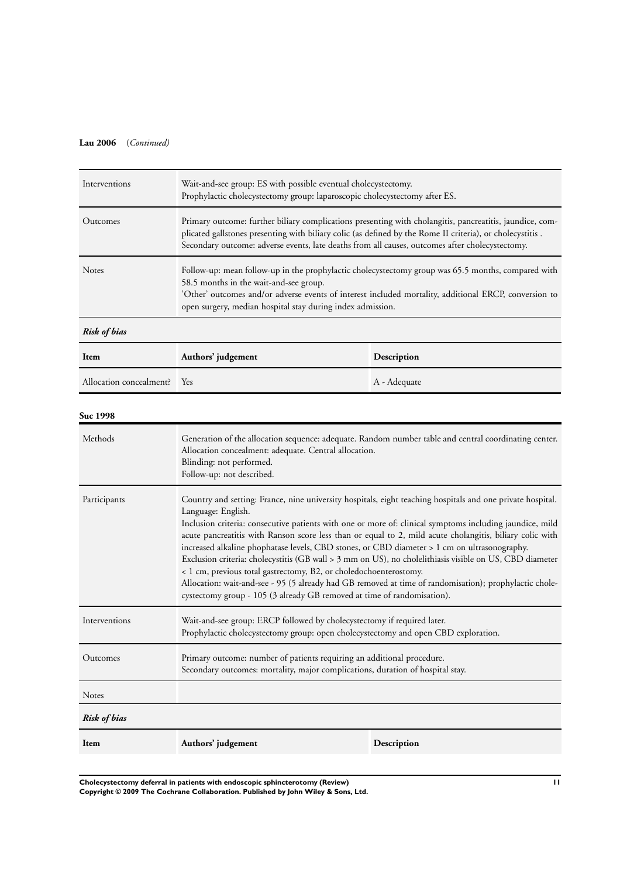### **Lau 2006** (*Continued)*

| Interventions           | Wait-and-see group: ES with possible eventual cholecystectomy.<br>Prophylactic cholecystectomy group: laparoscopic cholecystectomy after ES.                                                                                                                                                                                                                                                                                                                                                                                                                                                                                                                                                                                                                                                                                  |                                                                                                       |  |  |  |  |
|-------------------------|-------------------------------------------------------------------------------------------------------------------------------------------------------------------------------------------------------------------------------------------------------------------------------------------------------------------------------------------------------------------------------------------------------------------------------------------------------------------------------------------------------------------------------------------------------------------------------------------------------------------------------------------------------------------------------------------------------------------------------------------------------------------------------------------------------------------------------|-------------------------------------------------------------------------------------------------------|--|--|--|--|
| Outcomes                | Primary outcome: further biliary complications presenting with cholangitis, pancreatitis, jaundice, com-<br>plicated gallstones presenting with biliary colic (as defined by the Rome II criteria), or cholecystitis .<br>Secondary outcome: adverse events, late deaths from all causes, outcomes after cholecystectomy.                                                                                                                                                                                                                                                                                                                                                                                                                                                                                                     |                                                                                                       |  |  |  |  |
| <b>Notes</b>            | Follow-up: mean follow-up in the prophylactic cholecystectomy group was 65.5 months, compared with<br>58.5 months in the wait-and-see group.<br>'Other' outcomes and/or adverse events of interest included mortality, additional ERCP, conversion to<br>open surgery, median hospital stay during index admission.                                                                                                                                                                                                                                                                                                                                                                                                                                                                                                           |                                                                                                       |  |  |  |  |
| <b>Risk of bias</b>     |                                                                                                                                                                                                                                                                                                                                                                                                                                                                                                                                                                                                                                                                                                                                                                                                                               |                                                                                                       |  |  |  |  |
| Item                    | Authors' judgement                                                                                                                                                                                                                                                                                                                                                                                                                                                                                                                                                                                                                                                                                                                                                                                                            | Description                                                                                           |  |  |  |  |
| Allocation concealment? | Yes                                                                                                                                                                                                                                                                                                                                                                                                                                                                                                                                                                                                                                                                                                                                                                                                                           | A - Adequate                                                                                          |  |  |  |  |
| Suc 1998                |                                                                                                                                                                                                                                                                                                                                                                                                                                                                                                                                                                                                                                                                                                                                                                                                                               |                                                                                                       |  |  |  |  |
| Methods                 | Allocation concealment: adequate. Central allocation.<br>Blinding: not performed.<br>Follow-up: not described.                                                                                                                                                                                                                                                                                                                                                                                                                                                                                                                                                                                                                                                                                                                | Generation of the allocation sequence: adequate. Random number table and central coordinating center. |  |  |  |  |
| Participants            | Country and setting: France, nine university hospitals, eight teaching hospitals and one private hospital.<br>Language: English.<br>Inclusion criteria: consecutive patients with one or more of: clinical symptoms including jaundice, mild<br>acute pancreatitis with Ranson score less than or equal to 2, mild acute cholangitis, biliary colic with<br>increased alkaline phophatase levels, CBD stones, or CBD diameter > 1 cm on ultrasonography.<br>Exclusion criteria: cholecystitis (GB wall > 3 mm on US), no cholelithiasis visible on US, CBD diameter<br>< 1 cm, previous total gastrectomy, B2, or choledochoenterostomy.<br>Allocation: wait-and-see - 95 (5 already had GB removed at time of randomisation); prophylactic chole-<br>cystectomy group - 105 (3 already GB removed at time of randomisation). |                                                                                                       |  |  |  |  |
| Interventions           | Wait-and-see group: ERCP followed by cholecystectomy if required later.<br>Prophylactic cholecystectomy group: open cholecystectomy and open CBD exploration.                                                                                                                                                                                                                                                                                                                                                                                                                                                                                                                                                                                                                                                                 |                                                                                                       |  |  |  |  |
| Outcomes                | Primary outcome: number of patients requiring an additional procedure.<br>Secondary outcomes: mortality, major complications, duration of hospital stay.                                                                                                                                                                                                                                                                                                                                                                                                                                                                                                                                                                                                                                                                      |                                                                                                       |  |  |  |  |
| Notes                   |                                                                                                                                                                                                                                                                                                                                                                                                                                                                                                                                                                                                                                                                                                                                                                                                                               |                                                                                                       |  |  |  |  |
| <b>Risk of bias</b>     |                                                                                                                                                                                                                                                                                                                                                                                                                                                                                                                                                                                                                                                                                                                                                                                                                               |                                                                                                       |  |  |  |  |
| Item                    | Authors' judgement                                                                                                                                                                                                                                                                                                                                                                                                                                                                                                                                                                                                                                                                                                                                                                                                            | Description                                                                                           |  |  |  |  |

**Cholecystectomy deferral in patients with endoscopic sphincterotomy (Review) 11 Copyright © 2009 The Cochrane Collaboration. Published by John Wiley & Sons, Ltd.**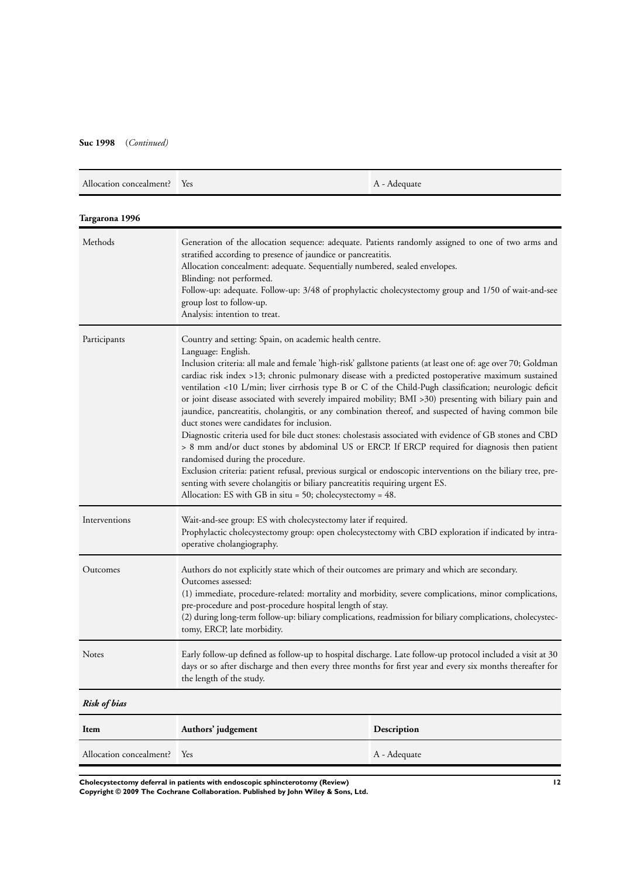## **Suc 1998** (*Continued)*

| Allocation concealment? | Yes                                                                                                                                                                                                                                                                                                                                                                                                                                                                                                                                                                                                                                                                                                                                                                                                                                                                                                                                                                                                                                                                                                                                                                                               | A - Adequate |  |  |  |  |
|-------------------------|---------------------------------------------------------------------------------------------------------------------------------------------------------------------------------------------------------------------------------------------------------------------------------------------------------------------------------------------------------------------------------------------------------------------------------------------------------------------------------------------------------------------------------------------------------------------------------------------------------------------------------------------------------------------------------------------------------------------------------------------------------------------------------------------------------------------------------------------------------------------------------------------------------------------------------------------------------------------------------------------------------------------------------------------------------------------------------------------------------------------------------------------------------------------------------------------------|--------------|--|--|--|--|
| Targarona 1996          |                                                                                                                                                                                                                                                                                                                                                                                                                                                                                                                                                                                                                                                                                                                                                                                                                                                                                                                                                                                                                                                                                                                                                                                                   |              |  |  |  |  |
| Methods                 | Generation of the allocation sequence: adequate. Patients randomly assigned to one of two arms and<br>stratified according to presence of jaundice or pancreatitis.<br>Allocation concealment: adequate. Sequentially numbered, sealed envelopes.<br>Blinding: not performed.<br>Follow-up: adequate. Follow-up: 3/48 of prophylactic cholecystectomy group and 1/50 of wait-and-see<br>group lost to follow-up.<br>Analysis: intention to treat.                                                                                                                                                                                                                                                                                                                                                                                                                                                                                                                                                                                                                                                                                                                                                 |              |  |  |  |  |
| Participants            | Country and setting: Spain, on academic health centre.<br>Language: English.<br>Inclusion criteria: all male and female 'high-risk' gallstone patients (at least one of: age over 70; Goldman<br>cardiac risk index >13; chronic pulmonary disease with a predicted postoperative maximum sustained<br>ventilation <10 L/min; liver cirrhosis type B or C of the Child-Pugh classification; neurologic deficit<br>or joint disease associated with severely impaired mobility; BMI >30) presenting with biliary pain and<br>jaundice, pancreatitis, cholangitis, or any combination thereof, and suspected of having common bile<br>duct stones were candidates for inclusion.<br>Diagnostic criteria used for bile duct stones: cholestasis associated with evidence of GB stones and CBD<br>> 8 mm and/or duct stones by abdominal US or ERCP. If ERCP required for diagnosis then patient<br>randomised during the procedure.<br>Exclusion criteria: patient refusal, previous surgical or endoscopic interventions on the biliary tree, pre-<br>senting with severe cholangitis or biliary pancreatitis requiring urgent ES.<br>Allocation: ES with GB in situ = 50; cholecystectomy = $48$ . |              |  |  |  |  |
| Interventions           | Wait-and-see group: ES with cholecystectomy later if required.<br>Prophylactic cholecystectomy group: open cholecystectomy with CBD exploration if indicated by intra-<br>operative cholangiography.                                                                                                                                                                                                                                                                                                                                                                                                                                                                                                                                                                                                                                                                                                                                                                                                                                                                                                                                                                                              |              |  |  |  |  |
| Outcomes                | Authors do not explicitly state which of their outcomes are primary and which are secondary.<br>Outcomes assessed:<br>(1) immediate, procedure-related: mortality and morbidity, severe complications, minor complications,<br>pre-procedure and post-procedure hospital length of stay.<br>(2) during long-term follow-up: biliary complications, readmission for biliary complications, cholecystec-<br>tomy, ERCP, late morbidity.                                                                                                                                                                                                                                                                                                                                                                                                                                                                                                                                                                                                                                                                                                                                                             |              |  |  |  |  |
| <b>Notes</b>            | Early follow-up defined as follow-up to hospital discharge. Late follow-up protocol included a visit at 30<br>days or so after discharge and then every three months for first year and every six months thereafter for<br>the length of the study.                                                                                                                                                                                                                                                                                                                                                                                                                                                                                                                                                                                                                                                                                                                                                                                                                                                                                                                                               |              |  |  |  |  |
| <b>Risk of bias</b>     |                                                                                                                                                                                                                                                                                                                                                                                                                                                                                                                                                                                                                                                                                                                                                                                                                                                                                                                                                                                                                                                                                                                                                                                                   |              |  |  |  |  |
| Item                    | Authors' judgement                                                                                                                                                                                                                                                                                                                                                                                                                                                                                                                                                                                                                                                                                                                                                                                                                                                                                                                                                                                                                                                                                                                                                                                | Description  |  |  |  |  |
| Allocation concealment? | Yes                                                                                                                                                                                                                                                                                                                                                                                                                                                                                                                                                                                                                                                                                                                                                                                                                                                                                                                                                                                                                                                                                                                                                                                               | A - Adequate |  |  |  |  |

**Cholecystectomy deferral in patients with endoscopic sphincterotomy (Review) 12**

**Copyright © 2009 The Cochrane Collaboration. Published by John Wiley & Sons, Ltd.**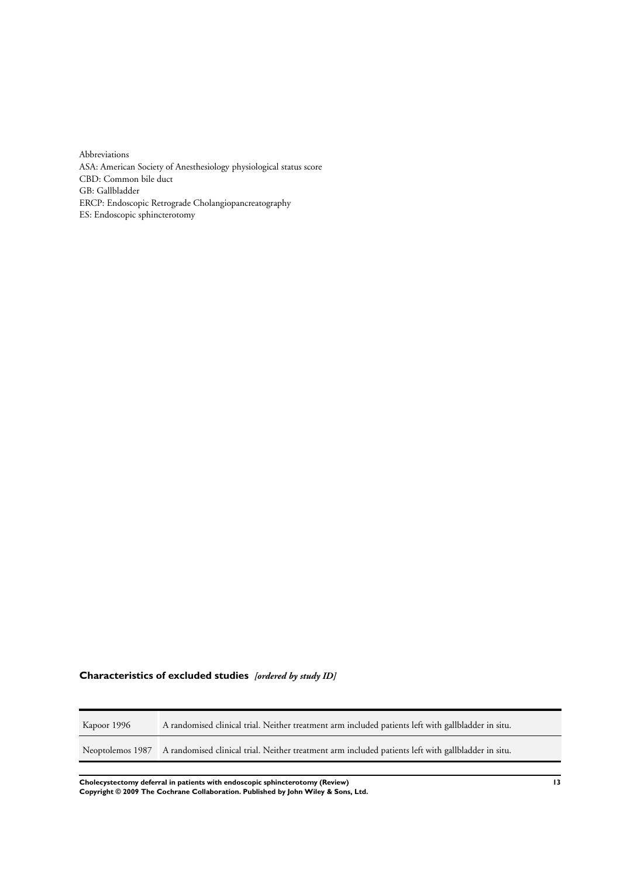<span id="page-15-0"></span>Abbreviations ASA: American Society of Anesthesiology physiological status score CBD: Common bile duct GB: Gallbladder ERCP: Endoscopic Retrograde Cholangiopancreatography ES: Endoscopic sphincterotomy

# **Characteristics of excluded studies** *[ordered by study ID]*

Kapoor 1996 A randomised clinical trial. Neither treatment arm included patients left with gallbladder in situ. Neoptolemos 1987 A randomised clinical trial. Neither treatment arm included patients left with gallbladder in situ.

**Cholecystectomy deferral in patients with endoscopic sphincterotomy (Review) 13 Copyright © 2009 The Cochrane Collaboration. Published by John Wiley & Sons, Ltd.**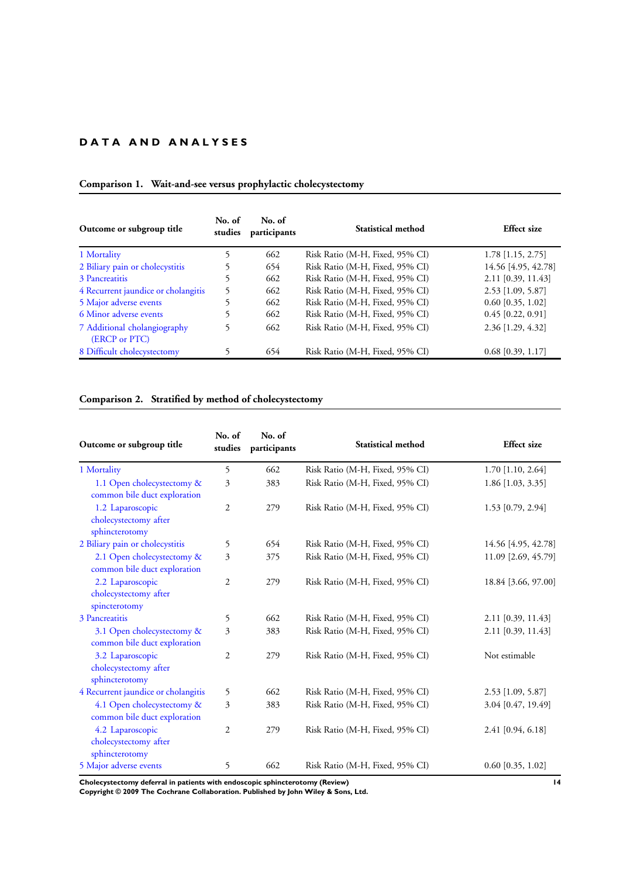# **D A T A A N D A N A L Y S E S**

| Outcome or subgroup title                     | No. of<br>studies | No. of<br>participants | Statistical method              | <b>Effect</b> size  |
|-----------------------------------------------|-------------------|------------------------|---------------------------------|---------------------|
| 1 Mortality                                   |                   | 662                    | Risk Ratio (M-H, Fixed, 95% CI) | $1.78$ [1.15, 2.75] |
| 2 Biliary pain or cholecystitis               |                   | 654                    | Risk Ratio (M-H, Fixed, 95% CI) | 14.56 [4.95, 42.78] |
| 3 Pancreatitis                                |                   | 662                    | Risk Ratio (M-H, Fixed, 95% CI) | 2.11 [0.39, 11.43]  |
| 4 Recurrent jaundice or cholangitis           |                   | 662                    | Risk Ratio (M-H, Fixed, 95% CI) | $2.53$ [1.09, 5.87] |
| 5 Major adverse events                        |                   | 662                    | Risk Ratio (M-H, Fixed, 95% CI) | $0.60$ [0.35, 1.02] |
| 6 Minor adverse events                        |                   | 662                    | Risk Ratio (M-H, Fixed, 95% CI) | $0.45$ [0.22, 0.91] |
| 7 Additional cholangiography<br>(ERCP or PTC) |                   | 662                    | Risk Ratio (M-H, Fixed, 95% CI) | 2.36 [1.29, 4.32]   |
| 8 Difficult cholecystectomy                   |                   | 654                    | Risk Ratio (M-H, Fixed, 95% CI) | $0.68$ [0.39, 1.17] |

# **Comparison 1. Wait-and-see versus prophylactic cholecystectomy**

# **Comparison 2. Stratified by method of cholecystectomy**

| Outcome or subgroup title                                   | No. of<br>studies | No. of<br>participants | <b>Statistical method</b>       | <b>Effect</b> size  |
|-------------------------------------------------------------|-------------------|------------------------|---------------------------------|---------------------|
| 1 Mortality                                                 | 5                 | 662                    | Risk Ratio (M-H, Fixed, 95% CI) | $1.70$ [1.10, 2.64] |
| 1.1 Open cholecystectomy &<br>common bile duct exploration  | 3                 | 383                    | Risk Ratio (M-H, Fixed, 95% CI) | $1.86$ [1.03, 3.35] |
| 1.2 Laparoscopic<br>cholecystectomy after<br>sphincterotomy | $\mathfrak{2}$    | 279                    | Risk Ratio (M-H, Fixed, 95% CI) | 1.53 [0.79, 2.94]   |
| 2 Biliary pain or cholecystitis                             | 5                 | 654                    | Risk Ratio (M-H, Fixed, 95% CI) | 14.56 [4.95, 42.78] |
| 2.1 Open cholecystectomy &<br>common bile duct exploration  | 3                 | 375                    | Risk Ratio (M-H, Fixed, 95% CI) | 11.09 [2.69, 45.79] |
| 2.2 Laparoscopic<br>cholecystectomy after<br>spincterotomy  | $\mathfrak{2}$    | 279                    | Risk Ratio (M-H, Fixed, 95% CI) | 18.84 [3.66, 97.00] |
| 3 Pancreatitis                                              | 5                 | 662                    | Risk Ratio (M-H, Fixed, 95% CI) | 2.11 [0.39, 11.43]  |
| 3.1 Open cholecystectomy &<br>common bile duct exploration  | 3                 | 383                    | Risk Ratio (M-H, Fixed, 95% CI) | 2.11 [0.39, 11.43]  |
| 3.2 Laparoscopic<br>cholecystectomy after<br>sphincterotomy | $\mathfrak{2}$    | 279                    | Risk Ratio (M-H, Fixed, 95% CI) | Not estimable       |
| 4 Recurrent jaundice or cholangitis                         | 5                 | 662                    | Risk Ratio (M-H, Fixed, 95% CI) | 2.53 [1.09, 5.87]   |
| 4.1 Open cholecystectomy &<br>common bile duct exploration  | 3                 | 383                    | Risk Ratio (M-H, Fixed, 95% CI) | 3.04 [0.47, 19.49]  |
| 4.2 Laparoscopic<br>cholecystectomy after<br>sphincterotomy | $\mathfrak{2}$    | 279                    | Risk Ratio (M-H, Fixed, 95% CI) | 2.41 [0.94, 6.18]   |
| 5 Major adverse events                                      | 5                 | 662                    | Risk Ratio (M-H, Fixed, 95% CI) | $0.60$ [0.35, 1.02] |

**Cholecystectomy deferral in patients with endoscopic sphincterotomy (Review) 14**

**Copyright © 2009 The Cochrane Collaboration. Published by John Wiley & Sons, Ltd.**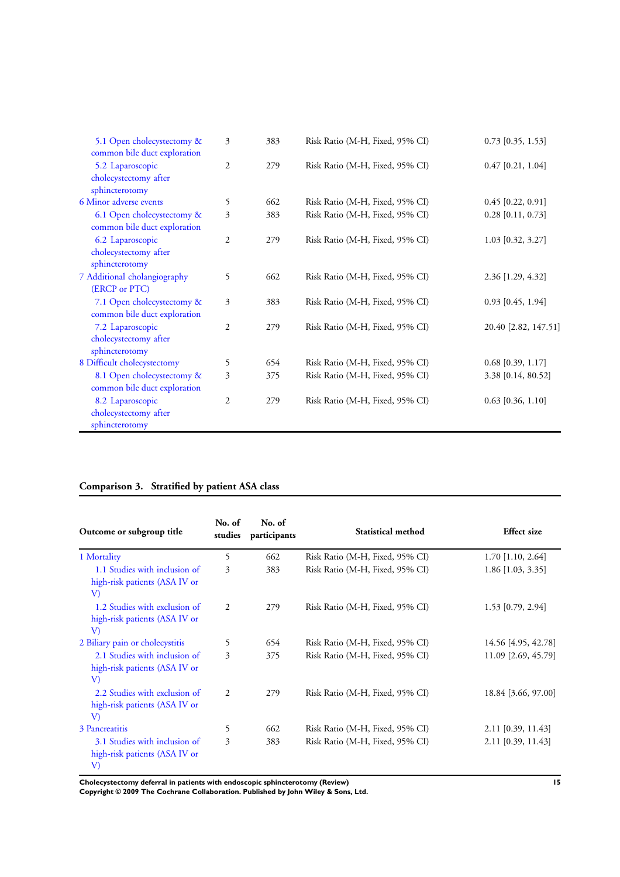| 5.1 Open cholecystectomy &<br>common bile duct exploration  | 3              | 383 | Risk Ratio (M-H, Fixed, 95% CI) | $0.73$ [0.35, 1.53]  |
|-------------------------------------------------------------|----------------|-----|---------------------------------|----------------------|
| 5.2 Laparoscopic<br>cholecystectomy after<br>sphincterotomy | $\overline{2}$ | 279 | Risk Ratio (M-H, Fixed, 95% CI) | $0.47$ [0.21, 1.04]  |
| 6 Minor adverse events                                      | 5              | 662 | Risk Ratio (M-H, Fixed, 95% CI) | $0.45$ [0.22, 0.91]  |
| 6.1 Open cholecystectomy &<br>common bile duct exploration  | 3              | 383 | Risk Ratio (M-H, Fixed, 95% CI) | $0.28$ [0.11, 0.73]  |
| 6.2 Laparoscopic<br>cholecystectomy after<br>sphincterotomy | $\overline{2}$ | 279 | Risk Ratio (M-H, Fixed, 95% CI) | 1.03 [0.32, 3.27]    |
| 7 Additional cholangiography<br>(ERCP or PTC)               | 5              | 662 | Risk Ratio (M-H, Fixed, 95% CI) | 2.36 [1.29, 4.32]    |
| 7.1 Open cholecystectomy &<br>common bile duct exploration  | $\mathfrak{Z}$ | 383 | Risk Ratio (M-H, Fixed, 95% CI) | $0.93$ [0.45, 1.94]  |
| 7.2 Laparoscopic<br>cholecystectomy after<br>sphincterotomy | $\overline{2}$ | 279 | Risk Ratio (M-H, Fixed, 95% CI) | 20.40 [2.82, 147.51] |
| 8 Difficult cholecystectomy                                 | 5              | 654 | Risk Ratio (M-H, Fixed, 95% CI) | $0.68$ [0.39, 1.17]  |
| 8.1 Open cholecystectomy &<br>common bile duct exploration  | 3              | 375 | Risk Ratio (M-H, Fixed, 95% CI) | 3.38 [0.14, 80.52]   |
| 8.2 Laparoscopic<br>cholecystectomy after<br>sphincterotomy | $\overline{2}$ | 279 | Risk Ratio (M-H, Fixed, 95% CI) | $0.63$ [0.36, 1.10]  |

# **Comparison 3. Stratified by patient ASA class**

| Outcome or subgroup title                                            | No. of<br>studies | No. of<br>participants | Statistical method              | <b>Effect</b> size  |
|----------------------------------------------------------------------|-------------------|------------------------|---------------------------------|---------------------|
| 1 Mortality                                                          | 5                 | 662                    | Risk Ratio (M-H, Fixed, 95% CI) | $1.70$ [1.10, 2.64] |
| 1.1 Studies with inclusion of<br>high-risk patients (ASA IV or<br>V) | 3                 | 383                    | Risk Ratio (M-H, Fixed, 95% CI) | $1.86$ [1.03, 3.35] |
| 1.2 Studies with exclusion of<br>high-risk patients (ASA IV or<br>V) | 2                 | 279                    | Risk Ratio (M-H, Fixed, 95% CI) | 1.53 [0.79, 2.94]   |
| 2 Biliary pain or cholecystitis                                      | 5                 | 654                    | Risk Ratio (M-H, Fixed, 95% CI) | 14.56 [4.95, 42.78] |
| 2.1 Studies with inclusion of<br>high-risk patients (ASA IV or<br>V  | 3                 | 375                    | Risk Ratio (M-H, Fixed, 95% CI) | 11.09 [2.69, 45.79] |
| 2.2 Studies with exclusion of<br>high-risk patients (ASA IV or<br>V) | 2                 | 279                    | Risk Ratio (M-H, Fixed, 95% CI) | 18.84 [3.66, 97.00] |
| 3 Pancreatitis                                                       | 5                 | 662                    | Risk Ratio (M-H, Fixed, 95% CI) | 2.11 [0.39, 11.43]  |
| 3.1 Studies with inclusion of<br>high-risk patients (ASA IV or<br>V) | 3                 | 383                    | Risk Ratio (M-H, Fixed, 95% CI) | 2.11 [0.39, 11.43]  |

**Cholecystectomy deferral in patients with endoscopic sphincterotomy (Review) 15**

**Copyright © 2009 The Cochrane Collaboration. Published by John Wiley & Sons, Ltd.**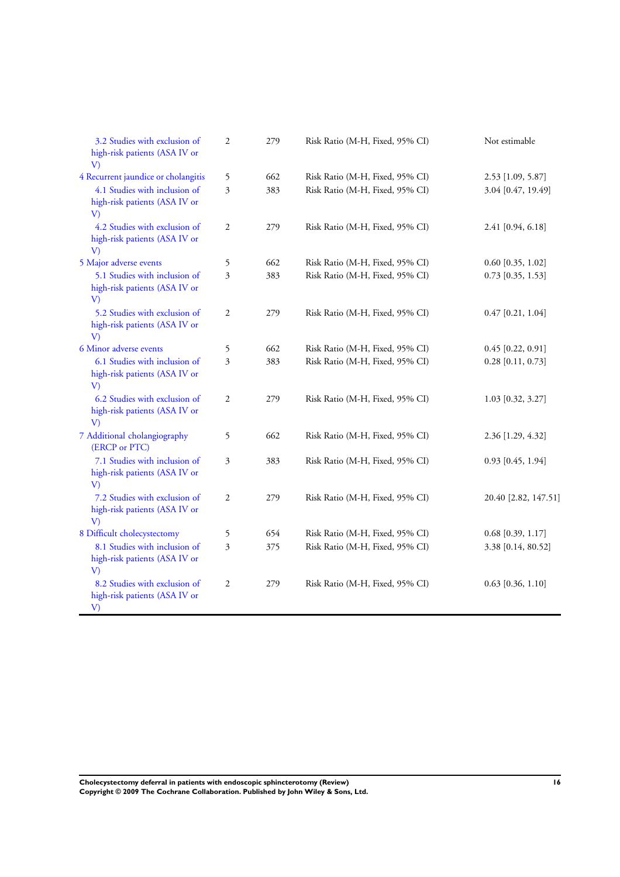| 3.2 Studies with exclusion of<br>high-risk patients (ASA IV or<br>V  | $\overline{2}$ | 279 | Risk Ratio (M-H, Fixed, 95% CI) | Not estimable        |
|----------------------------------------------------------------------|----------------|-----|---------------------------------|----------------------|
| 4 Recurrent jaundice or cholangitis                                  | 5              | 662 | Risk Ratio (M-H, Fixed, 95% CI) | 2.53 [1.09, 5.87]    |
| 4.1 Studies with inclusion of<br>high-risk patients (ASA IV or<br>V) | 3              | 383 | Risk Ratio (M-H, Fixed, 95% CI) | 3.04 [0.47, 19.49]   |
| 4.2 Studies with exclusion of<br>high-risk patients (ASA IV or<br>V) | 2              | 279 | Risk Ratio (M-H, Fixed, 95% CI) | 2.41 [0.94, 6.18]    |
| 5 Major adverse events                                               | 5              | 662 | Risk Ratio (M-H, Fixed, 95% CI) | $0.60$ [0.35, 1.02]  |
| 5.1 Studies with inclusion of<br>high-risk patients (ASA IV or<br>V) | 3              | 383 | Risk Ratio (M-H, Fixed, 95% CI) | $0.73$ [0.35, 1.53]  |
| 5.2 Studies with exclusion of<br>high-risk patients (ASA IV or<br>V) | $\mathfrak{2}$ | 279 | Risk Ratio (M-H, Fixed, 95% CI) | $0.47$ [0.21, 1.04]  |
| 6 Minor adverse events                                               | 5              | 662 | Risk Ratio (M-H, Fixed, 95% CI) | $0.45$ [0.22, 0.91]  |
| 6.1 Studies with inclusion of<br>high-risk patients (ASA IV or<br>V) | $\mathfrak{Z}$ | 383 | Risk Ratio (M-H, Fixed, 95% CI) | $0.28$ [0.11, 0.73]  |
| 6.2 Studies with exclusion of<br>high-risk patients (ASA IV or<br>V) | 2              | 279 | Risk Ratio (M-H, Fixed, 95% CI) | 1.03 [0.32, 3.27]    |
| 7 Additional cholangiography<br>(ERCP or PTC)                        | 5              | 662 | Risk Ratio (M-H, Fixed, 95% CI) | 2.36 [1.29, 4.32]    |
| 7.1 Studies with inclusion of<br>high-risk patients (ASA IV or<br>V  | 3              | 383 | Risk Ratio (M-H, Fixed, 95% CI) | $0.93$ [0.45, 1.94]  |
| 7.2 Studies with exclusion of<br>high-risk patients (ASA IV or<br>V  | $\overline{c}$ | 279 | Risk Ratio (M-H, Fixed, 95% CI) | 20.40 [2.82, 147.51] |
| 8 Difficult cholecystectomy                                          | 5              | 654 | Risk Ratio (M-H, Fixed, 95% CI) | $0.68$ [0.39, 1.17]  |
| 8.1 Studies with inclusion of<br>high-risk patients (ASA IV or<br>V) | 3              | 375 | Risk Ratio (M-H, Fixed, 95% CI) | 3.38 [0.14, 80.52]   |
| 8.2 Studies with exclusion of<br>high-risk patients (ASA IV or<br>V) | $\mathfrak{2}$ | 279 | Risk Ratio (M-H, Fixed, 95% CI) | $0.63$ [0.36, 1.10]  |

**Cholecystectomy deferral in patients with endoscopic sphincterotomy (Review) 16 Copyright © 2009 The Cochrane Collaboration. Published by John Wiley & Sons, Ltd.**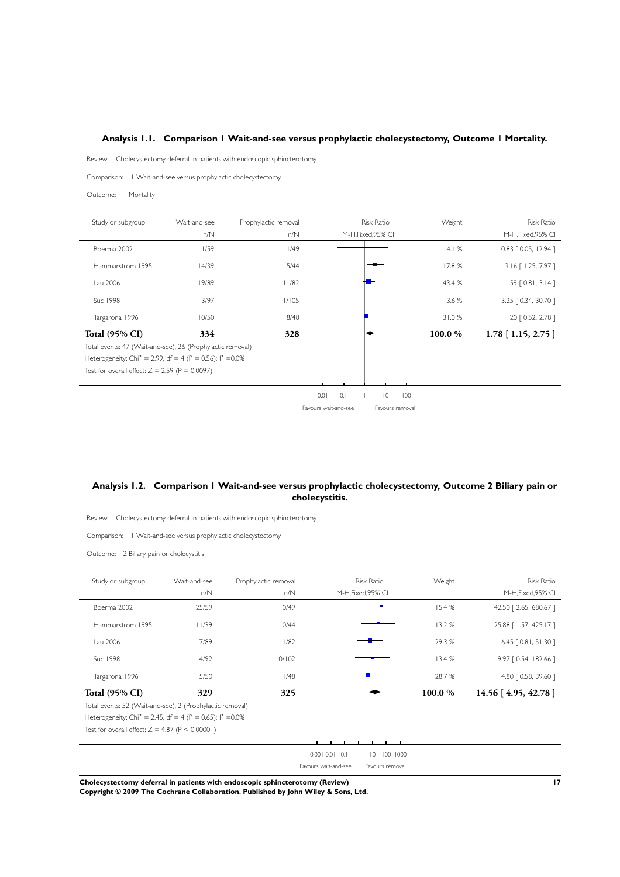### <span id="page-19-0"></span>**Analysis 1.1. Comparison 1 Wait-and-see versus prophylactic cholecystectomy, Outcome 1 Mortality.**

Review: Cholecystectomy deferral in patients with endoscopic sphincterotomy

Comparison: 1 Wait-and-see versus prophylactic cholecystectomy

Outcome: | Mortality

| Study or subgroup                                                       | Wait-and-see | Prophylactic removal | <b>Risk Ratio</b>             | Weight | <b>Risk Ratio</b>     |
|-------------------------------------------------------------------------|--------------|----------------------|-------------------------------|--------|-----------------------|
|                                                                         | n/N          | n/N                  | M-H, Fixed, 95% CI            |        | M-H, Fixed, 95% CI    |
| Boerma 2002                                                             | 1/59         | 1/49                 |                               | 4.1%   | 0.83 [ 0.05, 12.94 ]  |
| Hammarstrom 1995                                                        | 14/39        | 5/44                 |                               | 17.8%  | 3.16 [ 1.25, 7.97 ]   |
| Lau 2006                                                                | 19/89        | 11/82                |                               | 43.4 % | $1.59$ [ 0.81, 3.14 ] |
| Suc 1998                                                                | 3/97         | 1/105                |                               | 3.6%   | 3.25 [ 0.34, 30.70 ]  |
| Targarona 1996                                                          | 10/50        | 8/48                 |                               | 31.0%  | 1.20 [ 0.52, 2.78 ]   |
| <b>Total (95% CI)</b>                                                   | 334          | 328                  |                               | 100.0% | $1.78$ [ 1.15, 2.75 ] |
| Total events: 47 (Wait-and-see), 26 (Prophylactic removal)              |              |                      |                               |        |                       |
| Heterogeneity: Chi <sup>2</sup> = 2.99, df = 4 (P = 0.56); $1^2$ = 0.0% |              |                      |                               |        |                       |
| Test for overall effect: $Z = 2.59$ (P = 0.0097)                        |              |                      |                               |        |                       |
|                                                                         |              |                      |                               |        |                       |
|                                                                         |              |                      | 0.1<br>$\overline{0}$<br>0.01 | 100    |                       |

Favours wait-and-see Favours removal

## **Analysis 1.2. Comparison 1 Wait-and-see versus prophylactic cholecystectomy, Outcome 2 Biliary pain or cholecystitis.**

Review: Cholecystectomy deferral in patients with endoscopic sphincterotomy

Comparison: 1 Wait-and-see versus prophylactic cholecystectomy

Outcome: 2 Biliary pain or cholecystitis

| Study or subgroup                                                      | Wait-and-see | Prophylactic removal | <b>Risk Ratio</b>                                  | Weight | <b>Risk Ratio</b>      |
|------------------------------------------------------------------------|--------------|----------------------|----------------------------------------------------|--------|------------------------|
|                                                                        | n/N          | n/N                  | M-H, Fixed, 95% CI                                 |        | M-H, Fixed, 95% CI     |
| Boerma 2002                                                            | 25/59        | 0/49                 |                                                    | 15.4%  | 42.50 [2.65, 680.67]   |
| Hammarstrom 1995                                                       | 11/39        | 0/44                 |                                                    | 13.2%  | 25.88 [ 1.57, 425.17 ] |
| Lau 2006                                                               | 7/89         | 1/82                 |                                                    | 29.3 % | 6.45 $[0.81, 51.30]$   |
| Suc 1998                                                               | 4/92         | 0/102                |                                                    | 13.4%  | 9.97 [0.54, 182.66]    |
| Targarona 1996                                                         | 5/50         | 1/48                 |                                                    | 28.7%  | 4.80 [ 0.58, 39.60 ]   |
| <b>Total (95% CI)</b>                                                  | 329          | 325                  |                                                    | 100.0% | 14.56 [4.95, 42.78]    |
| Total events: 52 (Wait-and-see), 2 (Prophylactic removal)              |              |                      |                                                    |        |                        |
| Heterogeneity: Chi <sup>2</sup> = 2.45, df = 4 (P = 0.65); $1^2$ =0.0% |              |                      |                                                    |        |                        |
| Test for overall effect: $Z = 4.87$ (P < 0.00001)                      |              |                      |                                                    |        |                        |
|                                                                        |              |                      |                                                    |        |                        |
|                                                                        |              |                      |                                                    |        |                        |
|                                                                        |              |                      | $0.001$ $0.01$ $0.1$<br>$\overline{0}$<br>100 1000 |        |                        |
|                                                                        |              |                      | Favours wait-and-see<br>Favours removal            |        |                        |

**Cholecystectomy deferral in patients with endoscopic sphincterotomy (Review) 17**

**Copyright © 2009 The Cochrane Collaboration. Published by John Wiley & Sons, Ltd.**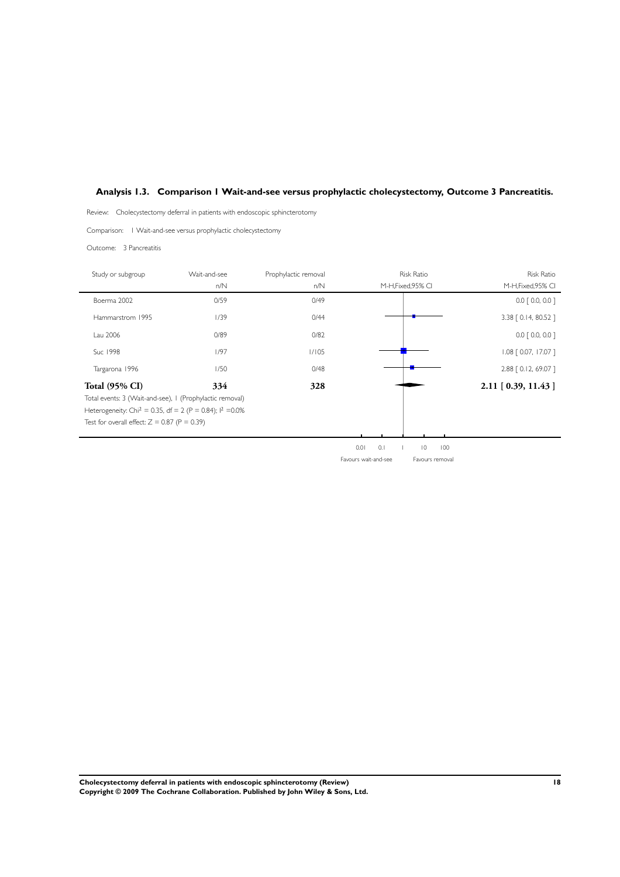### <span id="page-20-0"></span>**Analysis 1.3. Comparison 1 Wait-and-see versus prophylactic cholecystectomy, Outcome 3 Pancreatitis.**

Review: Cholecystectomy deferral in patients with endoscopic sphincterotomy

Comparison: 1 Wait-and-see versus prophylactic cholecystectomy

Outcome: 3 Pancreatitis

| Study or subgroup                                                       | Wait-and-see | Prophylactic removal |                      | <b>Risk Ratio</b>     | <b>Risk Ratio</b>      |
|-------------------------------------------------------------------------|--------------|----------------------|----------------------|-----------------------|------------------------|
|                                                                         | n/N          | n/N                  |                      | M-H, Fixed, 95% CI    | M-H, Fixed, 95% CI     |
| Boerma 2002                                                             | 0/59         | 0/49                 |                      |                       | $0.0$ $[0.0, 0.0]$     |
| Hammarstrom 1995                                                        | 1/39         | 0/44                 |                      |                       | 3.38 [ 0.14, 80.52 ]   |
| Lau 2006                                                                | 0/89         | 0/82                 |                      |                       | $0.0$ $[0.0, 0.0]$     |
| Suc 1998                                                                | 1/97         | 1/105                |                      |                       | 1.08 [ 0.07, 17.07 ]   |
| Targarona 1996                                                          | 1/50         | 0/48                 |                      |                       | 2.88 [ 0.12, 69.07 ]   |
| <b>Total (95% CI)</b>                                                   | 334          | 328                  |                      |                       | $2.11$ [ 0.39, 11.43 ] |
| Total events: 3 (Wait-and-see), I (Prophylactic removal)                |              |                      |                      |                       |                        |
| Heterogeneity: Chi <sup>2</sup> = 0.35, df = 2 (P = 0.84); $1^2$ = 0.0% |              |                      |                      |                       |                        |
| Test for overall effect: $Z = 0.87$ (P = 0.39)                          |              |                      |                      |                       |                        |
|                                                                         |              |                      |                      |                       |                        |
|                                                                         |              |                      | 0.1<br>0.01          | $\overline{0}$<br>100 |                        |
|                                                                         |              |                      | Favours wait-and-see | Favours removal       |                        |

**Cholecystectomy deferral in patients with endoscopic sphincterotomy (Review) 18 Copyright © 2009 The Cochrane Collaboration. Published by John Wiley & Sons, Ltd.**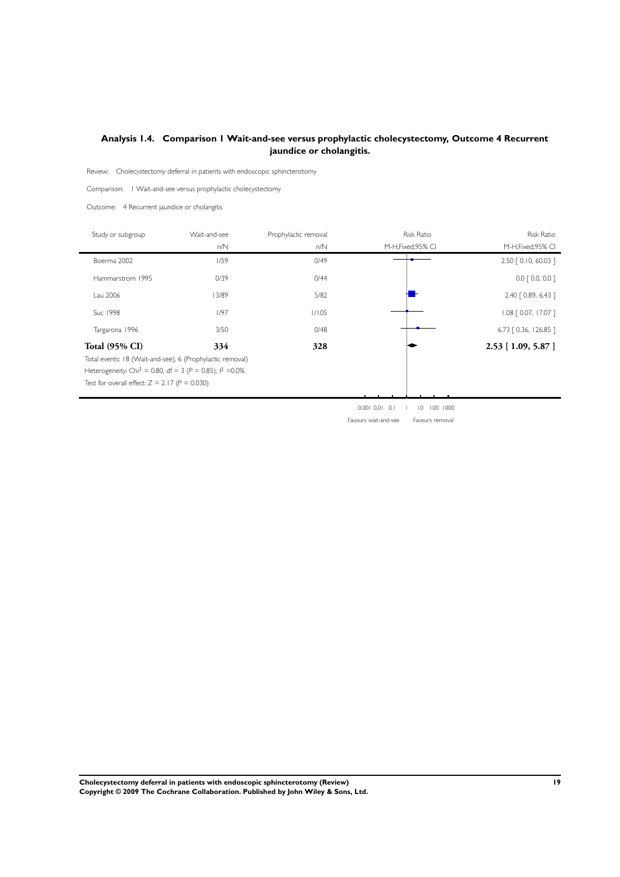# <span id="page-21-0"></span>**Analysis 1.4. Comparison 1 Wait-and-see versus prophylactic cholecystectomy, Outcome 4 Recurrent jaundice or cholangitis.**

Review: Cholecystectomy deferral in patients with endoscopic sphincterotomy

Comparison: 1 Wait-and-see versus prophylactic cholecystectomy

Outcome: 4 Recurrent jaundice or cholangitis

| Study or subgroup                                                       | Wait-and-see | Prophylactic removal |                      | <b>Risk Ratio</b>  | <b>Risk Ratio</b>      |
|-------------------------------------------------------------------------|--------------|----------------------|----------------------|--------------------|------------------------|
|                                                                         | n/N          | n/N                  |                      | M-H, Fixed, 95% CI | M-H, Fixed, 95% CI     |
| Boerma 2002                                                             | 1/59         | 0/49                 |                      |                    | 2.50 [ 0.10, 60.03 ]   |
| Hammarstrom 1995                                                        | 0/39         | 0/44                 |                      |                    | $0.0$ $[0.0, 0.0]$     |
| Lau 2006                                                                | 13/89        | 5/82                 |                      |                    | 2.40 [ 0.89, 6.43 ]    |
| Suc 1998                                                                | 1/97         | 1/105                |                      |                    | $1.08$ $[0.07, 17.07]$ |
| Targarona 1996                                                          | 3/50         | 0/48                 |                      |                    | 6.73 $[0.36, 126.85]$  |
| <b>Total (95% CI)</b>                                                   | 334          | 328                  |                      |                    | $2.53$ [ 1.09, 5.87 ]  |
| Total events: 18 (Wait-and-see), 6 (Prophylactic removal)               |              |                      |                      |                    |                        |
| Heterogeneity: Chi <sup>2</sup> = 0.80, df = 3 (P = 0.85); $1^2$ = 0.0% |              |                      |                      |                    |                        |
| Test for overall effect: $Z = 2.17$ (P = 0.030)                         |              |                      |                      |                    |                        |
|                                                                         |              |                      |                      |                    |                        |
|                                                                         |              |                      | $0.001$ $0.01$ $0.1$ | 10 100 1000        |                        |

Favours wait-and-see Favours removal

**Cholecystectomy deferral in patients with endoscopic sphincterotomy (Review) 19 Copyright © 2009 The Cochrane Collaboration. Published by John Wiley & Sons, Ltd.**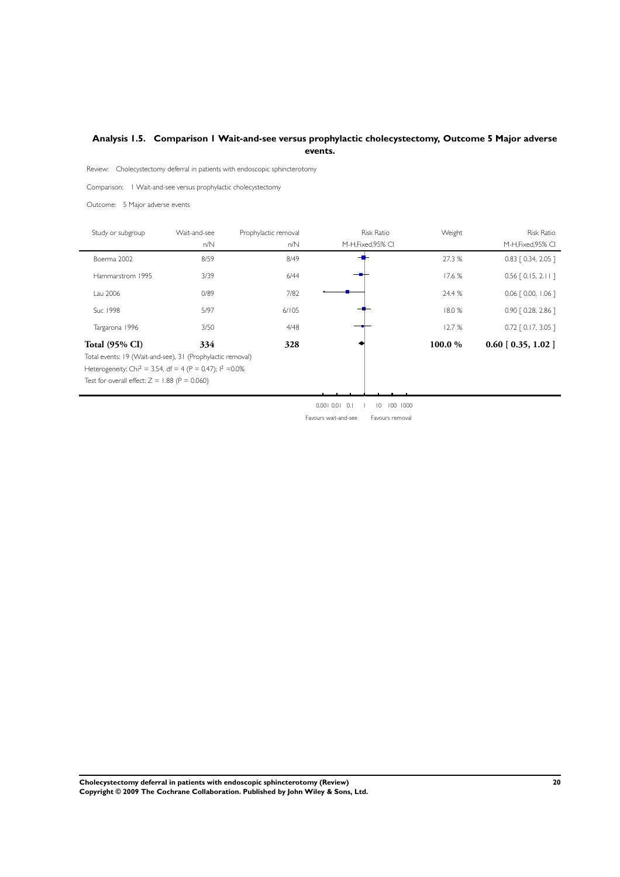## <span id="page-22-0"></span>**Analysis 1.5. Comparison 1 Wait-and-see versus prophylactic cholecystectomy, Outcome 5 Major adverse events.**

Review: Cholecystectomy deferral in patients with endoscopic sphincterotomy

Comparison: 1 Wait-and-see versus prophylactic cholecystectomy

Outcome: 5 Major adverse events

| Study or subgroup                                                       | Wait-and-see | Prophylactic removal | <b>Risk Ratio</b>           | Weight | <b>Risk Ratio</b>     |  |
|-------------------------------------------------------------------------|--------------|----------------------|-----------------------------|--------|-----------------------|--|
|                                                                         | n/N          | n/N                  | M-H, Fixed, 95% CI          |        | M-H, Fixed, 95% CI    |  |
| Boerma 2002                                                             | 8/59         | 8/49                 |                             | 27.3 % | $0.83$ $[0.34, 2.05]$ |  |
| Hammarstrom 1995                                                        | 3/39         | 6/44                 |                             | 17.6 % | $0.56$ $[0.15, 2.11]$ |  |
| Lau 2006                                                                | 0/89         | 7/82                 |                             | 24.4 % | $0.06$ $[0.00, 1.06]$ |  |
| Suc 1998                                                                | 5/97         | 6/105                |                             | 18.0%  | $0.90$ $[0.28, 2.86]$ |  |
| Targarona 1996                                                          | 3/50         | 4/48                 |                             | 12.7%  | $0.72$ $[0.17, 3.05]$ |  |
| <b>Total (95% CI)</b>                                                   | 334          | 328                  |                             | 100.0% | $0.60$ [ 0.35, 1.02 ] |  |
| Total events: 19 (Wait-and-see), 31 (Prophylactic removal)              |              |                      |                             |        |                       |  |
| Heterogeneity: Chi <sup>2</sup> = 3.54, df = 4 (P = 0.47); $1^2$ = 0.0% |              |                      |                             |        |                       |  |
| Test for overall effect: $Z = 1.88$ (P = 0.060)                         |              |                      |                             |        |                       |  |
|                                                                         |              |                      |                             |        |                       |  |
|                                                                         |              |                      | 0.0010.010.1<br>10 100 1000 |        |                       |  |

Favours wait-and-see Favours removal

**Cholecystectomy deferral in patients with endoscopic sphincterotomy (Review) 20 Copyright © 2009 The Cochrane Collaboration. Published by John Wiley & Sons, Ltd.**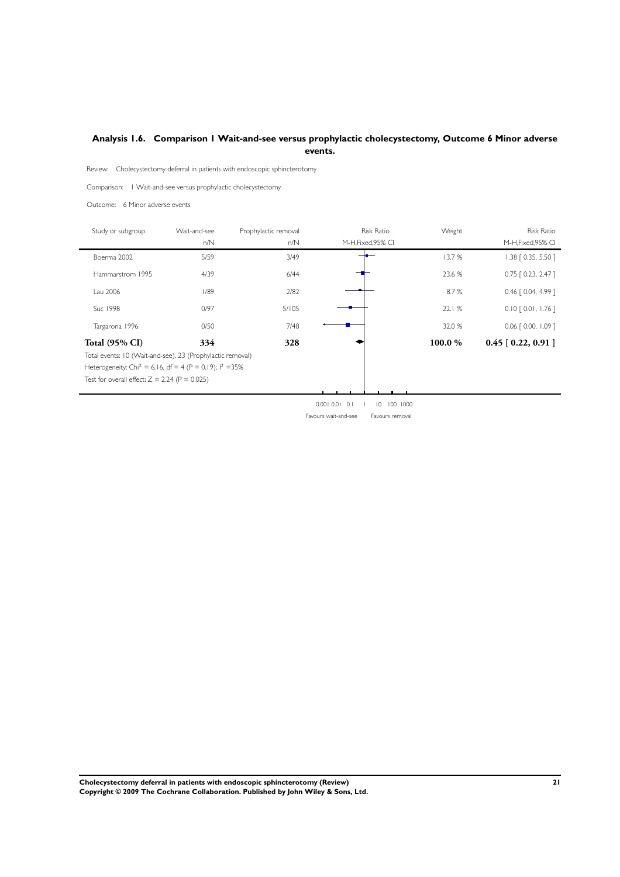# <span id="page-23-0"></span>**Analysis 1.6. Comparison 1 Wait-and-see versus prophylactic cholecystectomy, Outcome 6 Minor adverse events.**

Review: Cholecystectomy deferral in patients with endoscopic sphincterotomy

Comparison: 1 Wait-and-see versus prophylactic cholecystectomy

Outcome: 6 Minor adverse events

| Study or subgroup                                                     | Wait-and-see | Prophylactic removal | <b>Risk Ratio</b>  | Weight | <b>Risk Ratio</b>     |
|-----------------------------------------------------------------------|--------------|----------------------|--------------------|--------|-----------------------|
|                                                                       | n/N          | n/N                  | M-H, Fixed, 95% CI |        | M-H, Fixed, 95% CI    |
| Boerma 2002                                                           | 5/59         | 3/49                 |                    | 13.7%  | $1.38$ $[0.35, 5.50]$ |
| Hammarstrom 1995                                                      | 4/39         | 6/44                 |                    | 23.6 % | $0.75$ $[0.23, 2.47]$ |
| Lau 2006                                                              | 1/89         | 2/82                 |                    | 8.7%   | 0.46   0.04, 4.99 ]   |
| Suc 1998                                                              | 0/97         | 5/105                |                    | 22.1%  | $0.10$ $[0.01, 1.76]$ |
| Targarona 1996                                                        | 0/50         | 7/48                 |                    | 32.0 % | $0.06$ $[0.00, 1.09]$ |
| <b>Total (95% CI)</b>                                                 | 334          | 328                  |                    | 100.0% | $0.45$ [ 0.22, 0.91 ] |
| Total events: 10 (Wait-and-see), 23 (Prophylactic removal)            |              |                      |                    |        |                       |
| Heterogeneity: Chi <sup>2</sup> = 6.16, df = 4 (P = 0.19); $1^2$ =35% |              |                      |                    |        |                       |
| Test for overall effect: $Z = 2.24$ (P = 0.025)                       |              |                      |                    |        |                       |
|                                                                       |              |                      |                    |        |                       |

0.001 0.01 0.1 1 10 100 1000

Favours wait-and-see Favours removal

**Cholecystectomy deferral in patients with endoscopic sphincterotomy (Review) 21 Copyright © 2009 The Cochrane Collaboration. Published by John Wiley & Sons, Ltd.**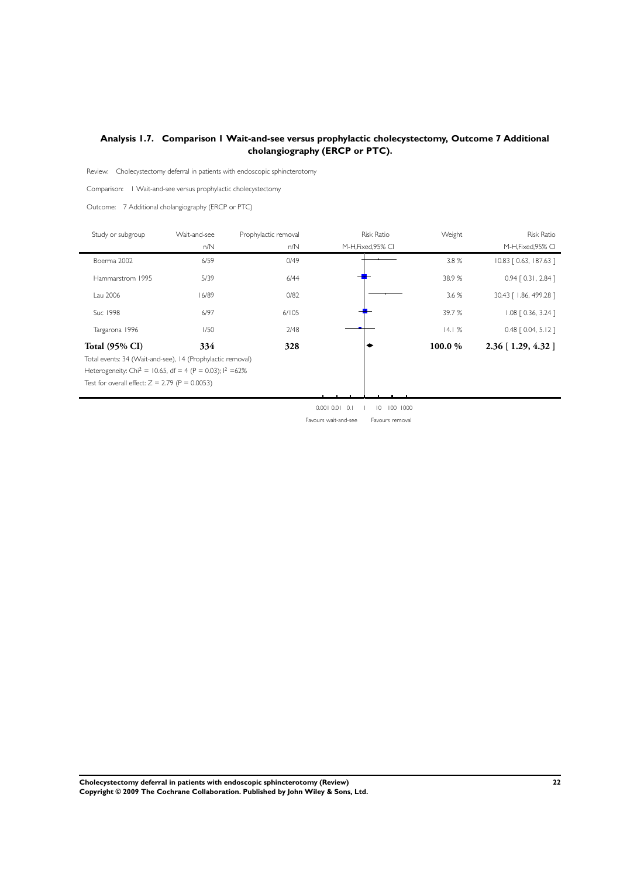# <span id="page-24-0"></span>**Analysis 1.7. Comparison 1 Wait-and-see versus prophylactic cholecystectomy, Outcome 7 Additional cholangiography (ERCP or PTC).**

Review: Cholecystectomy deferral in patients with endoscopic sphincterotomy

Comparison: 1 Wait-and-see versus prophylactic cholecystectomy

Outcome: 7 Additional cholangiography (ERCP or PTC)

| Study or subgroup                                                       | Wait-and-see | Prophylactic removal | <b>Risk Ratio</b>  | Weight | <b>Risk Ratio</b>      |
|-------------------------------------------------------------------------|--------------|----------------------|--------------------|--------|------------------------|
|                                                                         | n/N          | n/N                  | M-H, Fixed, 95% CI |        | M-H, Fixed, 95% CI     |
| Boerma 2002                                                             | 6/59         | 0/49                 |                    | 3.8%   | 10.83 [ 0.63, 187.63 ] |
| Hammarstrom 1995                                                        | 5/39         | 6/44                 |                    | 38.9%  | $0.94$ [ 0.31, 2.84 ]  |
| Lau 2006                                                                | 16/89        | 0/82                 |                    | 3.6 %  | 30.43 [ 1.86, 499.28 ] |
| Suc 1998                                                                | 6/97         | 6/105                |                    | 39.7 % | $1.08$ $[0.36, 3.24]$  |
| Targarona 1996                                                          | 1/50         | 2/48                 |                    | 14.1%  | $0.48$ $[0.04, 5.12]$  |
| <b>Total (95% CI)</b>                                                   | 334          | 328                  |                    | 100.0% | $2.36$ [ 1.29, 4.32 ]  |
| Total events: 34 (Wait-and-see), 14 (Prophylactic removal)              |              |                      |                    |        |                        |
| Heterogeneity: Chi <sup>2</sup> = 10.65, df = 4 (P = 0.03); $1^2$ = 62% |              |                      |                    |        |                        |
| Test for overall effect: $Z = 2.79$ (P = 0.0053)                        |              |                      |                    |        |                        |
|                                                                         |              |                      |                    |        |                        |

0.001 0.01 0.1 1 10 100 1000

Favours wait-and-see Favours removal

**Cholecystectomy deferral in patients with endoscopic sphincterotomy (Review) 22 Copyright © 2009 The Cochrane Collaboration. Published by John Wiley & Sons, Ltd.**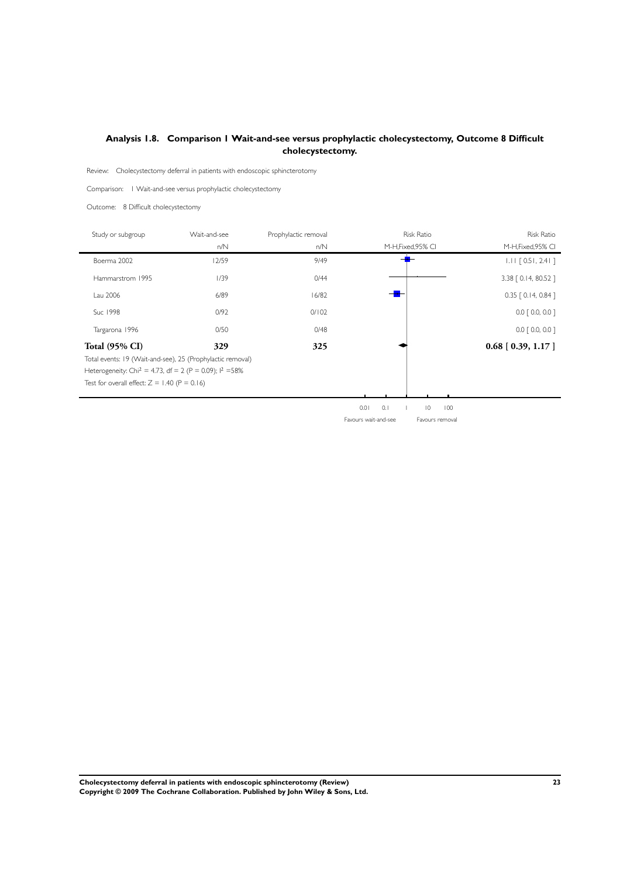# <span id="page-25-0"></span>**Analysis 1.8. Comparison 1 Wait-and-see versus prophylactic cholecystectomy, Outcome 8 Difficult cholecystectomy.**

Review: Cholecystectomy deferral in patients with endoscopic sphincterotomy

Comparison: 1 Wait-and-see versus prophylactic cholecystectomy

Outcome: 8 Difficult cholecystectomy

| Study or subgroup                                                     | Wait-and-see | Prophylactic removal | <b>Risk Ratio</b>              | <b>Risk Ratio</b>     |
|-----------------------------------------------------------------------|--------------|----------------------|--------------------------------|-----------------------|
|                                                                       | n/N          | n/N                  | M-H, Fixed, 95% CI             | M-H, Fixed, 95% CI    |
| Boerma 2002                                                           | 12/59        | 9/49                 |                                | $1.11$ $[0.51, 2.41]$ |
| Hammarstrom 1995                                                      | 1/39         | 0/44                 |                                | 3.38   0.14, 80.52 ]  |
| Lau 2006                                                              | 6/89         | 16/82                |                                | $0.35$ $[0.14, 0.84]$ |
| Suc 1998                                                              | 0/92         | 0/102                |                                | $0.0$ $[0.0, 0.0]$    |
| Targarona 1996                                                        | 0/50         | 0/48                 |                                | $0.0$ $[0.0, 0.0]$    |
| <b>Total (95% CI)</b>                                                 | 329          | 325                  |                                | $0.68$ [ 0.39, 1.17 ] |
| Total events: 19 (Wait-and-see), 25 (Prophylactic removal)            |              |                      |                                |                       |
| Heterogeneity: Chi <sup>2</sup> = 4.73, df = 2 (P = 0.09); $1^2$ =58% |              |                      |                                |                       |
| Test for overall effect: $Z = 1.40$ (P = 0.16)                        |              |                      |                                |                       |
|                                                                       |              |                      |                                |                       |
|                                                                       |              |                      | 0.01<br>0.1<br>$\overline{10}$ | 100                   |

Favours wait-and-see Favours removal

**Cholecystectomy deferral in patients with endoscopic sphincterotomy (Review) 23 Copyright © 2009 The Cochrane Collaboration. Published by John Wiley & Sons, Ltd.**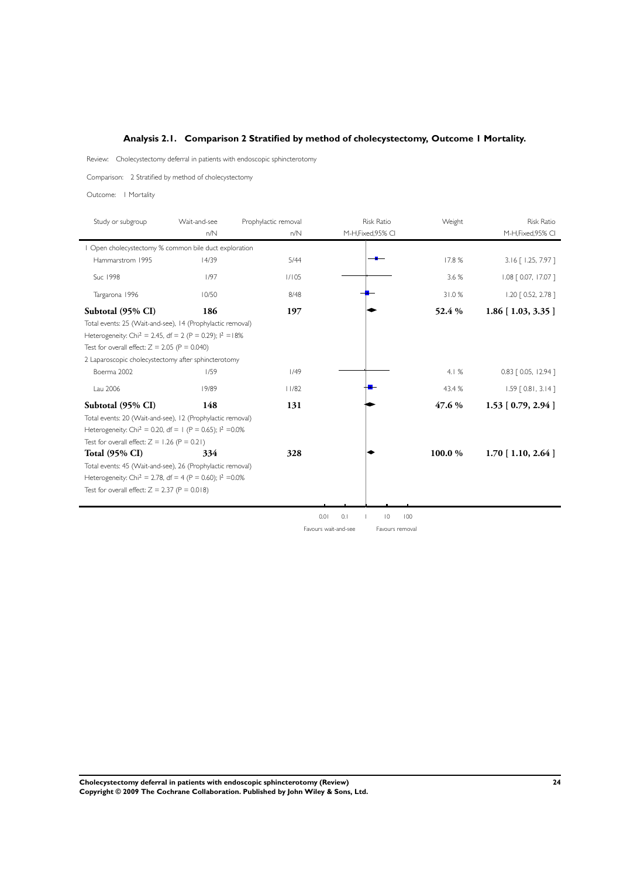# **Analysis 2.1. Comparison 2 Stratified by method of cholecystectomy, Outcome 1 Mortality.**

<span id="page-26-0"></span>Review: Cholecystectomy deferral in patients with endoscopic sphincterotomy

Comparison: 2 Stratified by method of cholecystectomy

Outcome: | Mortality

| Study or subgroup                                                           | Wait-and-see | Prophylactic removal | <b>Risk Ratio</b>                    | Weight | Risk Ratio              |
|-----------------------------------------------------------------------------|--------------|----------------------|--------------------------------------|--------|-------------------------|
|                                                                             | n/N          | n/N                  | M-H, Fixed, 95% CI                   |        | M-H, Fixed, 95% CI      |
| Open cholecystectomy % common bile duct exploration                         |              |                      |                                      |        |                         |
| Hammarstrom 1995                                                            | 14/39        | 5/44                 |                                      | 17.8 % | 3.16 [1.25, 7.97]       |
| Suc 1998                                                                    | 1/97         | 1/105                |                                      | 3.6 %  | 1.08 [ 0.07, 17.07 ]    |
| Targarona 1996                                                              | 10/50        | 8/48                 |                                      | 31.0%  | 1.20 [ 0.52, 2.78 ]     |
| Subtotal (95% CI)                                                           | 186          | 197                  |                                      | 52.4 % | $1.86$ [ 1.03, 3.35 ]   |
| Total events: 25 (Wait-and-see), 14 (Prophylactic removal)                  |              |                      |                                      |        |                         |
| Heterogeneity: Chi <sup>2</sup> = 2.45, df = 2 (P = 0.29); $1^2 = 18\%$     |              |                      |                                      |        |                         |
| Test for overall effect: $Z = 2.05$ (P = 0.040)                             |              |                      |                                      |        |                         |
| 2 Laparoscopic cholecystectomy after sphincterotomy                         |              |                      |                                      |        |                         |
| Boerma 2002                                                                 | 1/59         | 1/49                 |                                      | 4.1%   | 0.83 [ 0.05, 12.94 ]    |
| Lau 2006                                                                    | 19/89        | 11/82                |                                      | 43.4 % | $1.59$ [ 0.81, 3.14 ]   |
| Subtotal (95% CI)                                                           | 148          | 131                  |                                      | 47.6 % | $1.53$ [ 0.79, 2.94 ]   |
| Total events: 20 (Wait-and-see), 12 (Prophylactic removal)                  |              |                      |                                      |        |                         |
| Heterogeneity: Chi <sup>2</sup> = 0.20, df = 1 (P = 0.65); $1^2$ =0.0%      |              |                      |                                      |        |                         |
| Test for overall effect: $Z = 1.26$ (P = 0.21)                              |              |                      |                                      |        |                         |
| <b>Total (95% CI)</b>                                                       | 334          | 328                  |                                      | 100.0% | $1.70$ [ $1.10, 2.64$ ] |
| Total events: 45 (Wait-and-see), 26 (Prophylactic removal)                  |              |                      |                                      |        |                         |
| Heterogeneity: Chi <sup>2</sup> = 2.78, df = 4 (P = 0.60); $\vert^2$ = 0.0% |              |                      |                                      |        |                         |
| Test for overall effect: $Z = 2.37$ (P = 0.018)                             |              |                      |                                      |        |                         |
|                                                                             |              |                      |                                      |        |                         |
|                                                                             |              |                      | 0.01<br>$\overline{0}$<br>0.1<br>100 |        |                         |

Favours wait-and-see Favours removal

**Cholecystectomy deferral in patients with endoscopic sphincterotomy (Review) 24 Copyright © 2009 The Cochrane Collaboration. Published by John Wiley & Sons, Ltd.**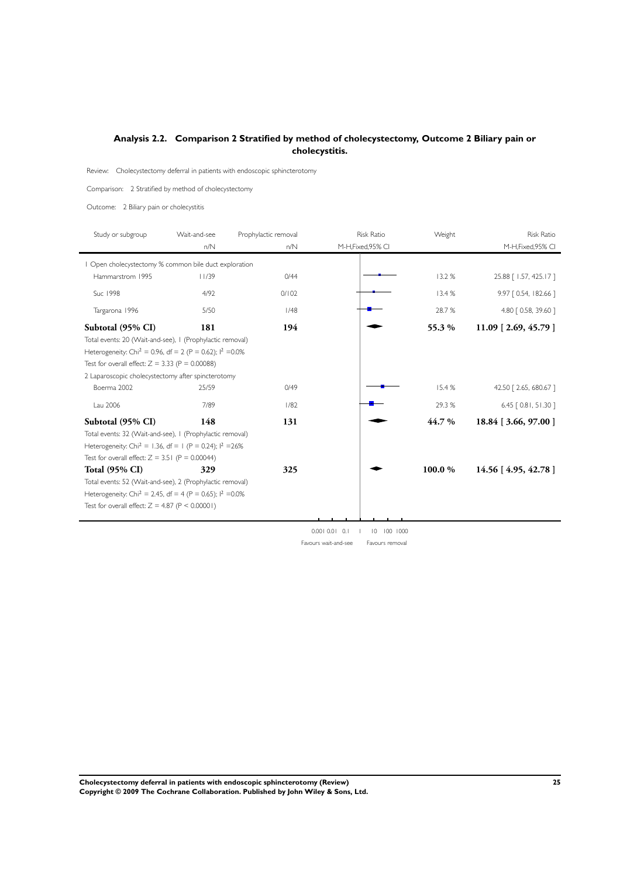# <span id="page-27-0"></span>**Analysis 2.2. Comparison 2 Stratified by method of cholecystectomy, Outcome 2 Biliary pain or cholecystitis.**

Review: Cholecystectomy deferral in patients with endoscopic sphincterotomy

Comparison: 2 Stratified by method of cholecystectomy

Outcome: 2 Biliary pain or cholecystitis

| Study or subgroup                                                       | Wait-and-see | Prophylactic removal | Risk Ratio         | Weight | <b>Risk Ratio</b>       |
|-------------------------------------------------------------------------|--------------|----------------------|--------------------|--------|-------------------------|
|                                                                         | n/N          | n/N                  | M-H, Fixed, 95% CI |        | M-H, Fixed, 95% CI      |
| Open cholecystectomy % common bile duct exploration                     |              |                      |                    |        |                         |
| Hammarstrom 1995                                                        | 11/39        | 0/44                 |                    | 13.2 % | 25.88 [ 1.57, 425.17 ]  |
| Suc 1998                                                                | 4/92         | 0/102                |                    | 13.4%  | 9.97 [0.54, 182.66]     |
| Targarona 1996                                                          | 5/50         | 1/48                 |                    | 28.7%  | 4.80 [ 0.58, 39.60 ]    |
| Subtotal (95% CI)                                                       | 181          | 194                  |                    | 55.3%  | $11.09$ [ 2.69, 45.79 ] |
| Total events: 20 (Wait-and-see), I (Prophylactic removal)               |              |                      |                    |        |                         |
| Heterogeneity: Chi <sup>2</sup> = 0.96, df = 2 (P = 0.62); $1^2$ =0.0%  |              |                      |                    |        |                         |
| Test for overall effect: $Z = 3.33$ (P = 0.00088)                       |              |                      |                    |        |                         |
| 2 Laparoscopic cholecystectomy after spincterotomy                      |              |                      |                    |        |                         |
| Boerma 2002                                                             | 25/59        | 0/49                 |                    | 15.4 % | 42.50 [ 2.65, 680.67 ]  |
| Lau 2006                                                                | 7/89         | 1/82                 |                    | 29.3%  | 6.45 [ 0.81, 51.30 ]    |
| Subtotal (95% CI)                                                       | 148          | 131                  |                    | 44.7%  | 18.84 [ 3.66, 97.00 ]   |
| Total events: 32 (Wait-and-see), I (Prophylactic removal)               |              |                      |                    |        |                         |
| Heterogeneity: Chi <sup>2</sup> = 1.36, df = 1 (P = 0.24); $1^2$ = 26%  |              |                      |                    |        |                         |
| Test for overall effect: $Z = 3.51$ (P = 0.00044)                       |              |                      |                    |        |                         |
| <b>Total (95% CI)</b>                                                   | 329          | 325                  |                    | 100.0% | 14.56 [4.95, 42.78]     |
| Total events: 52 (Wait-and-see), 2 (Prophylactic removal)               |              |                      |                    |        |                         |
| Heterogeneity: Chi <sup>2</sup> = 2.45, df = 4 (P = 0.65); $1^2$ = 0.0% |              |                      |                    |        |                         |
| Test for overall effect: $Z = 4.87$ (P < 0.00001)                       |              |                      |                    |        |                         |
|                                                                         |              |                      |                    |        |                         |

0.001 0.01 10 100 1000

Favours wait-and-see Favours removal

**Cholecystectomy deferral in patients with endoscopic sphincterotomy (Review) 25 Copyright © 2009 The Cochrane Collaboration. Published by John Wiley & Sons, Ltd.**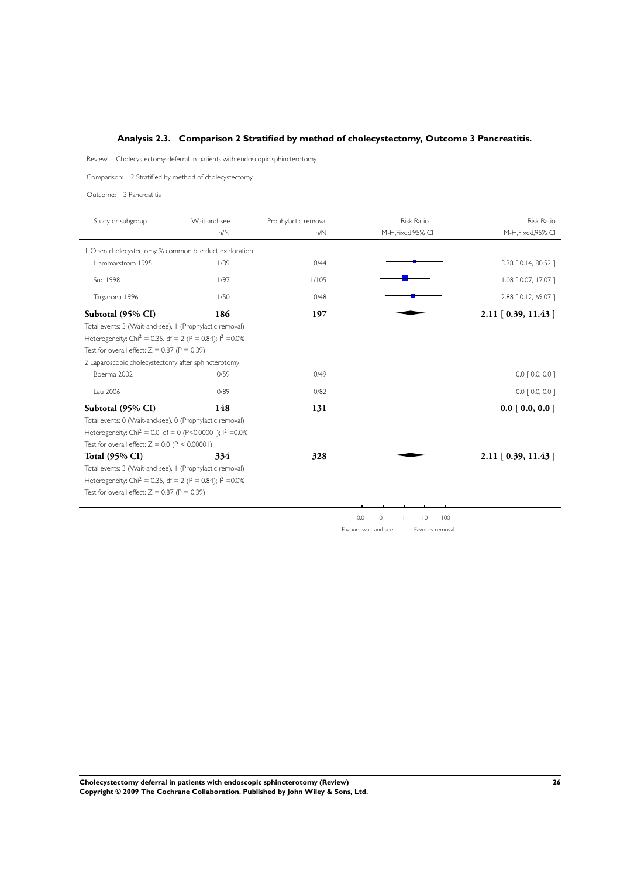# **Analysis 2.3. Comparison 2 Stratified by method of cholecystectomy, Outcome 3 Pancreatitis.**

<span id="page-28-0"></span>Review: Cholecystectomy deferral in patients with endoscopic sphincterotomy

Comparison: 2 Stratified by method of cholecystectomy

Outcome: 3 Pancreatitis

| Study or subgroup                                                       | Wait-and-see | Prophylactic removal |                      | <b>Risk Ratio</b>  | <b>Risk Ratio</b>              |
|-------------------------------------------------------------------------|--------------|----------------------|----------------------|--------------------|--------------------------------|
|                                                                         | n/N          | n/N                  |                      | M-H, Fixed, 95% CI | M-H, Fixed, 95% CI             |
| I Open cholecystectomy % common bile duct exploration                   |              |                      |                      |                    |                                |
| Hammarstrom 1995                                                        | 1/39         | 0/44                 |                      |                    | 3.38   0.14, 80.52 ]           |
| Suc 1998                                                                | 1/97         | 1/105                |                      |                    | 1.08 [ 0.07, 17.07 ]           |
| Targarona 1996                                                          | 1/50         | 0/48                 |                      |                    | 2.88 [ 0.12, 69.07 ]           |
| Subtotal (95% CI)                                                       | 186          | 197                  |                      |                    | 2.11 [0.39, 11.43]             |
| Total events: 3 (Wait-and-see), I (Prophylactic removal)                |              |                      |                      |                    |                                |
| Heterogeneity: Chi <sup>2</sup> = 0.35, df = 2 (P = 0.84); $1^2$ = 0.0% |              |                      |                      |                    |                                |
| Test for overall effect: $Z = 0.87$ (P = 0.39)                          |              |                      |                      |                    |                                |
| 2 Laparoscopic cholecystectomy after sphincterotomy                     |              |                      |                      |                    |                                |
| Boerma 2002                                                             | 0/59         | 0/49                 |                      |                    | $0.0$ $\lceil 0.0, 0.0 \rceil$ |
| Lau 2006                                                                | 0/89         | 0/82                 |                      |                    | $0.0$ $\lceil 0.0, 0.0 \rceil$ |
| Subtotal (95% CI)                                                       | 148          | 131                  |                      |                    | 0.0 [0.0, 0.0]                 |
| Total events: 0 (Wait-and-see), 0 (Prophylactic removal)                |              |                      |                      |                    |                                |
| Heterogeneity: Chi <sup>2</sup> = 0.0, df = 0 (P<0.00001); $1^2$ =0.0%  |              |                      |                      |                    |                                |
| Test for overall effect: $Z = 0.0$ (P < 0.00001)                        |              |                      |                      |                    |                                |
| <b>Total (95% CI)</b>                                                   | 334          | 328                  |                      |                    | $2.11$ [ 0.39, 11.43 ]         |
| Total events: 3 (Wait-and-see), I (Prophylactic removal)                |              |                      |                      |                    |                                |
| Heterogeneity: Chi <sup>2</sup> = 0.35, df = 2 (P = 0.84); $1^2$ = 0.0% |              |                      |                      |                    |                                |
| Test for overall effect: $Z = 0.87$ (P = 0.39)                          |              |                      |                      |                    |                                |
|                                                                         |              |                      |                      |                    |                                |
|                                                                         |              |                      | 0.01<br>0.1          | $ 0\rangle$<br>100 |                                |
|                                                                         |              |                      | Favours wait-and-see | Favours removal    |                                |
|                                                                         |              |                      |                      |                    |                                |

**Cholecystectomy deferral in patients with endoscopic sphincterotomy (Review) 26 Copyright © 2009 The Cochrane Collaboration. Published by John Wiley & Sons, Ltd.**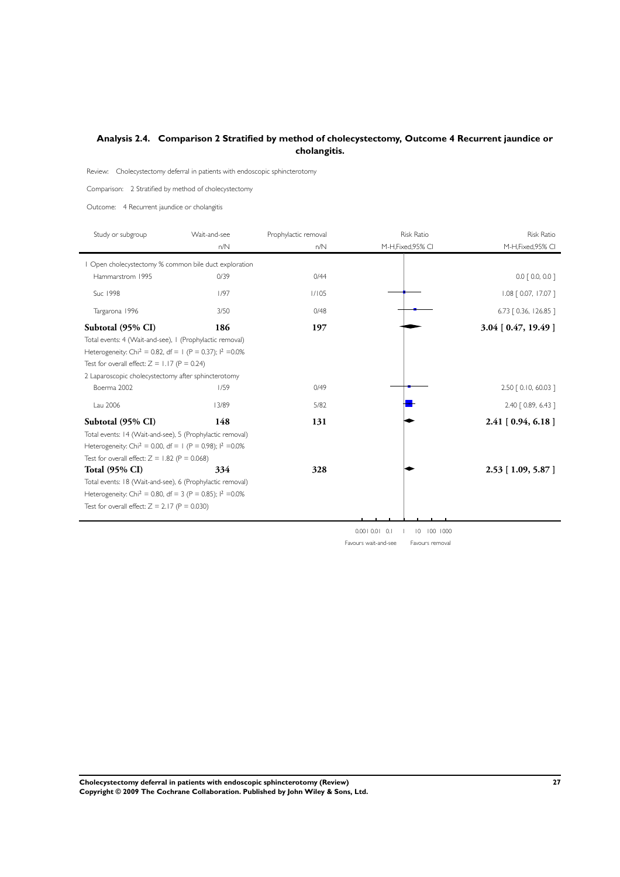# <span id="page-29-0"></span>**Analysis 2.4. Comparison 2 Stratified by method of cholecystectomy, Outcome 4 Recurrent jaundice or cholangitis.**

Review: Cholecystectomy deferral in patients with endoscopic sphincterotomy

Comparison: 2 Stratified by method of cholecystectomy

Outcome: 4 Recurrent jaundice or cholangitis

| Study or subgroup                                                       | Wait-and-see | Prophylactic removal | <b>Risk Ratio</b>           | <b>Risk Ratio</b>      |
|-------------------------------------------------------------------------|--------------|----------------------|-----------------------------|------------------------|
|                                                                         | n/N          | n/N                  | M-H, Fixed, 95% CI          | M-H, Fixed, 95% CI     |
| Open cholecystectomy % common bile duct exploration                     |              |                      |                             |                        |
| Hammarstrom 1995                                                        | 0/39         | 0/44                 |                             | $0.0$ $[0.0, 0.0]$     |
| Suc 1998                                                                | 1/97         | 1/105                |                             | 1.08 [ 0.07, 17.07 ]   |
| Targarona 1996                                                          | 3/50         | 0/48                 |                             | 6.73 [ 0.36, 126.85 ]  |
| Subtotal (95% CI)                                                       | 186          | 197                  |                             | $3.04$ [ 0.47, 19.49 ] |
| Total events: 4 (Wait-and-see), I (Prophylactic removal)                |              |                      |                             |                        |
| Heterogeneity: Chi <sup>2</sup> = 0.82, df = 1 (P = 0.37); $1^2$ = 0.0% |              |                      |                             |                        |
| Test for overall effect: $Z = 1.17$ (P = 0.24)                          |              |                      |                             |                        |
| 2 Laparoscopic cholecystectomy after sphincterotomy                     |              |                      |                             |                        |
| Boerma 2002                                                             | 1/59         | 0/49                 |                             | 2.50 [ 0.10, 60.03 ]   |
| Lau 2006                                                                | 13/89        | 5/82                 |                             | 2.40 [ 0.89, 6.43 ]    |
| Subtotal (95% CI)                                                       | 148          | 131                  |                             | $2.41$ [ 0.94, 6.18 ]  |
| Total events: 14 (Wait-and-see), 5 (Prophylactic removal)               |              |                      |                             |                        |
| Heterogeneity: Chi <sup>2</sup> = 0.00, df = 1 (P = 0.98); $1^2$ = 0.0% |              |                      |                             |                        |
| Test for overall effect: $Z = 1.82$ (P = 0.068)                         |              |                      |                             |                        |
| <b>Total (95% CI)</b>                                                   | 334          | 328                  |                             | $2.53$ [ 1.09, 5.87 ]  |
| Total events: 18 (Wait-and-see), 6 (Prophylactic removal)               |              |                      |                             |                        |
| Heterogeneity: Chi <sup>2</sup> = 0.80, df = 3 (P = 0.85); $1^2$ = 0.0% |              |                      |                             |                        |
| Test for overall effect: $Z = 2.17$ (P = 0.030)                         |              |                      |                             |                        |
|                                                                         |              |                      |                             |                        |
|                                                                         |              |                      | 0.0010.010.1<br>10 100 1000 |                        |

Favours wait-and-see Favours removal

**Cholecystectomy deferral in patients with endoscopic sphincterotomy (Review) 27 Copyright © 2009 The Cochrane Collaboration. Published by John Wiley & Sons, Ltd.**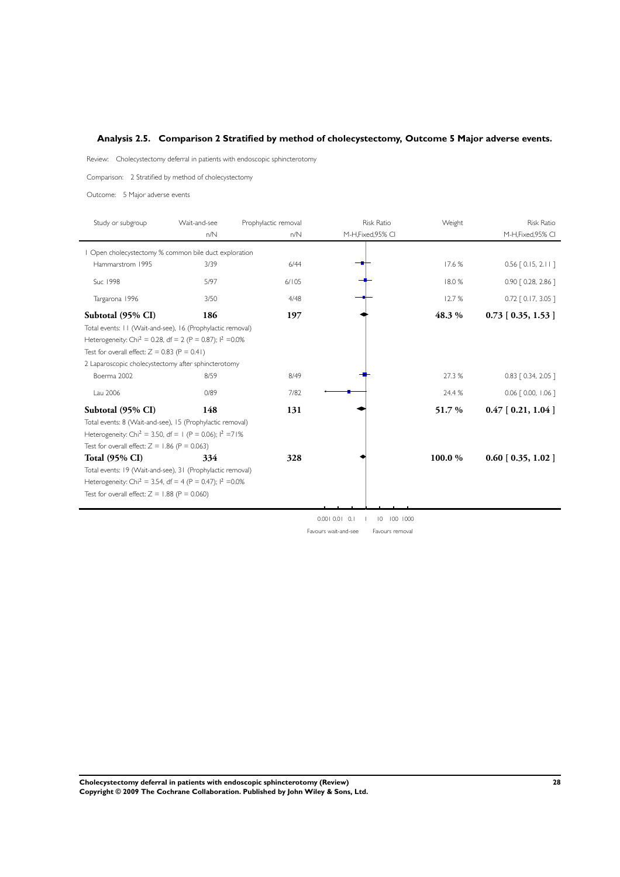# <span id="page-30-0"></span>**Analysis 2.5. Comparison 2 Stratified by method of cholecystectomy, Outcome 5 Major adverse events.**

Review: Cholecystectomy deferral in patients with endoscopic sphincterotomy

Comparison: 2 Stratified by method of cholecystectomy

Outcome: 5 Major adverse events

| Study or subgroup                                                                | Wait-and-see | Prophylactic removal | <b>Risk Ratio</b>                                  | Weight | Risk Ratio               |
|----------------------------------------------------------------------------------|--------------|----------------------|----------------------------------------------------|--------|--------------------------|
|                                                                                  | n/N          | n/N                  | M-H.Fixed.95% CI                                   |        | M-H.Fixed.95% CI         |
| Open cholecystectomy % common bile duct exploration                              |              |                      |                                                    |        |                          |
| Hammarstrom 1995                                                                 | 3/39         | 6/44                 |                                                    | 17.6 % | $0.56$ $[0.15, 2.11]$    |
| Suc 1998                                                                         | 5/97         | 6/105                |                                                    | 18.0%  | 0.90 [ 0.28, 2.86 ]      |
| Targarona 1996                                                                   | 3/50         | 4/48                 |                                                    | 12.7%  | $0.72$ $[0.17, 3.05]$    |
| Subtotal (95% CI)                                                                | 186          | 197                  |                                                    | 48.3%  | $0.73$ [ 0.35, 1.53 ]    |
| Total events: 11 (Wait-and-see), 16 (Prophylactic removal)                       |              |                      |                                                    |        |                          |
| Heterogeneity: Chi <sup>2</sup> = 0.28, df = 2 (P = 0.87); l <sup>2</sup> = 0.0% |              |                      |                                                    |        |                          |
| Test for overall effect: $Z = 0.83$ (P = 0.41)                                   |              |                      |                                                    |        |                          |
| 2 Laparoscopic cholecystectomy after sphincterotomy                              |              |                      |                                                    |        |                          |
| Boerma 2002                                                                      | 8/59         | 8/49                 |                                                    | 27.3 % | $0.83$ $[0.34, 2.05]$    |
| Lau 2006                                                                         | 0/89         | 7/82                 |                                                    | 24.4 % | $0.06$ $[0.00, 1.06]$    |
| Subtotal (95% CI)                                                                | 148          | 131                  |                                                    | 51.7%  | $0.47$ [ $0.21, 1.04$ ]  |
| Total events: 8 (Wait-and-see), 15 (Prophylactic removal)                        |              |                      |                                                    |        |                          |
| Heterogeneity: Chi <sup>2</sup> = 3.50, df = 1 (P = 0.06); $1^2$ =71%            |              |                      |                                                    |        |                          |
| Test for overall effect: $Z = 1.86$ (P = 0.063)                                  |              |                      |                                                    |        |                          |
| <b>Total (95% CI)</b>                                                            | 334          | 328                  |                                                    | 100.0% | $0.60$ [ $0.35$ , 1.02 ] |
| Total events: 19 (Wait-and-see), 31 (Prophylactic removal)                       |              |                      |                                                    |        |                          |
| Heterogeneity: Chi <sup>2</sup> = 3.54, df = 4 (P = 0.47); $1^2$ = 0.0%          |              |                      |                                                    |        |                          |
| Test for overall effect: $Z = 1.88$ (P = 0.060)                                  |              |                      |                                                    |        |                          |
|                                                                                  |              |                      |                                                    |        |                          |
|                                                                                  |              |                      | $0.001$ $0.01$ $0.1$<br>100 1000<br>$\overline{0}$ |        |                          |
|                                                                                  |              |                      | Favours wait-and-see<br>Favours removal            |        |                          |

**Cholecystectomy deferral in patients with endoscopic sphincterotomy (Review) 28 Copyright © 2009 The Cochrane Collaboration. Published by John Wiley & Sons, Ltd.**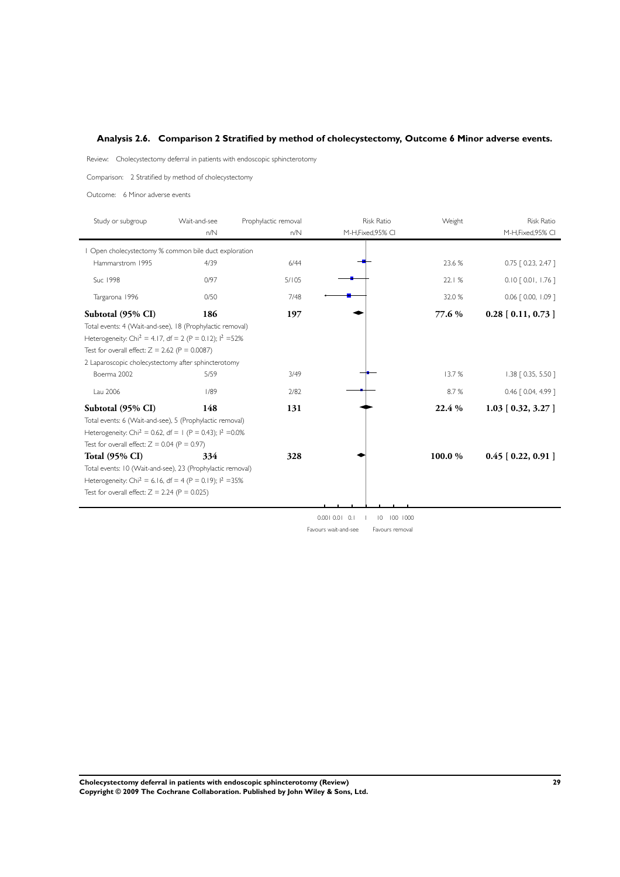### <span id="page-31-0"></span>**Analysis 2.6. Comparison 2 Stratified by method of cholecystectomy, Outcome 6 Minor adverse events.**

Review: Cholecystectomy deferral in patients with endoscopic sphincterotomy

Comparison: 2 Stratified by method of cholecystectomy

Outcome: 6 Minor adverse events

| Study or subgroup                                                      | Wait-and-see | Prophylactic removal | <b>Risk Ratio</b>           | Weight | <b>Risk Ratio</b>     |
|------------------------------------------------------------------------|--------------|----------------------|-----------------------------|--------|-----------------------|
|                                                                        | n/N          | n/N                  | M-H, Fixed, 95% CI          |        | M-H, Fixed, 95% CI    |
| I Open cholecystectomy % common bile duct exploration                  |              |                      |                             |        |                       |
| Hammarstrom 1995                                                       | 4/39         | 6/44                 |                             | 23.6 % | 0.75 [ 0.23, 2.47 ]   |
| Suc 1998                                                               | 0/97         | 5/105                |                             | 22.1%  | $0.10$ $[0.01, 1.76]$ |
| Targarona 1996                                                         | 0/50         | 7/48                 |                             | 32.0 % | $0.06$ $[0.00, 1.09]$ |
| Subtotal (95% CI)                                                      | 186          | 197                  |                             | 77.6 % | $0.28$ [ 0.11, 0.73 ] |
| Total events: 4 (Wait-and-see), 18 (Prophylactic removal)              |              |                      |                             |        |                       |
| Heterogeneity: Chi <sup>2</sup> = 4.17, df = 2 (P = 0.12); $1^2$ =52%  |              |                      |                             |        |                       |
| Test for overall effect: $Z = 2.62$ (P = 0.0087)                       |              |                      |                             |        |                       |
| 2 Laparoscopic cholecystectomy after sphincterotomy                    |              |                      |                             |        |                       |
| Boerma 2002                                                            | 5/59         | 3/49                 |                             | 13.7%  | 1.38 [ 0.35, 5.50 ]   |
| Lau 2006                                                               | 1/89         | 2/82                 |                             | 8.7%   | 0.46 [ 0.04, 4.99 ]   |
| Subtotal (95% CI)                                                      | 148          | 131                  |                             | 22.4%  | $1.03$ [ 0.32, 3.27 ] |
| Total events: 6 (Wait-and-see), 5 (Prophylactic removal)               |              |                      |                             |        |                       |
| Heterogeneity: Chi <sup>2</sup> = 0.62, df = 1 (P = 0.43); $1^2$ =0.0% |              |                      |                             |        |                       |
| Test for overall effect: $Z = 0.04$ (P = 0.97)                         |              |                      |                             |        |                       |
| <b>Total (95% CI)</b>                                                  | 334          | 328                  |                             | 100.0% | $0.45$ [ 0.22, 0.91 ] |
| Total events: 10 (Wait-and-see), 23 (Prophylactic removal)             |              |                      |                             |        |                       |
| Heterogeneity: Chi <sup>2</sup> = 6.16, df = 4 (P = 0.19); $1^2$ =35%  |              |                      |                             |        |                       |
| Test for overall effect: $Z = 2.24$ (P = 0.025)                        |              |                      |                             |        |                       |
|                                                                        |              |                      |                             |        |                       |
|                                                                        |              |                      | 0.0010.010.1<br>10 100 1000 |        |                       |

Favours wait-and-see Favours removal

**Cholecystectomy deferral in patients with endoscopic sphincterotomy (Review) 29 Copyright © 2009 The Cochrane Collaboration. Published by John Wiley & Sons, Ltd.**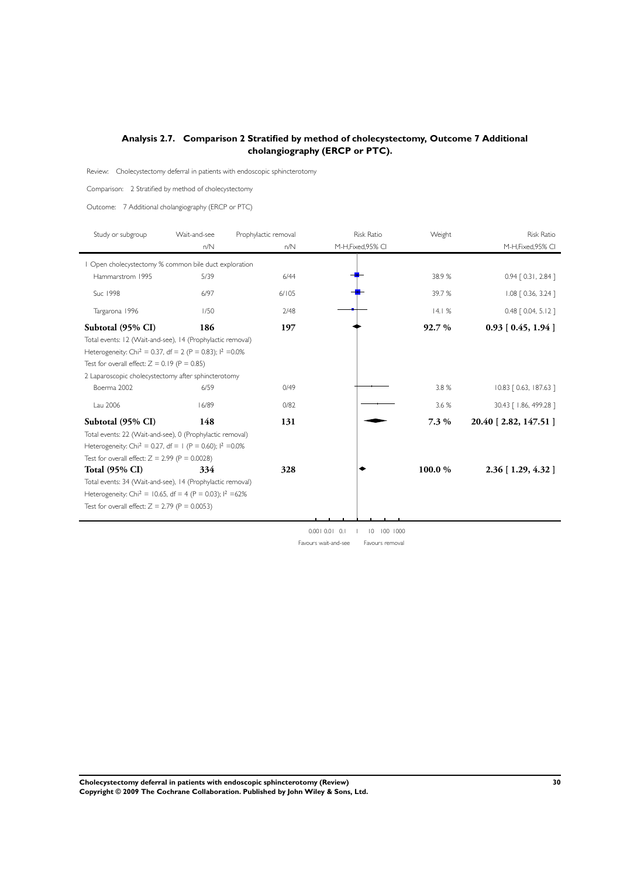# <span id="page-32-0"></span>**Analysis 2.7. Comparison 2 Stratified by method of cholecystectomy, Outcome 7 Additional cholangiography (ERCP or PTC).**

Review: Cholecystectomy deferral in patients with endoscopic sphincterotomy

Comparison: 2 Stratified by method of cholecystectomy

Outcome: 7 Additional cholangiography (ERCP or PTC)

| Study or subgroup                                                       | Wait-and-see | Prophylactic removal | <b>Risk Ratio</b>  | Weight | <b>Risk Ratio</b>      |
|-------------------------------------------------------------------------|--------------|----------------------|--------------------|--------|------------------------|
|                                                                         | n/N          | n/N                  | M-H, Fixed, 95% CI |        | M-H, Fixed, 95% CI     |
| Open cholecystectomy % common bile duct exploration                     |              |                      |                    |        |                        |
| Hammarstrom 1995                                                        | 5/39         | 6/44                 |                    | 38.9%  | $0.94$ $[0.31, 2.84]$  |
| Suc 1998                                                                | 6/97         | 6/105                |                    | 39.7%  | $1.08$ $[0.36, 3.24]$  |
| Targarona 1996                                                          | 1/50         | 2/48                 |                    | 14.1%  | $0.48$ $[0.04, 5.12]$  |
| Subtotal (95% CI)                                                       | 186          | 197                  |                    | 92.7%  | $0.93$ [ 0.45, 1.94 ]  |
| Total events: 12 (Wait-and-see), 14 (Prophylactic removal)              |              |                      |                    |        |                        |
| Heterogeneity: Chi <sup>2</sup> = 0.37, df = 2 (P = 0.83); $1^2$ = 0.0% |              |                      |                    |        |                        |
| Test for overall effect: $Z = 0.19$ (P = 0.85)                          |              |                      |                    |        |                        |
| 2 Laparoscopic cholecystectomy after sphincterotomy                     |              |                      |                    |        |                        |
| Boerma 2002                                                             | 6/59         | 0/49                 |                    | 3.8 %  | 10.83 [ 0.63, 187.63 ] |
| Lau 2006                                                                | 16/89        | 0/82                 |                    | 3.6 %  | 30.43 [ 1.86, 499.28 ] |
| Subtotal (95% CI)                                                       | 148          | 131                  |                    | 7.3 %  | 20.40 [2.82, 147.51]   |
| Total events: 22 (Wait-and-see), 0 (Prophylactic removal)               |              |                      |                    |        |                        |
| Heterogeneity: Chi <sup>2</sup> = 0.27, df = 1 (P = 0.60); $1^2$ = 0.0% |              |                      |                    |        |                        |
| Test for overall effect: $Z = 2.99$ (P = 0.0028)                        |              |                      |                    |        |                        |
| <b>Total (95% CI)</b>                                                   | 334          | 328                  |                    | 100.0% | $2.36$ [ 1.29, 4.32 ]  |
| Total events: 34 (Wait-and-see), 14 (Prophylactic removal)              |              |                      |                    |        |                        |
| Heterogeneity: Chi <sup>2</sup> = 10.65, df = 4 (P = 0.03); $1^2$ =62%  |              |                      |                    |        |                        |
| Test for overall effect: $Z = 2.79$ (P = 0.0053)                        |              |                      |                    |        |                        |
|                                                                         |              |                      |                    |        |                        |

0.001 0.01 0.1 1 10 100 1000

Favours wait-and-see Favours removal

**Cholecystectomy deferral in patients with endoscopic sphincterotomy (Review) 30 Copyright © 2009 The Cochrane Collaboration. Published by John Wiley & Sons, Ltd.**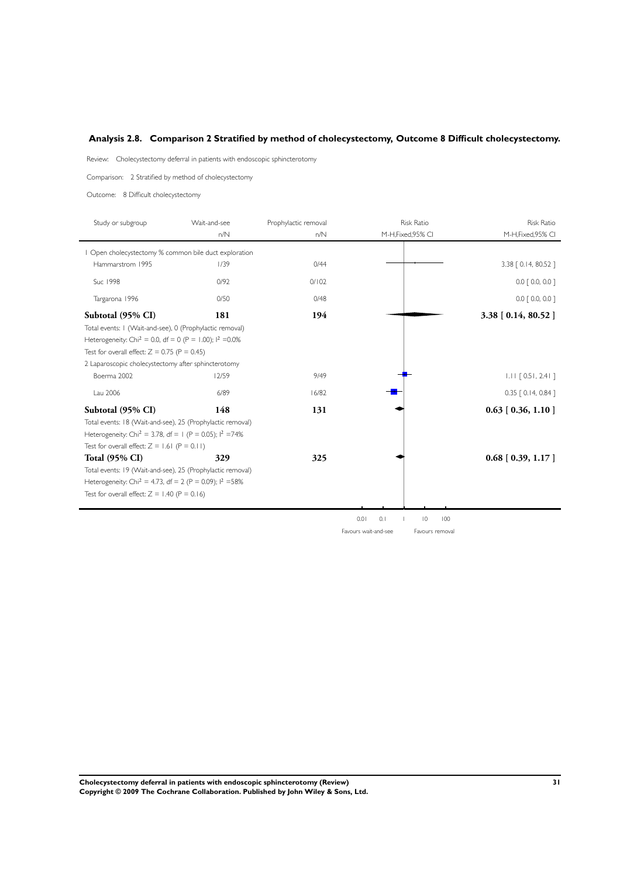# <span id="page-33-0"></span>**Analysis 2.8. Comparison 2 Stratified by method of cholecystectomy, Outcome 8 Difficult cholecystectomy.**

Review: Cholecystectomy deferral in patients with endoscopic sphincterotomy

Comparison: 2 Stratified by method of cholecystectomy

Outcome: 8 Difficult cholecystectomy

| Study or subgroup                                                     | Wait-and-see                                        | Prophylactic removal |                      | <b>Risk Ratio</b>  | <b>Risk Ratio</b>              |
|-----------------------------------------------------------------------|-----------------------------------------------------|----------------------|----------------------|--------------------|--------------------------------|
|                                                                       | n/N                                                 | n/N                  |                      | M-H, Fixed, 95% CI | M-H, Fixed, 95% CI             |
|                                                                       | Open cholecystectomy % common bile duct exploration |                      |                      |                    |                                |
| Hammarstrom 1995                                                      | 1/39                                                | 0/44                 |                      |                    | 3.38 [ 0.14, 80.52 ]           |
| <b>Suc 1998</b>                                                       | 0/92                                                | 0/102                |                      |                    | $0.0$ $[0.0, 0.0]$             |
| Targarona 1996                                                        | 0/50                                                | 0/48                 |                      |                    | $0.0$ $\lceil 0.0, 0.0 \rceil$ |
| Subtotal (95% CI)                                                     | 181                                                 | 194                  |                      |                    | $3.38$ [ 0.14, 80.52 ]         |
| Total events: I (Wait-and-see), 0 (Prophylactic removal)              |                                                     |                      |                      |                    |                                |
| Heterogeneity: Chi <sup>2</sup> = 0.0, df = 0 (P = 1.00); $1^2$ =0.0% |                                                     |                      |                      |                    |                                |
| Test for overall effect: $Z = 0.75$ (P = 0.45)                        |                                                     |                      |                      |                    |                                |
| 2 Laparoscopic cholecystectomy after sphincterotomy                   |                                                     |                      |                      |                    |                                |
| Boerma 2002                                                           | 12/59                                               | 9/49                 |                      |                    | $1.11$ $[0.51, 2.41]$          |
| Lau 2006                                                              | 6/89                                                | 16/82                |                      |                    | $0.35$ $[0.14, 0.84]$          |
| Subtotal (95% CI)                                                     | 148                                                 | 131                  |                      |                    | $0.63$ [ $0.36$ , $1.10$ ]     |
| Total events: 18 (Wait-and-see), 25 (Prophylactic removal)            |                                                     |                      |                      |                    |                                |
| Heterogeneity: Chi <sup>2</sup> = 3.78, df = 1 (P = 0.05); $1^2$ =74% |                                                     |                      |                      |                    |                                |
| Test for overall effect: $Z = 1.61$ (P = 0.11)                        |                                                     |                      |                      |                    |                                |
| <b>Total (95% CI)</b>                                                 | 329                                                 | 325                  |                      |                    | $0.68$ [ 0.39, 1.17 ]          |
| Total events: 19 (Wait-and-see), 25 (Prophylactic removal)            |                                                     |                      |                      |                    |                                |
| Heterogeneity: Chi <sup>2</sup> = 4.73, df = 2 (P = 0.09); $1^2$ =58% |                                                     |                      |                      |                    |                                |
| Test for overall effect: $Z = 1.40$ (P = 0.16)                        |                                                     |                      |                      |                    |                                |
|                                                                       |                                                     |                      |                      |                    |                                |
|                                                                       |                                                     |                      | 0.01<br>0.1          | $ 0\rangle$<br>100 |                                |
|                                                                       |                                                     |                      | Favours wait-and-see | Favours removal    |                                |
|                                                                       |                                                     |                      |                      |                    |                                |

**Cholecystectomy deferral in patients with endoscopic sphincterotomy (Review) 31 Copyright © 2009 The Cochrane Collaboration. Published by John Wiley & Sons, Ltd.**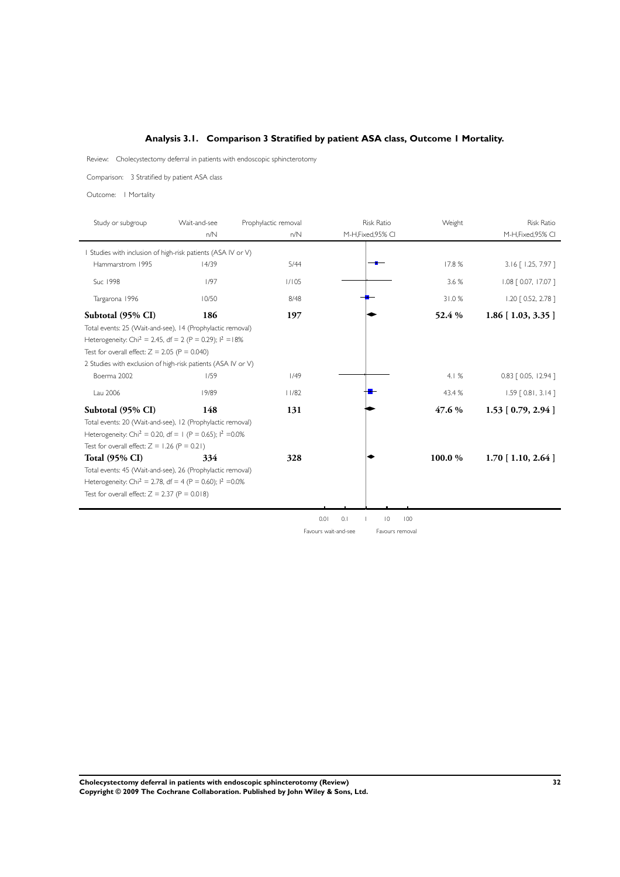# **Analysis 3.1. Comparison 3 Stratified by patient ASA class, Outcome 1 Mortality.**

<span id="page-34-0"></span>Review: Cholecystectomy deferral in patients with endoscopic sphincterotomy

Comparison: 3 Stratified by patient ASA class

Outcome: | Mortality

| Study or subgroup                                                       | Wait-and-see | Prophylactic removal | <b>Risk Ratio</b>                       | Weight | <b>Risk Ratio</b>       |
|-------------------------------------------------------------------------|--------------|----------------------|-----------------------------------------|--------|-------------------------|
|                                                                         | n/N          | n/N                  | M-H, Fixed, 95% CI                      |        | M-H, Fixed, 95% CI      |
| Studies with inclusion of high-risk patients (ASA IV or V)              |              |                      |                                         |        |                         |
| Hammarstrom 1995                                                        | 14/39        | 5/44                 |                                         | 17.8 % | 3.16 [ 1.25, 7.97 ]     |
| Suc 1998                                                                | 1/97         | 1/105                |                                         | 3.6 %  | 1.08 [ 0.07, 17.07 ]    |
| Targarona 1996                                                          | 10/50        | 8/48                 |                                         | 31.0%  | $1.20$ $[0.52, 2.78]$   |
| Subtotal (95% CI)                                                       | 186          | 197                  |                                         | 52.4 % | $1.86$ [ 1.03, 3.35 ]   |
| Total events: 25 (Wait-and-see), 14 (Prophylactic removal)              |              |                      |                                         |        |                         |
| Heterogeneity: Chi <sup>2</sup> = 2.45, df = 2 (P = 0.29); $1^2$ = 18%  |              |                      |                                         |        |                         |
| Test for overall effect: $Z = 2.05$ (P = 0.040)                         |              |                      |                                         |        |                         |
| 2 Studies with exclusion of high-risk patients (ASA IV or V)            |              |                      |                                         |        |                         |
| Boerma 2002                                                             | 1/59         | 1/49                 |                                         | 4.1%   | 0.83 [ 0.05, 12.94 ]    |
| Lau 2006                                                                | 19/89        | 11/82                |                                         | 43.4 % | $1.59$ $[0.81, 3.14]$   |
| Subtotal (95% CI)                                                       | 148          | 131                  |                                         | 47.6 % | $1.53$ [ 0.79, 2.94 ]   |
| Total events: 20 (Wait-and-see), 12 (Prophylactic removal)              |              |                      |                                         |        |                         |
| Heterogeneity: Chi <sup>2</sup> = 0.20, df = 1 (P = 0.65); $1^2$ =0.0%  |              |                      |                                         |        |                         |
| Test for overall effect: $Z = 1.26$ (P = 0.21)                          |              |                      |                                         |        |                         |
| <b>Total (95% CI)</b>                                                   | 334          | 328                  |                                         | 100.0% | $1.70$ [ $1.10, 2.64$ ] |
| Total events: 45 (Wait-and-see), 26 (Prophylactic removal)              |              |                      |                                         |        |                         |
| Heterogeneity: Chi <sup>2</sup> = 2.78, df = 4 (P = 0.60); $1^2$ = 0.0% |              |                      |                                         |        |                         |
| Test for overall effect: $Z = 2.37$ (P = 0.018)                         |              |                      |                                         |        |                         |
|                                                                         |              |                      |                                         |        |                         |
|                                                                         |              |                      | 0.1<br>$ 0\rangle$<br>100<br>0.01       |        |                         |
|                                                                         |              |                      | Favours wait-and-see<br>Favours removal |        |                         |

**Cholecystectomy deferral in patients with endoscopic sphincterotomy (Review) 32 Copyright © 2009 The Cochrane Collaboration. Published by John Wiley & Sons, Ltd.**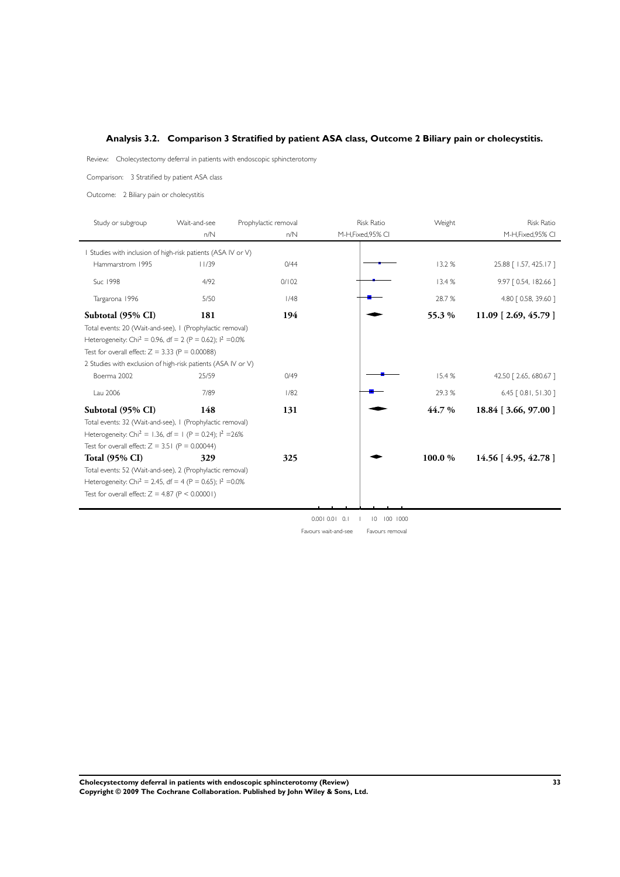# <span id="page-35-0"></span>**Analysis 3.2. Comparison 3 Stratified by patient ASA class, Outcome 2 Biliary pain or cholecystitis.**

Review: Cholecystectomy deferral in patients with endoscopic sphincterotomy

Comparison: 3 Stratified by patient ASA class

Outcome: 2 Biliary pain or cholecystitis

| Study or subgroup                                                       | Wait-and-see | Prophylactic removal | <b>Risk Ratio</b>           | Weight | <b>Risk Ratio</b>       |
|-------------------------------------------------------------------------|--------------|----------------------|-----------------------------|--------|-------------------------|
|                                                                         | n/N          | n/N                  | M-H.Fixed.95% CI            |        | M-H, Fixed, 95% CI      |
| Studies with inclusion of high-risk patients (ASA IV or V)              |              |                      |                             |        |                         |
| Hammarstrom 1995                                                        | 11/39        | 0/44                 |                             | 13.2 % | 25.88 [ 1.57, 425.17 ]  |
| Suc 1998                                                                | 4/92         | 0/102                |                             | 13.4%  | 9.97 [0.54, 182.66]     |
| Targarona 1996                                                          | 5/50         | 1/48                 |                             | 28.7%  | 4.80 [ 0.58, 39.60 ]    |
| Subtotal (95% CI)                                                       | 181          | 194                  |                             | 55.3 % | $11.09$ [ 2.69, 45.79 ] |
| Total events: 20 (Wait-and-see), I (Prophylactic removal)               |              |                      |                             |        |                         |
| Heterogeneity: Chi <sup>2</sup> = 0.96, df = 2 (P = 0.62); $1^2$ =0.0%  |              |                      |                             |        |                         |
| Test for overall effect: $Z = 3.33$ (P = 0.00088)                       |              |                      |                             |        |                         |
| 2 Studies with exclusion of high-risk patients (ASA IV or V)            |              |                      |                             |        |                         |
| Boerma 2002                                                             | 25/59        | 0/49                 |                             | 15.4%  | 42.50 [2.65, 680.67]    |
| Lau 2006                                                                | 7/89         | 1/82                 |                             | 29.3%  | 6.45 [ 0.81, 51.30 ]    |
| Subtotal (95% CI)                                                       | 148          | 131                  |                             | 44.7 % | 18.84 [ 3.66, 97.00 ]   |
| Total events: 32 (Wait-and-see), I (Prophylactic removal)               |              |                      |                             |        |                         |
| Heterogeneity: Chi <sup>2</sup> = 1.36, df = 1 (P = 0.24); $1^2$ =26%   |              |                      |                             |        |                         |
| Test for overall effect: $Z = 3.51$ (P = 0.00044)                       |              |                      |                             |        |                         |
| <b>Total (95% CI)</b>                                                   | 329          | 325                  |                             | 100.0% | 14.56 [4.95, 42.78]     |
| Total events: 52 (Wait-and-see), 2 (Prophylactic removal)               |              |                      |                             |        |                         |
| Heterogeneity: Chi <sup>2</sup> = 2.45, df = 4 (P = 0.65); $1^2$ = 0.0% |              |                      |                             |        |                         |
| Test for overall effect: $Z = 4.87$ (P < 0.00001)                       |              |                      |                             |        |                         |
|                                                                         |              |                      |                             |        |                         |
|                                                                         |              |                      | 0.0010.010.1<br>10 100 1000 |        |                         |

Favours wait-and-see Favours removal

**Cholecystectomy deferral in patients with endoscopic sphincterotomy (Review) 33 Copyright © 2009 The Cochrane Collaboration. Published by John Wiley & Sons, Ltd.**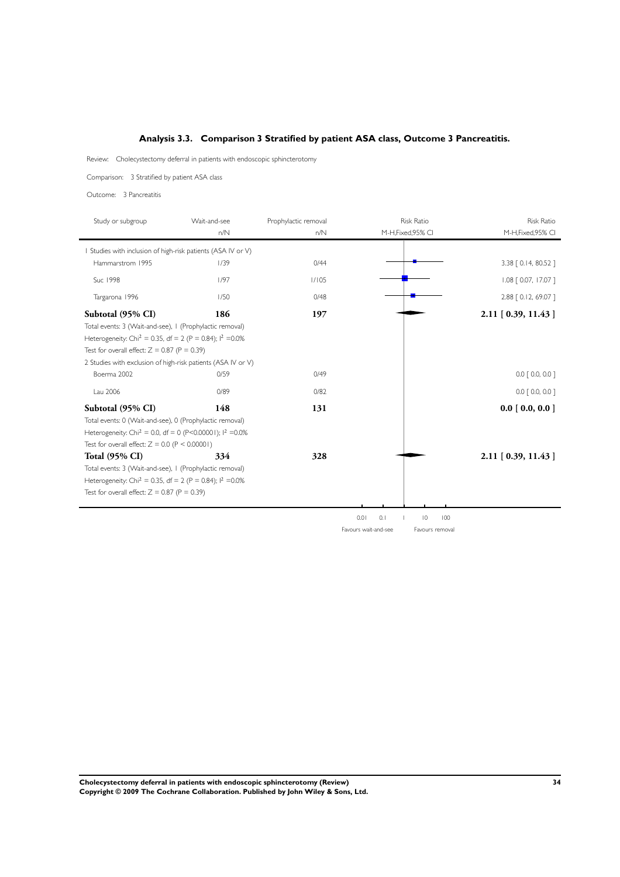# **Analysis 3.3. Comparison 3 Stratified by patient ASA class, Outcome 3 Pancreatitis.**

<span id="page-36-0"></span>Review: Cholecystectomy deferral in patients with endoscopic sphincterotomy

Comparison: 3 Stratified by patient ASA class

Outcome: 3 Pancreatitis

| Study or subgroup                                                       | Wait-and-see | Prophylactic removal |                      | <b>Risk Ratio</b>     | <b>Risk Ratio</b>              |
|-------------------------------------------------------------------------|--------------|----------------------|----------------------|-----------------------|--------------------------------|
|                                                                         | n/N          | n/N                  |                      | M-H,Fixed,95% CI      | M-H, Fixed, 95% CI             |
| I Studies with inclusion of high-risk patients (ASA IV or V)            |              |                      |                      |                       |                                |
| Hammarstrom 1995                                                        | 1/39         | 0/44                 |                      |                       | 3.38 [ 0.14, 80.52 ]           |
| Suc 1998                                                                | 1/97         | 1/105                |                      |                       | $1.08$ $[0.07, 17.07]$         |
| Targarona 1996                                                          | 1/50         | 0/48                 |                      |                       | 2.88 [ 0.12, 69.07 ]           |
| Subtotal (95% CI)                                                       | 186          | 197                  |                      |                       | 2.11 [0.39, 11.43]             |
| Total events: 3 (Wait-and-see), I (Prophylactic removal)                |              |                      |                      |                       |                                |
| Heterogeneity: Chi <sup>2</sup> = 0.35, df = 2 (P = 0.84); $1^2$ = 0.0% |              |                      |                      |                       |                                |
| Test for overall effect: $Z = 0.87$ (P = 0.39)                          |              |                      |                      |                       |                                |
| 2 Studies with exclusion of high-risk patients (ASA IV or V)            |              |                      |                      |                       |                                |
| Boerma 2002                                                             | 0/59         | 0/49                 |                      |                       | $0.0$ $\lceil 0.0, 0.0 \rceil$ |
| Lau 2006                                                                | 0/89         | 0/82                 |                      |                       | $0.0$ $\lceil 0.0, 0.0 \rceil$ |
| Subtotal (95% CI)                                                       | 148          | 131                  |                      |                       | 0.0 [0.0, 0.0]                 |
| Total events: 0 (Wait-and-see), 0 (Prophylactic removal)                |              |                      |                      |                       |                                |
| Heterogeneity: Chi <sup>2</sup> = 0.0, df = 0 (P<0.00001); $1^2$ =0.0%  |              |                      |                      |                       |                                |
| Test for overall effect: $Z = 0.0$ (P < 0.00001)                        |              |                      |                      |                       |                                |
| <b>Total (95% CI)</b>                                                   | 334          | 328                  |                      |                       | 2.11 [0.39, 11.43]             |
| Total events: 3 (Wait-and-see), 1 (Prophylactic removal)                |              |                      |                      |                       |                                |
| Heterogeneity: Chi <sup>2</sup> = 0.35, df = 2 (P = 0.84); $1^2$ = 0.0% |              |                      |                      |                       |                                |
| Test for overall effect: $Z = 0.87$ (P = 0.39)                          |              |                      |                      |                       |                                |
|                                                                         |              |                      |                      |                       |                                |
|                                                                         |              |                      | 0.01<br>0.1          | $\overline{0}$<br>100 |                                |
|                                                                         |              |                      | Favours wait-and-see | Favours removal       |                                |
|                                                                         |              |                      |                      |                       |                                |
|                                                                         |              |                      |                      |                       |                                |
|                                                                         |              |                      |                      |                       |                                |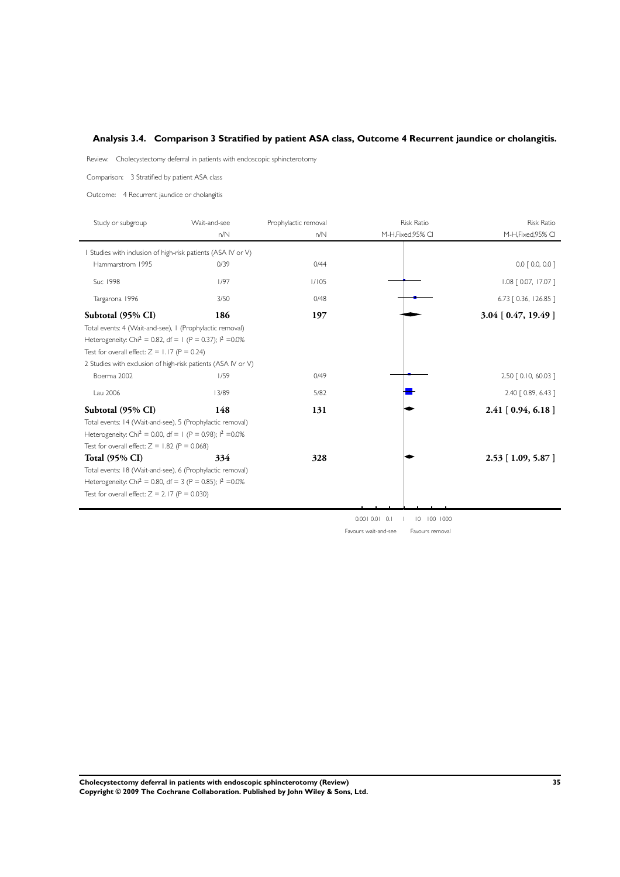# <span id="page-37-0"></span>**Analysis 3.4. Comparison 3 Stratified by patient ASA class, Outcome 4 Recurrent jaundice or cholangitis.**

Review: Cholecystectomy deferral in patients with endoscopic sphincterotomy

Comparison: 3 Stratified by patient ASA class

Outcome: 4 Recurrent jaundice or cholangitis

| Study or subgroup                                                       | Wait-and-see | Prophylactic removal |                      | <b>Risk Ratio</b>  | Risk Ratio             |
|-------------------------------------------------------------------------|--------------|----------------------|----------------------|--------------------|------------------------|
|                                                                         | n/N          | n/N                  |                      | M-H, Fixed, 95% CI | M-H, Fixed, 95% CI     |
| Studies with inclusion of high-risk patients (ASA IV or V)              |              |                      |                      |                    |                        |
| Hammarstrom 1995                                                        | 0/39         | 0/44                 |                      |                    | $0.0$ $[0.0, 0.0]$     |
| <b>Suc 1998</b>                                                         | 1/97         | 1/105                |                      |                    | 1.08 [ 0.07, 17.07 ]   |
| Targarona 1996                                                          | 3/50         | 0/48                 |                      |                    | 6.73 [ 0.36, 126.85 ]  |
| Subtotal (95% CI)                                                       | 186          | 197                  |                      |                    | $3.04$ [ 0.47, 19.49 ] |
| Total events: 4 (Wait-and-see), I (Prophylactic removal)                |              |                      |                      |                    |                        |
| Heterogeneity: Chi <sup>2</sup> = 0.82, df = 1 (P = 0.37); $1^2$ = 0.0% |              |                      |                      |                    |                        |
| Test for overall effect: $Z = 1.17$ (P = 0.24)                          |              |                      |                      |                    |                        |
| 2 Studies with exclusion of high-risk patients (ASA IV or V)            |              |                      |                      |                    |                        |
| Boerma 2002                                                             | 1/59         | 0/49                 |                      |                    | 2.50 [ 0.10, 60.03 ]   |
| Lau 2006                                                                | 13/89        | 5/82                 |                      |                    | 2.40 [ 0.89, 6.43 ]    |
| Subtotal (95% CI)                                                       | 148          | 131                  |                      |                    | 2.41 [0.94, 6.18]      |
| Total events: 14 (Wait-and-see), 5 (Prophylactic removal)               |              |                      |                      |                    |                        |
| Heterogeneity: Chi <sup>2</sup> = 0.00, df = 1 (P = 0.98); $1^2$ =0.0%  |              |                      |                      |                    |                        |
| Test for overall effect: $Z = 1.82$ (P = 0.068)                         |              |                      |                      |                    |                        |
| <b>Total (95% CI)</b>                                                   | 334          | 328                  |                      |                    | $2.53$ [ 1.09, 5.87 ]  |
| Total events: 18 (Wait-and-see), 6 (Prophylactic removal)               |              |                      |                      |                    |                        |
| Heterogeneity: Chi <sup>2</sup> = 0.80, df = 3 (P = 0.85); $1^2$ = 0.0% |              |                      |                      |                    |                        |
| Test for overall effect: $Z = 2.17$ (P = 0.030)                         |              |                      |                      |                    |                        |
|                                                                         |              |                      |                      |                    |                        |
|                                                                         |              |                      | 0.0010.010.1         | 10 100 1000        |                        |
|                                                                         |              |                      | Favours wait-and-see | Favours removal    |                        |
|                                                                         |              |                      |                      |                    |                        |

**Cholecystectomy deferral in patients with endoscopic sphincterotomy (Review) 35 Copyright © 2009 The Cochrane Collaboration. Published by John Wiley & Sons, Ltd.**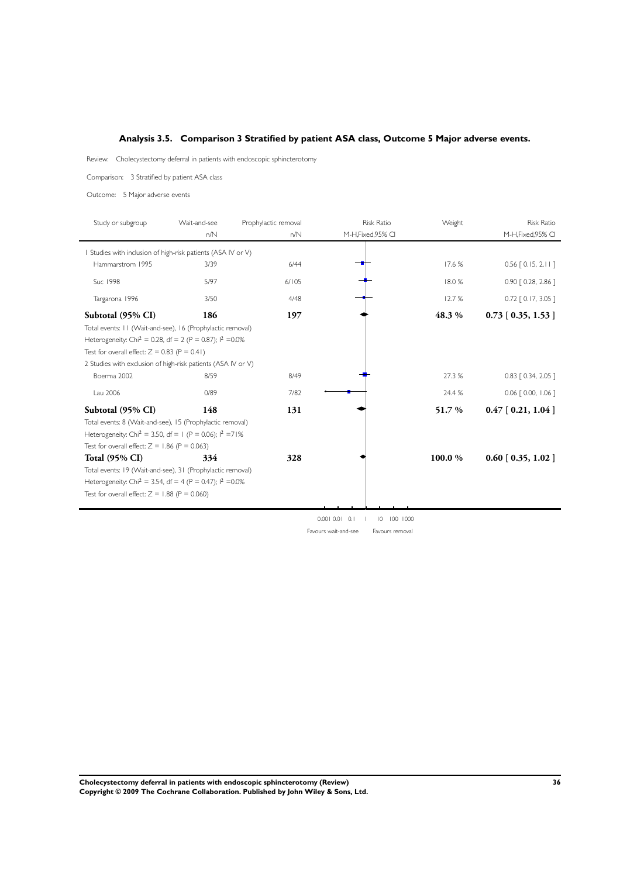# **Analysis 3.5. Comparison 3 Stratified by patient ASA class, Outcome 5 Major adverse events.**

<span id="page-38-0"></span>Review: Cholecystectomy deferral in patients with endoscopic sphincterotomy

Comparison: 3 Stratified by patient ASA class

Outcome: 5 Major adverse events

| Study or subgroup                                                                | Wait-and-see | Prophylactic removal | <b>Risk Ratio</b>                                   | Weight | <b>Risk Ratio</b>          |
|----------------------------------------------------------------------------------|--------------|----------------------|-----------------------------------------------------|--------|----------------------------|
|                                                                                  | n/N          | n/N                  | M-H, Fixed, 95% CI                                  |        | M-H.Fixed.95% CI           |
| Studies with inclusion of high-risk patients (ASA IV or V)                       |              |                      |                                                     |        |                            |
| Hammarstrom 1995                                                                 | 3/39         | 6/44                 |                                                     | 17.6 % | $0.56$ $[0.15, 2.11]$      |
| Suc 1998                                                                         | 5/97         | 6/105                |                                                     | 18.0%  | 0.90 [ 0.28, 2.86 ]        |
| Targarona 1996                                                                   | 3/50         | 4/48                 |                                                     | 12.7%  | $0.72$ $[0.17, 3.05]$      |
| Subtotal (95% CI)                                                                | 186          | 197                  |                                                     | 48.3%  | $0.73$ [ 0.35, 1.53 ]      |
| Total events: 11 (Wait-and-see), 16 (Prophylactic removal)                       |              |                      |                                                     |        |                            |
| Heterogeneity: Chi <sup>2</sup> = 0.28, df = 2 (P = 0.87); $1^2$ = 0.0%          |              |                      |                                                     |        |                            |
| Test for overall effect: $Z = 0.83$ (P = 0.41)                                   |              |                      |                                                     |        |                            |
| 2 Studies with exclusion of high-risk patients (ASA IV or V)                     |              |                      |                                                     |        |                            |
| Boerma 2002                                                                      | 8/59         | 8/49                 |                                                     | 27.3 % | $0.83$ $[0.34, 2.05]$      |
| Lau 2006                                                                         | 0/89         | 7/82                 |                                                     | 24.4 % | $0.06$ $[0.00, 1.06]$      |
| Subtotal (95% CI)                                                                | 148          | 131                  |                                                     | 51.7 % | $0.47$ [ $0.21, 1.04$ ]    |
| Total events: 8 (Wait-and-see), 15 (Prophylactic removal)                        |              |                      |                                                     |        |                            |
| Heterogeneity: Chi <sup>2</sup> = 3.50, df = 1 (P = 0.06); $1^2$ =71%            |              |                      |                                                     |        |                            |
| Test for overall effect: $Z = 1.86$ (P = 0.063)                                  |              |                      |                                                     |        |                            |
| <b>Total (95% CI)</b>                                                            | 334          | 328                  |                                                     | 100.0% | $0.60$ [ $0.35$ , $1.02$ ] |
| Total events: 19 (Wait-and-see), 31 (Prophylactic removal)                       |              |                      |                                                     |        |                            |
| Heterogeneity: Chi <sup>2</sup> = 3.54, df = 4 (P = 0.47); l <sup>2</sup> = 0.0% |              |                      |                                                     |        |                            |
| Test for overall effect: $Z = 1.88$ (P = 0.060)                                  |              |                      |                                                     |        |                            |
|                                                                                  |              |                      |                                                     |        |                            |
|                                                                                  |              |                      | $0.001$ $0.01$ $0.1$<br>100 1000<br>$\overline{10}$ |        |                            |
|                                                                                  |              |                      | Favours wait-and-see<br>Favours removal             |        |                            |

**Cholecystectomy deferral in patients with endoscopic sphincterotomy (Review) 36 Copyright © 2009 The Cochrane Collaboration. Published by John Wiley & Sons, Ltd.**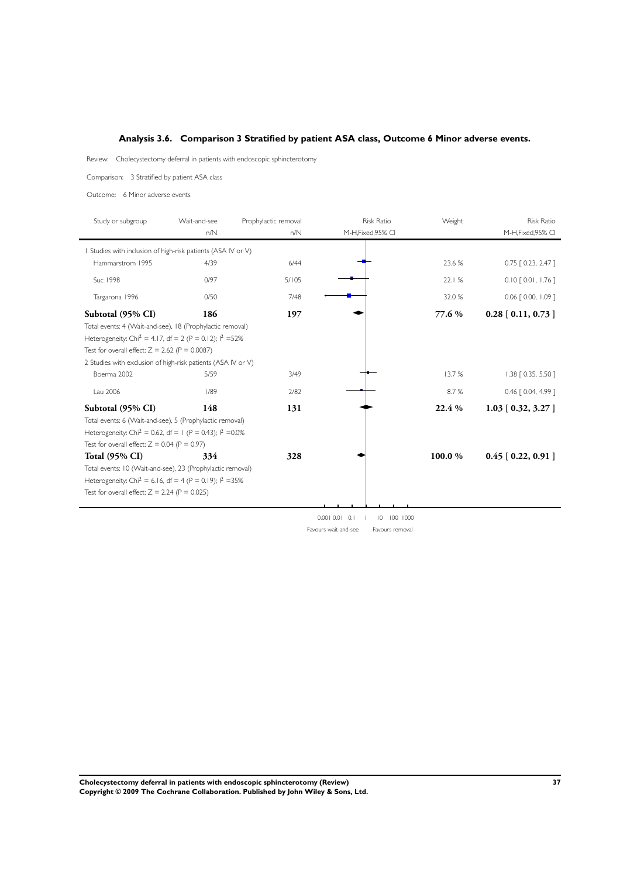# **Analysis 3.6. Comparison 3 Stratified by patient ASA class, Outcome 6 Minor adverse events.**

<span id="page-39-0"></span>Review: Cholecystectomy deferral in patients with endoscopic sphincterotomy

Comparison: 3 Stratified by patient ASA class

Outcome: 6 Minor adverse events

| Study or subgroup                                                      | Wait-and-see | Prophylactic removal | <b>Risk Ratio</b>           | Weight | <b>Risk Ratio</b>     |
|------------------------------------------------------------------------|--------------|----------------------|-----------------------------|--------|-----------------------|
|                                                                        | n/N          | n/N                  | M-H, Fixed, 95% CI          |        | M-H, Fixed, 95% CI    |
| Studies with inclusion of high-risk patients (ASA IV or V)             |              |                      |                             |        |                       |
| Hammarstrom 1995                                                       | 4/39         | 6/44                 |                             | 23.6 % | $0.75$ $[0.23, 2.47]$ |
| Suc 1998                                                               | 0/97         | 5/105                |                             | 22.1%  | $0.10$ $[0.01, 1.76]$ |
| Targarona 1996                                                         | 0/50         | 7/48                 |                             | 32.0 % | $0.06$ $[0.00, 1.09]$ |
| Subtotal (95% CI)                                                      | 186          | 197                  |                             | 77.6 % | $0.28$ [ 0.11, 0.73 ] |
| Total events: 4 (Wait-and-see), 18 (Prophylactic removal)              |              |                      |                             |        |                       |
| Heterogeneity: Chi <sup>2</sup> = 4.17, df = 2 (P = 0.12); $1^2$ =52%  |              |                      |                             |        |                       |
| Test for overall effect: $Z = 2.62$ (P = 0.0087)                       |              |                      |                             |        |                       |
| 2 Studies with exclusion of high-risk patients (ASA IV or V)           |              |                      |                             |        |                       |
| Boerma 2002                                                            | 5/59         | 3/49                 |                             | 13.7%  | 1.38 [ 0.35, 5.50 ]   |
| Lau 2006                                                               | 1/89         | 2/82                 |                             | 8.7%   | 0.46 [ 0.04, 4.99 ]   |
| Subtotal (95% CI)                                                      | 148          | 131                  |                             | 22.4 % | $1.03$ [ 0.32, 3.27 ] |
| Total events: 6 (Wait-and-see), 5 (Prophylactic removal)               |              |                      |                             |        |                       |
| Heterogeneity: Chi <sup>2</sup> = 0.62, df = 1 (P = 0.43); $1^2$ =0.0% |              |                      |                             |        |                       |
| Test for overall effect: $Z = 0.04$ (P = 0.97)                         |              |                      |                             |        |                       |
| <b>Total (95% CI)</b>                                                  | 334          | 328                  |                             | 100.0% | $0.45$ [ 0.22, 0.91 ] |
| Total events: 10 (Wait-and-see), 23 (Prophylactic removal)             |              |                      |                             |        |                       |
| Heterogeneity: Chi <sup>2</sup> = 6.16, df = 4 (P = 0.19); $1^2$ =35%  |              |                      |                             |        |                       |
| Test for overall effect: $Z = 2.24$ (P = 0.025)                        |              |                      |                             |        |                       |
|                                                                        |              |                      |                             |        |                       |
|                                                                        |              |                      | 0.0010.010.1<br>10 100 1000 |        |                       |

Favours wait-and-see Favours removal

**Cholecystectomy deferral in patients with endoscopic sphincterotomy (Review) 37 Copyright © 2009 The Cochrane Collaboration. Published by John Wiley & Sons, Ltd.**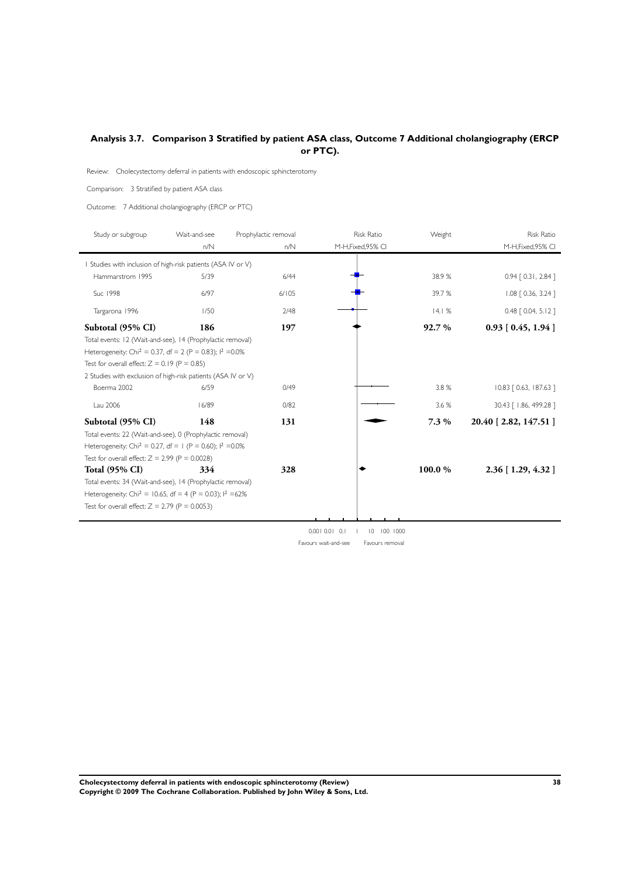# <span id="page-40-0"></span>**Analysis 3.7. Comparison 3 Stratified by patient ASA class, Outcome 7 Additional cholangiography (ERCP or PTC).**

Review: Cholecystectomy deferral in patients with endoscopic sphincterotomy

Comparison: 3 Stratified by patient ASA class

Outcome: 7 Additional cholangiography (ERCP or PTC)

| Study or subgroup                                                                | Wait-and-see | Prophylactic removal | <b>Risk Ratio</b>  | Weight | <b>Risk Ratio</b>        |
|----------------------------------------------------------------------------------|--------------|----------------------|--------------------|--------|--------------------------|
|                                                                                  | n/N          | n/N                  | M-H, Fixed, 95% CI |        | M-H, Fixed, 95% CI       |
| Studies with inclusion of high-risk patients (ASA IV or V)                       |              |                      |                    |        |                          |
| Hammarstrom 1995                                                                 | 5/39         | 6/44                 |                    | 38.9%  | $0.94$ $[0.31, 2.84]$    |
| Suc 1998                                                                         | 6/97         | 6/105                |                    | 39.7%  | $1.08$ $[0.36, 3.24]$    |
| Targarona 1996                                                                   | 1/50         | 2/48                 |                    | 14.1%  | $0.48$ $[0.04, 5.12]$    |
| Subtotal (95% CI)                                                                | 186          | 197                  |                    | 92.7%  | $0.93$ [ 0.45, 1.94 ]    |
| Total events: 12 (Wait-and-see), 14 (Prophylactic removal)                       |              |                      |                    |        |                          |
| Heterogeneity: Chi <sup>2</sup> = 0.37, df = 2 (P = 0.83); $1^2$ = 0.0%          |              |                      |                    |        |                          |
| Test for overall effect: $Z = 0.19$ (P = 0.85)                                   |              |                      |                    |        |                          |
| 2 Studies with exclusion of high-risk patients (ASA IV or V)                     |              |                      |                    |        |                          |
| Boerma 2002                                                                      | 6/59         | 0/49                 |                    | 3.8 %  | $10.83$ [ 0.63, 187.63 ] |
| Lau 2006                                                                         | 16/89        | 0/82                 |                    | 3.6 %  | 30.43 [ 1.86, 499.28 ]   |
| Subtotal (95% CI)                                                                | 148          | 131                  |                    | 7.3 %  | 20.40 [2.82, 147.51]     |
| Total events: 22 (Wait-and-see), 0 (Prophylactic removal)                        |              |                      |                    |        |                          |
| Heterogeneity: Chi <sup>2</sup> = 0.27, df = 1 (P = 0.60); $1^2$ = 0.0%          |              |                      |                    |        |                          |
| Test for overall effect: $Z = 2.99$ (P = 0.0028)                                 |              |                      |                    |        |                          |
| <b>Total (95% CI)</b>                                                            | 334          | 328                  |                    | 100.0% | $2.36$ [ 1.29, 4.32 ]    |
| Total events: 34 (Wait-and-see), 14 (Prophylactic removal)                       |              |                      |                    |        |                          |
| Heterogeneity: Chi <sup>2</sup> = 10.65, df = 4 (P = 0.03); l <sup>2</sup> = 62% |              |                      |                    |        |                          |
| Test for overall effect: $Z = 2.79$ (P = 0.0053)                                 |              |                      |                    |        |                          |
|                                                                                  |              |                      |                    |        |                          |

0.001 0.01 0.1 1 10 100 1000

Favours wait-and-see Favours removal

**Cholecystectomy deferral in patients with endoscopic sphincterotomy (Review) 38 Copyright © 2009 The Cochrane Collaboration. Published by John Wiley & Sons, Ltd.**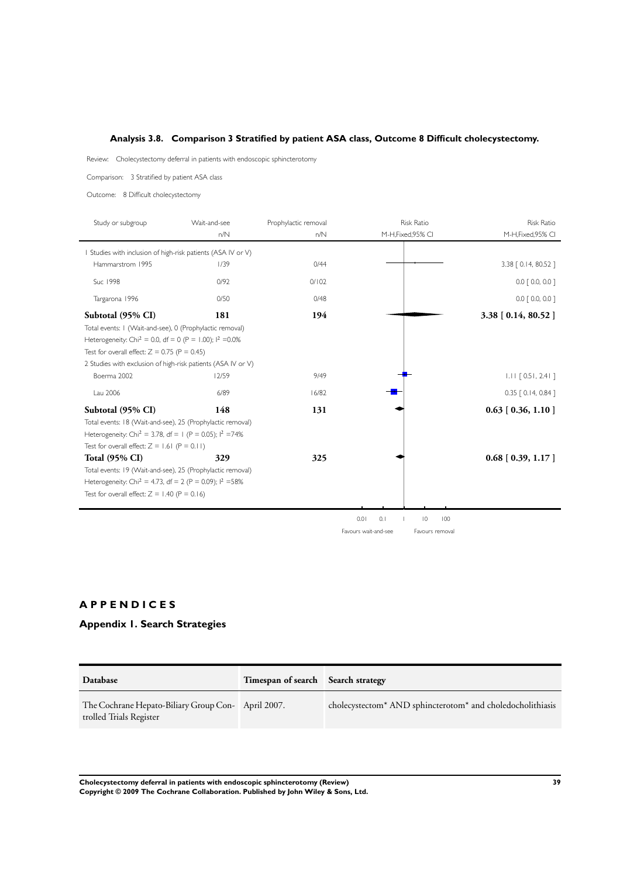# <span id="page-41-0"></span>**Analysis 3.8. Comparison 3 Stratified by patient ASA class, Outcome 8 Difficult cholecystectomy.**

Review: Cholecystectomy deferral in patients with endoscopic sphincterotomy

Comparison: 3 Stratified by patient ASA class

Outcome: 8 Difficult cholecystectomy

| Study or subgroup                                                                                                                                                                                                                                            | Wait-and-see<br>n/N | Prophylactic removal<br>n/N | M-H,Fixed,95% CI                    | <b>Risk Ratio</b><br><b>Risk Ratio</b><br>M-H,Fixed,95% CI |
|--------------------------------------------------------------------------------------------------------------------------------------------------------------------------------------------------------------------------------------------------------------|---------------------|-----------------------------|-------------------------------------|------------------------------------------------------------|
| I Studies with inclusion of high-risk patients (ASA IV or V)                                                                                                                                                                                                 |                     |                             |                                     |                                                            |
| Hammarstrom 1995                                                                                                                                                                                                                                             | 1/39                | 0/44                        |                                     | 3.38   0.14, 80.52 ]                                       |
| Suc 1998                                                                                                                                                                                                                                                     | 0/92                | 0/102                       |                                     | $0.0$ [ 0.0, 0.0 ]                                         |
| Targarona 1996                                                                                                                                                                                                                                               | 0/50                | 0/48                        |                                     | $0.0$ $[0.0, 0.0]$                                         |
| Subtotal (95% CI)                                                                                                                                                                                                                                            | 181                 | 194                         |                                     | $3.38$ [ 0.14, 80.52 ]                                     |
| Total events: I (Wait-and-see), 0 (Prophylactic removal)<br>Heterogeneity: Chi <sup>2</sup> = 0.0, df = 0 (P = 1.00); $1^2$ = 0.0%<br>Test for overall effect: $Z = 0.75$ (P = 0.45)<br>2 Studies with exclusion of high-risk patients (ASA IV or V)         |                     |                             |                                     |                                                            |
| Boerma 2002                                                                                                                                                                                                                                                  | 12/59               | 9/49                        |                                     | $1.11$ $[0.51, 2.41]$                                      |
| Lau 2006                                                                                                                                                                                                                                                     | 6/89                | 16/82                       |                                     | $0.35$ $[0.14, 0.84]$                                      |
| Subtotal (95% CI)<br>Total events: 18 (Wait-and-see), 25 (Prophylactic removal)<br>Heterogeneity: Chi <sup>2</sup> = 3.78, df = 1 (P = 0.05); $1^2$ =74%<br>Test for overall effect: $Z = 1.61$ (P = 0.11)                                                   | 148                 | 131                         |                                     | $0.63$ [ $0.36$ , $1.10$ ]                                 |
| Total events: 19 (Wait-and-see), 25 (Prophylactic removal)<br>Heterogeneity: Chi <sup>2</sup> = 4.73, df = 2 (P = 0.09); l <sup>2</sup> = 58%<br>Test for overall effect: $Z = 1.40$ (P = 0.16)<br><b>APPENDICES</b><br><b>Appendix I. Search Strategies</b> |                     |                             | 0.01<br>0.1<br>Favours wait-and-see | $\overline{0}$<br>100<br>Favours removal                   |
|                                                                                                                                                                                                                                                              |                     |                             |                                     |                                                            |
| Database                                                                                                                                                                                                                                                     |                     | Timespan of search          | Search strategy                     |                                                            |
| The Cochrane Hepato-Biliary Group Con- April 2007.<br>trolled Trials Register                                                                                                                                                                                |                     |                             |                                     | cholecystectom* AND sphincterotom* and choledocholithiasis |
|                                                                                                                                                                                                                                                              |                     |                             |                                     |                                                            |

**Cholecystectomy deferral in patients with endoscopic sphincterotomy (Review) 39 Copyright © 2009 The Cochrane Collaboration. Published by John Wiley & Sons, Ltd.**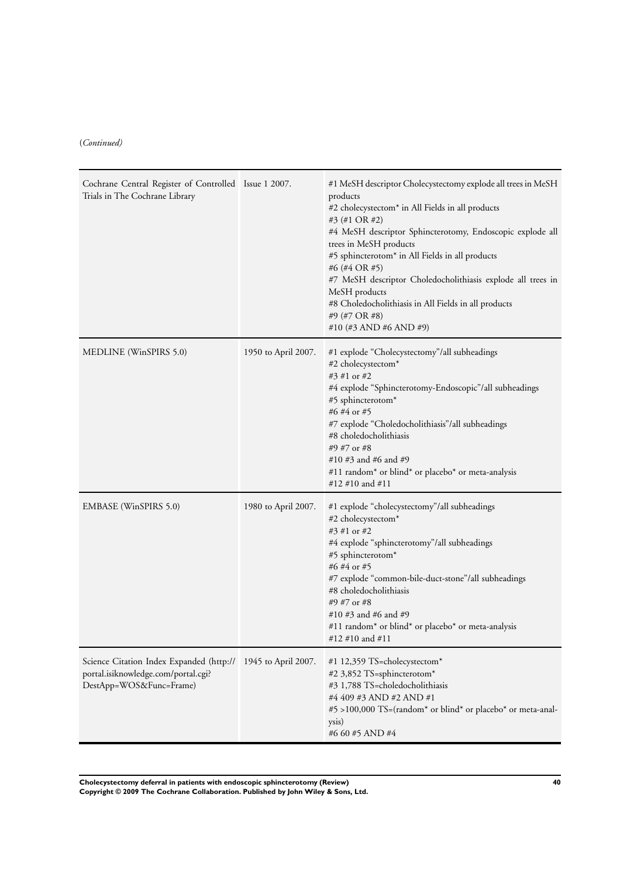# (*Continued)*

| Cochrane Central Register of Controlled Issue 1 2007.<br>Trials in The Cochrane Library                                        |                     | #1 MeSH descriptor Cholecystectomy explode all trees in MeSH<br>products<br>#2 cholecystectom <sup>*</sup> in All Fields in all products<br>#3 (#1 OR #2)<br>#4 MeSH descriptor Sphincterotomy, Endoscopic explode all<br>trees in MeSH products<br>#5 sphincterotom* in All Fields in all products<br>#6 (#4 OR #5)<br>#7 MeSH descriptor Choledocholithiasis explode all trees in<br>MeSH products<br>#8 Choledocholithiasis in All Fields in all products<br>#9 (#7 OR #8)<br>#10 (#3 AND #6 AND #9) |
|--------------------------------------------------------------------------------------------------------------------------------|---------------------|---------------------------------------------------------------------------------------------------------------------------------------------------------------------------------------------------------------------------------------------------------------------------------------------------------------------------------------------------------------------------------------------------------------------------------------------------------------------------------------------------------|
| MEDLINE (WinSPIRS 5.0)                                                                                                         | 1950 to April 2007. | #1 explode "Cholecystectomy"/all subheadings<br>#2 cholecystectom*<br>#3 #1 or #2<br>#4 explode "Sphincterotomy-Endoscopic"/all subheadings<br>#5 sphincterotom*<br>#6 #4 or #5<br>#7 explode "Choledocholithiasis"/all subheadings<br>#8 choledocholithiasis<br>#9 #7 or #8<br>#10 #3 and #6 and #9<br>#11 random <sup>*</sup> or blind <sup>*</sup> or placebo <sup>*</sup> or meta-analysis<br>#12 #10 and #11                                                                                       |
| EMBASE (WinSPIRS 5.0)                                                                                                          | 1980 to April 2007. | #1 explode "cholecystectomy"/all subheadings<br>#2 cholecystectom*<br>#3 #1 or #2<br>#4 explode "sphincterotomy"/all subheadings<br>#5 sphincterotom*<br>#6 #4 or #5<br>#7 explode "common-bile-duct-stone"/all subheadings<br>#8 choledocholithiasis<br>#9 #7 or #8<br>#10 #3 and #6 and #9<br>#11 random* or blind* or placebo* or meta-analysis<br>#12 #10 and #11                                                                                                                                   |
| Science Citation Index Expanded (http:// 1945 to April 2007.<br>portal.isiknowledge.com/portal.cgi?<br>DestApp=WOS&Func=Frame) |                     | #1 12,359 TS=cholecystectom*<br>#2 3,852 TS=sphincterotom*<br>#3 1,788 TS=choledocholithiasis<br>#4 409 #3 AND #2 AND #1<br>#5 >100,000 TS=(random* or blind* or placebo* or meta-anal-<br>ysis)<br>#6 60 #5 AND #4                                                                                                                                                                                                                                                                                     |

**Cholecystectomy deferral in patients with endoscopic sphincterotomy (Review) 40 Copyright © 2009 The Cochrane Collaboration. Published by John Wiley & Sons, Ltd.**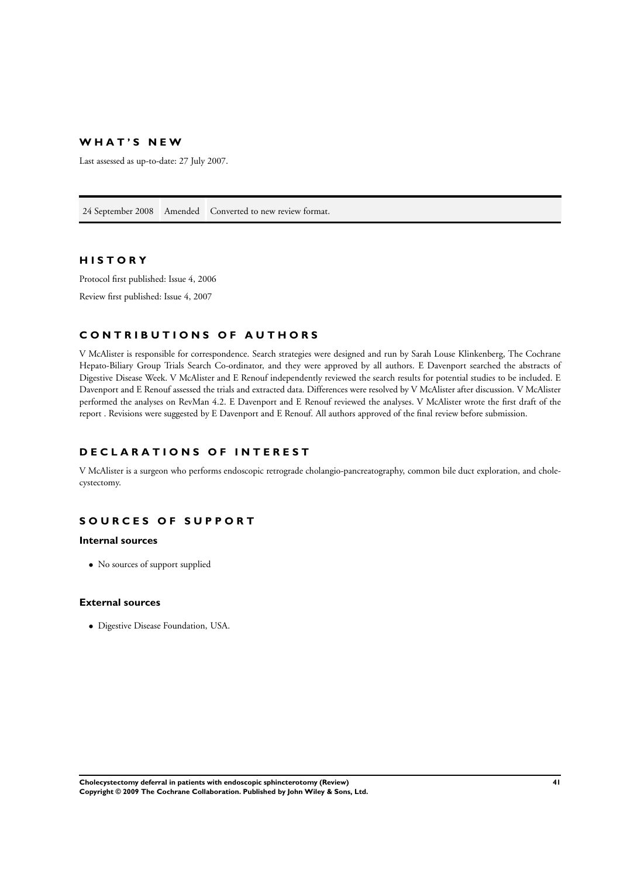# **W H A T ' S N E W**

Last assessed as up-to-date: 27 July 2007.

24 September 2008 Amended Converted to new review format.

# **H I S T O R Y**

Protocol first published: Issue 4, 2006

Review first published: Issue 4, 2007

# **C O N T R I B U T I O N S O F A U T H O R S**

V McAlister is responsible for correspondence. Search strategies were designed and run by Sarah Louse Klinkenberg, The Cochrane Hepato-Biliary Group Trials Search Co-ordinator, and they were approved by all authors. E Davenport searched the abstracts of Digestive Disease Week. V McAlister and E Renouf independently reviewed the search results for potential studies to be included. E Davenport and E Renouf assessed the trials and extracted data. Differences were resolved by V McAlister after discussion. V McAlister performed the analyses on RevMan 4.2. E Davenport and E Renouf reviewed the analyses. V McAlister wrote the first draft of the report . Revisions were suggested by E Davenport and E Renouf. All authors approved of the final review before submission.

# **D E C L A R A T I O N S O F I N T E R E S T**

V McAlister is a surgeon who performs endoscopic retrograde cholangio-pancreatography, common bile duct exploration, and cholecystectomy.

# **S O U R C E S O F S U P P O R T**

## **Internal sources**

• No sources of support supplied

### **External sources**

• Digestive Disease Foundation, USA.

**Cholecystectomy deferral in patients with endoscopic sphincterotomy (Review) 41 Copyright © 2009 The Cochrane Collaboration. Published by John Wiley & Sons, Ltd.**